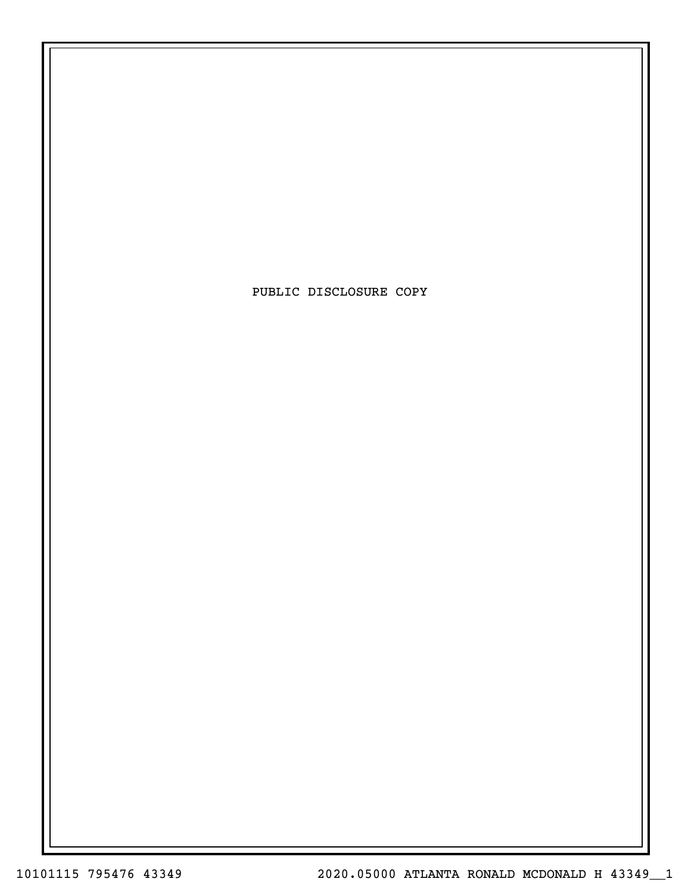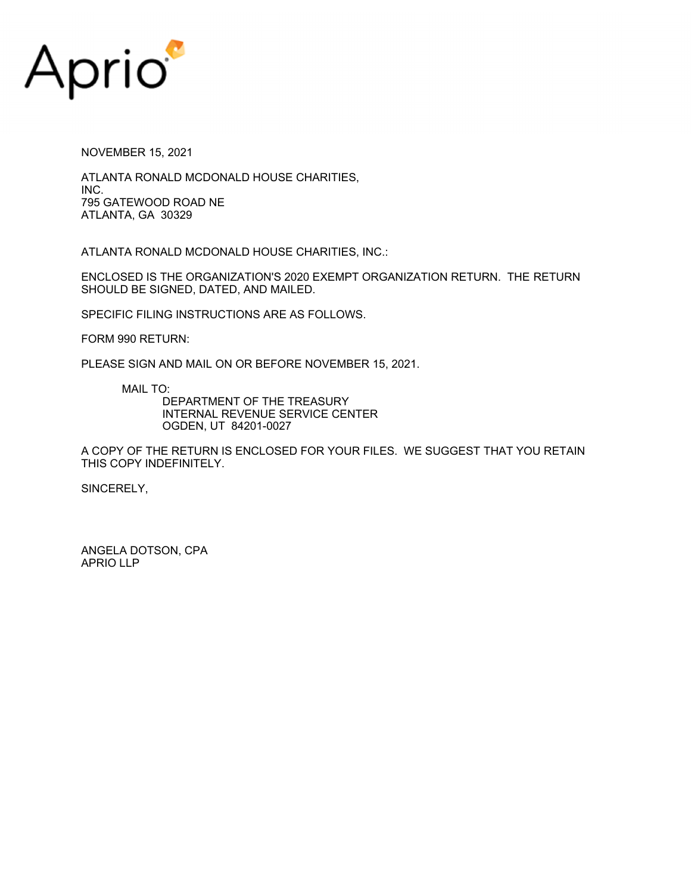

NOVEMBER 15, 2021

ATLANTA RONALD MCDONALD HOUSE CHARITIES, INC. 795 GATEWOOD ROAD NE ATLANTA, GA 30329

ATLANTA RONALD MCDONALD HOUSE CHARITIES, INC.:

ENCLOSED IS THE ORGANIZATION'S 2020 EXEMPT ORGANIZATION RETURN. THE RETURN SHOULD BE SIGNED, DATED, AND MAILED.

SPECIFIC FILING INSTRUCTIONS ARE AS FOLLOWS.

FORM 990 RETURN:

PLEASE SIGN AND MAIL ON OR BEFORE NOVEMBER 15, 2021.

MAIL TO:

DEPARTMENT OF THE TREASURY INTERNAL REVENUE SERVICE CENTER OGDEN, UT 84201-0027

A COPY OF THE RETURN IS ENCLOSED FOR YOUR FILES. WE SUGGEST THAT YOU RETAIN THIS COPY INDEFINITELY.

SINCERELY,

ANGELA DOTSON, CPA APRIO LLP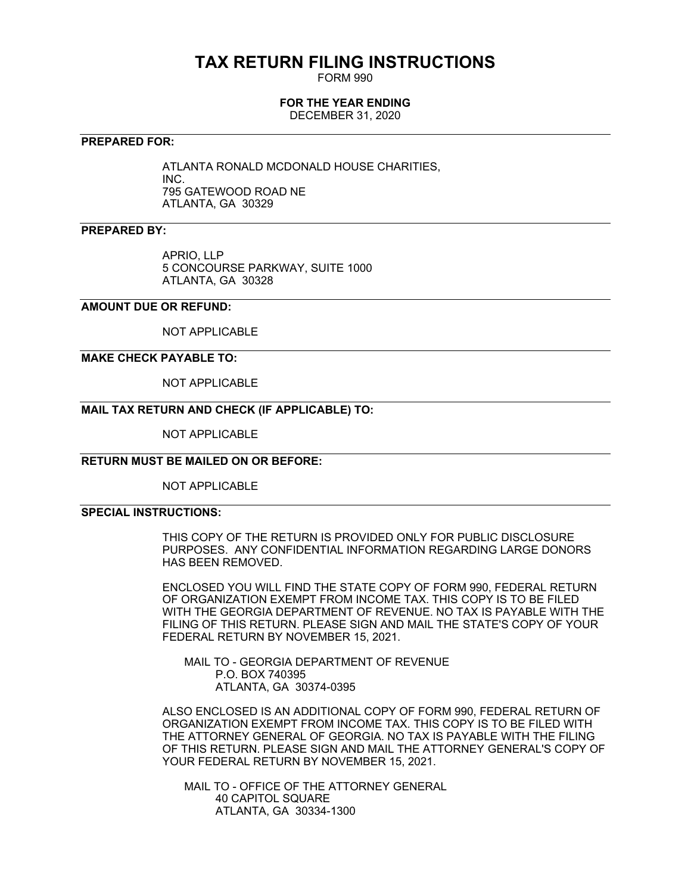## **TAX RETURN FILING INSTRUCTIONS**

FORM 990

#### **FOR THE YEAR ENDING**

DECEMBER 31, 2020

#### **PREPARED FOR:**

ATLANTA RONALD MCDONALD HOUSE CHARITIES, INC. 795 GATEWOOD ROAD NE ATLANTA, GA 30329

#### **PREPARED BY:**

APRIO, LLP 5 CONCOURSE PARKWAY, SUITE 1000 ATLANTA, GA 30328

#### **AMOUNT DUE OR REFUND:**

NOT APPLICABLE

#### **MAKE CHECK PAYABLE TO:**

NOT APPLICABLE

#### **MAIL TAX RETURN AND CHECK (IF APPLICABLE) TO:**

NOT APPLICABLE

#### **RETURN MUST BE MAILED ON OR BEFORE:**

NOT APPLICABLE

#### **SPECIAL INSTRUCTIONS:**

THIS COPY OF THE RETURN IS PROVIDED ONLY FOR PUBLIC DISCLOSURE PURPOSES. ANY CONFIDENTIAL INFORMATION REGARDING LARGE DONORS HAS BEEN REMOVED.

ENCLOSED YOU WILL FIND THE STATE COPY OF FORM 990, FEDERAL RETURN OF ORGANIZATION EXEMPT FROM INCOME TAX. THIS COPY IS TO BE FILED WITH THE GEORGIA DEPARTMENT OF REVENUE. NO TAX IS PAYABLE WITH THE FILING OF THIS RETURN. PLEASE SIGN AND MAIL THE STATE'S COPY OF YOUR FEDERAL RETURN BY NOVEMBER 15, 2021.

 MAIL TO - GEORGIA DEPARTMENT OF REVENUE P.O. BOX 740395 ATLANTA, GA 30374-0395

ALSO ENCLOSED IS AN ADDITIONAL COPY OF FORM 990, FEDERAL RETURN OF ORGANIZATION EXEMPT FROM INCOME TAX. THIS COPY IS TO BE FILED WITH THE ATTORNEY GENERAL OF GEORGIA. NO TAX IS PAYABLE WITH THE FILING OF THIS RETURN. PLEASE SIGN AND MAIL THE ATTORNEY GENERAL'S COPY OF YOUR FEDERAL RETURN BY NOVEMBER 15, 2021.

 MAIL TO - OFFICE OF THE ATTORNEY GENERAL 40 CAPITOL SQUARE ATLANTA, GA 30334-1300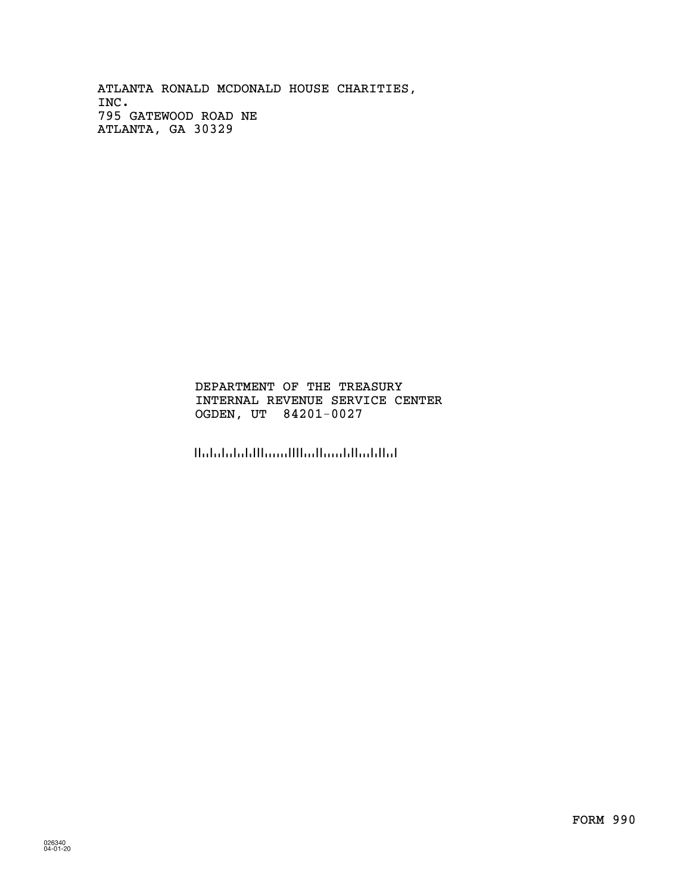INC. 795 GATEWOOD ROAD NE ATLANTA RONALD MCDONALD HOUSE CHARITIES, ATLANTA, GA 30329

#### INTERNAL REVENUE SERVICE CENTER OGDEN, UT 84201-0027 DEPARTMENT OF THE TREASURY

الماليانية المستالية الاستنبا البلينانيلينا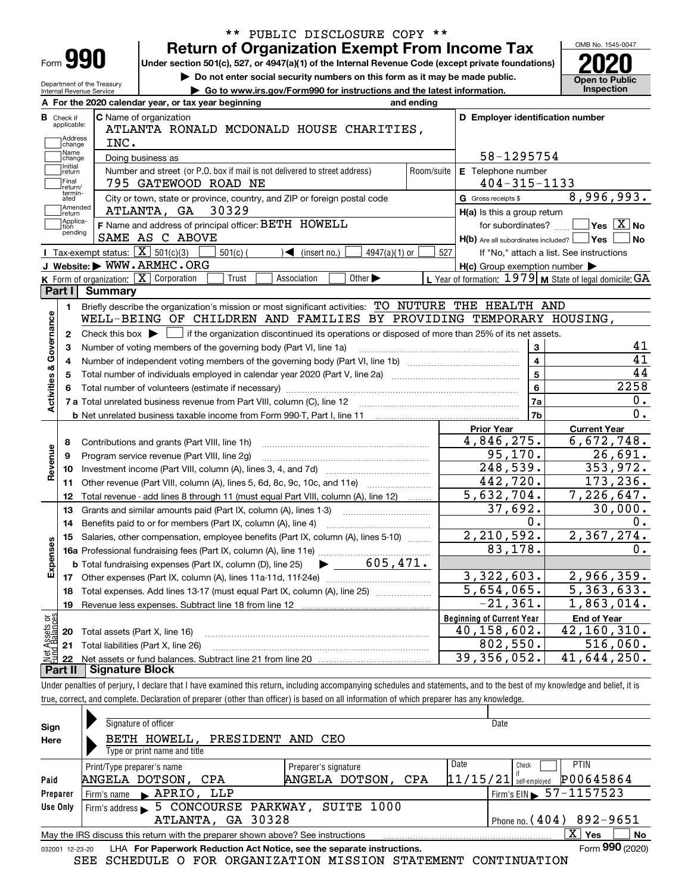|                                                                                                                                  |                                                                                                                                                            |                                  |                                                           | OMB No. 1545-0047                                                                                                                                                   |  |  |  |  |  |  |  |
|----------------------------------------------------------------------------------------------------------------------------------|------------------------------------------------------------------------------------------------------------------------------------------------------------|----------------------------------|-----------------------------------------------------------|---------------------------------------------------------------------------------------------------------------------------------------------------------------------|--|--|--|--|--|--|--|
| Form 990                                                                                                                         | <b>Return of Organization Exempt From Income Tax</b><br>Under section 501(c), 527, or 4947(a)(1) of the Internal Revenue Code (except private foundations) |                                  |                                                           |                                                                                                                                                                     |  |  |  |  |  |  |  |
| Do not enter social security numbers on this form as it may be made public.                                                      |                                                                                                                                                            |                                  |                                                           |                                                                                                                                                                     |  |  |  |  |  |  |  |
| Department of the Treasury<br>Go to www.irs.gov/Form990 for instructions and the latest information.<br>Internal Revenue Service |                                                                                                                                                            |                                  |                                                           |                                                                                                                                                                     |  |  |  |  |  |  |  |
|                                                                                                                                  | A For the 2020 calendar year, or tax year beginning                                                                                                        | and ending                       |                                                           |                                                                                                                                                                     |  |  |  |  |  |  |  |
| <b>B</b> Check if                                                                                                                | C Name of organization                                                                                                                                     | D Employer identification number |                                                           |                                                                                                                                                                     |  |  |  |  |  |  |  |
| applicable:                                                                                                                      | ATLANTA RONALD MCDONALD HOUSE CHARITIES,                                                                                                                   |                                  |                                                           |                                                                                                                                                                     |  |  |  |  |  |  |  |
| Address<br>INC.<br>change                                                                                                        |                                                                                                                                                            |                                  |                                                           |                                                                                                                                                                     |  |  |  |  |  |  |  |
| Name<br>change                                                                                                                   | Doing business as                                                                                                                                          | 58-1295754                       |                                                           |                                                                                                                                                                     |  |  |  |  |  |  |  |
| Initial<br>return                                                                                                                | Number and street (or P.O. box if mail is not delivered to street address)                                                                                 | Room/suite<br>E Telephone number |                                                           |                                                                                                                                                                     |  |  |  |  |  |  |  |
| Final<br>return/<br>termin-                                                                                                      | 795 GATEWOOD ROAD NE                                                                                                                                       |                                  | $404 - 315 - 1133$                                        |                                                                                                                                                                     |  |  |  |  |  |  |  |
| ated                                                                                                                             | City or town, state or province, country, and ZIP or foreign postal code                                                                                   |                                  | G Gross receipts \$                                       | 8,996,993.                                                                                                                                                          |  |  |  |  |  |  |  |
| Amended<br>return                                                                                                                | 30329<br>ATLANTA, GA                                                                                                                                       |                                  | H(a) Is this a group return                               |                                                                                                                                                                     |  |  |  |  |  |  |  |
| Applica-<br>tion<br>pending                                                                                                      | F Name and address of principal officer: BETH HOWELL                                                                                                       |                                  | for subordinates?                                         | $\overline{\ }$ Yes $\overline{\ \text{X}}$ No                                                                                                                      |  |  |  |  |  |  |  |
|                                                                                                                                  | SAME AS C ABOVE                                                                                                                                            |                                  | $H(b)$ Are all subordinates included? $\Box$ Yes          | No                                                                                                                                                                  |  |  |  |  |  |  |  |
| <b>I</b> Tax-exempt status: $\boxed{\mathbf{X}}$ 501(c)(3)                                                                       | $501(c)$ (<br>$\sqrt{\bullet}$ (insert no.)<br>$4947(a)(1)$ or                                                                                             | 527                              |                                                           | If "No," attach a list. See instructions                                                                                                                            |  |  |  |  |  |  |  |
| J Website: WWW.ARMHC.ORG                                                                                                         |                                                                                                                                                            |                                  | $H(c)$ Group exemption number $\blacktriangleright$       |                                                                                                                                                                     |  |  |  |  |  |  |  |
| K Form of organization: X Corporation                                                                                            | Trust<br>Other $\blacktriangleright$<br>Association                                                                                                        |                                  | L Year of formation: $1979$ M State of legal domicile: GA |                                                                                                                                                                     |  |  |  |  |  |  |  |
| Part I<br><b>Summary</b>                                                                                                         |                                                                                                                                                            |                                  |                                                           |                                                                                                                                                                     |  |  |  |  |  |  |  |
| 1.                                                                                                                               | Briefly describe the organization's mission or most significant activities: TO NUTURE THE HEALTH AND                                                       |                                  |                                                           |                                                                                                                                                                     |  |  |  |  |  |  |  |
|                                                                                                                                  | WELL-BEING OF CHILDREN AND FAMILIES BY PROVIDING TEMPORARY HOUSING,                                                                                        |                                  |                                                           |                                                                                                                                                                     |  |  |  |  |  |  |  |
| Governance<br>Check this box $\blacktriangleright$<br>2                                                                          | if the organization discontinued its operations or disposed of more than 25% of its net assets.                                                            |                                  |                                                           | 41                                                                                                                                                                  |  |  |  |  |  |  |  |
| з                                                                                                                                | $\mathbf{3}$<br>Number of voting members of the governing body (Part VI, line 1a)                                                                          |                                  |                                                           |                                                                                                                                                                     |  |  |  |  |  |  |  |
| 4                                                                                                                                | $\overline{\mathbf{4}}$                                                                                                                                    |                                  |                                                           |                                                                                                                                                                     |  |  |  |  |  |  |  |
|                                                                                                                                  |                                                                                                                                                            |                                  |                                                           |                                                                                                                                                                     |  |  |  |  |  |  |  |
| 5                                                                                                                                |                                                                                                                                                            |                                  | $\overline{5}$                                            |                                                                                                                                                                     |  |  |  |  |  |  |  |
| 6                                                                                                                                |                                                                                                                                                            |                                  | $6\phantom{a}$                                            |                                                                                                                                                                     |  |  |  |  |  |  |  |
|                                                                                                                                  | 7 a Total unrelated business revenue from Part VIII, column (C), line 12 [11] [12] [11] [12] [11] [11] [12] [1                                             |                                  | 7a                                                        |                                                                                                                                                                     |  |  |  |  |  |  |  |
| <b>Activities &amp;</b>                                                                                                          |                                                                                                                                                            |                                  | 7b                                                        |                                                                                                                                                                     |  |  |  |  |  |  |  |
|                                                                                                                                  |                                                                                                                                                            |                                  | <b>Prior Year</b>                                         | <b>Current Year</b>                                                                                                                                                 |  |  |  |  |  |  |  |
| 8                                                                                                                                | Contributions and grants (Part VIII, line 1h)                                                                                                              |                                  | 4,846,275.                                                |                                                                                                                                                                     |  |  |  |  |  |  |  |
| 9                                                                                                                                | Program service revenue (Part VIII, line 2g)                                                                                                               |                                  | 95, 170.                                                  |                                                                                                                                                                     |  |  |  |  |  |  |  |
| 10                                                                                                                               |                                                                                                                                                            |                                  | 248,539.                                                  |                                                                                                                                                                     |  |  |  |  |  |  |  |
| Revenue<br>11                                                                                                                    | Other revenue (Part VIII, column (A), lines 5, 6d, 8c, 9c, 10c, and 11e)                                                                                   |                                  | 442,720.                                                  |                                                                                                                                                                     |  |  |  |  |  |  |  |
| 12                                                                                                                               | Total revenue - add lines 8 through 11 (must equal Part VIII, column (A), line 12)                                                                         |                                  | 5,632,704.                                                |                                                                                                                                                                     |  |  |  |  |  |  |  |
| 13                                                                                                                               | Grants and similar amounts paid (Part IX, column (A), lines 1-3)                                                                                           |                                  | 37,692.                                                   |                                                                                                                                                                     |  |  |  |  |  |  |  |
| 14                                                                                                                               | Benefits paid to or for members (Part IX, column (A), line 4)                                                                                              |                                  | 0.                                                        |                                                                                                                                                                     |  |  |  |  |  |  |  |
|                                                                                                                                  | 15 Salaries, other compensation, employee benefits (Part IX, column (A), lines 5-10)                                                                       |                                  | 2,210,592.                                                |                                                                                                                                                                     |  |  |  |  |  |  |  |
|                                                                                                                                  |                                                                                                                                                            |                                  | 83,178.                                                   |                                                                                                                                                                     |  |  |  |  |  |  |  |
|                                                                                                                                  | 605,471.<br><b>b</b> Total fundraising expenses (Part IX, column (D), line 25)                                                                             |                                  |                                                           |                                                                                                                                                                     |  |  |  |  |  |  |  |
| Expenses                                                                                                                         |                                                                                                                                                            |                                  | 3,322,603.                                                |                                                                                                                                                                     |  |  |  |  |  |  |  |
| 18                                                                                                                               | Total expenses. Add lines 13-17 (must equal Part IX, column (A), line 25) [                                                                                |                                  | 5,654,065.                                                |                                                                                                                                                                     |  |  |  |  |  |  |  |
| 19                                                                                                                               |                                                                                                                                                            |                                  | $-21, 361.$                                               |                                                                                                                                                                     |  |  |  |  |  |  |  |
|                                                                                                                                  |                                                                                                                                                            |                                  | <b>Beginning of Current Year</b>                          | 0.<br><b>End of Year</b>                                                                                                                                            |  |  |  |  |  |  |  |
| 20                                                                                                                               | Total assets (Part X, line 16)                                                                                                                             |                                  | 40,158,602.                                               | 0.<br>$\overline{0}$ .<br>26,691.<br>2,367,274.<br>0.                                                                                                               |  |  |  |  |  |  |  |
| t Assets or<br>d Balances<br>21<br>鲳                                                                                             | Total liabilities (Part X, line 26)                                                                                                                        |                                  | 802,550.<br>39, 356, 052.                                 | 41<br>44<br>2258<br>6,672,748.<br>353,972.<br>173,236.<br>7,226,647.<br>30,000.<br>2,966,359.<br>5,363,633.<br>1,863,014.<br>42,160,310.<br>516,060.<br>41,644,250. |  |  |  |  |  |  |  |

\*\* PUBLIC DISCLOSURE COPY \*\*

Under penalties of perjury, I declare that I have examined this return, including accompanying schedules and statements, and to the best of my knowledge and belief, it is true, correct, and complete. Declaration of preparer (other than officer) is based on all information of which preparer has any knowledge.

| Sign            | Signature of officer                                                            | Date                                            |
|-----------------|---------------------------------------------------------------------------------|-------------------------------------------------|
| Here            | BETH HOWELL, PRESIDENT AND CEO                                                  |                                                 |
|                 | Type or print name and title                                                    |                                                 |
|                 | Preparer's signature<br>Print/Type preparer's name                              | Date<br><b>PTIN</b><br>Check                    |
| Paid            | ANGELA DOTSON,<br>ANGELA DOTSON, CPA                                            | P00645864<br> 11/15/21 <br>CPA<br>self-emploved |
| Preparer        | Firm's name RPRIO, LLP                                                          | Firm's EIN $\triangleright$ 57-1157523          |
| Use Only        | 5 CONCOURSE PARKWAY, SUITE 1000<br>Firm's address $\blacktriangleright$         |                                                 |
|                 | ATLANTA, GA 30328                                                               | Phone no. $(404)$ 892-9651                      |
|                 | May the IRS discuss this return with the preparer shown above? See instructions | $\overline{X}$ Yes<br>No                        |
| 032001 12-23-20 | LHA For Paperwork Reduction Act Notice, see the separate instructions.          | Form 990 (2020)                                 |

SEE SCHEDULE O FOR ORGANIZATION MISSION STATEMENT CONTINUATION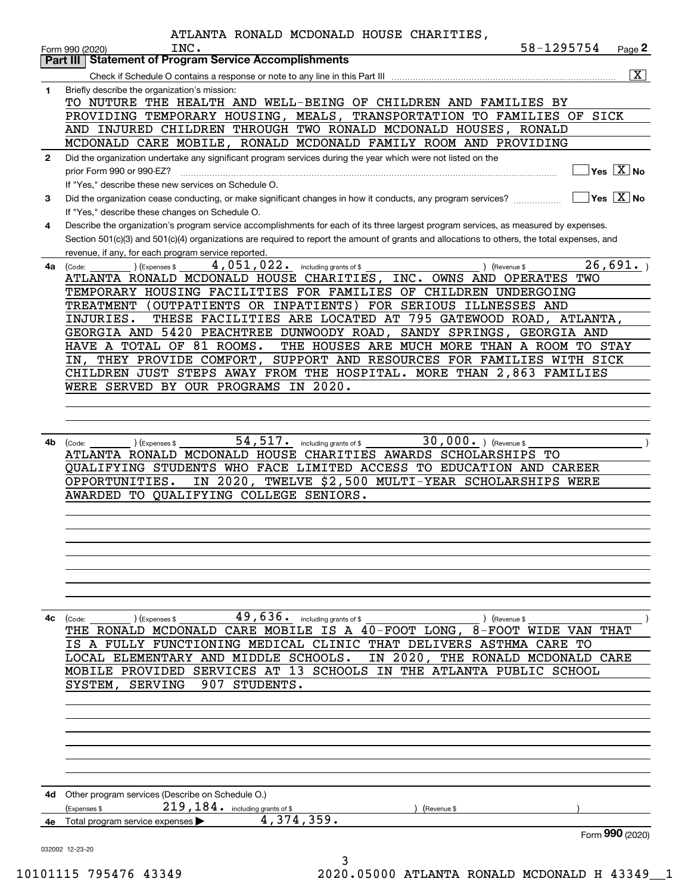|              | ATLANTA RONALD MCDONALD HOUSE CHARITIES,                                                                                                     |            |                                           |
|--------------|----------------------------------------------------------------------------------------------------------------------------------------------|------------|-------------------------------------------|
|              | INC.<br>Form 990 (2020)                                                                                                                      | 58-1295754 | Page 2                                    |
|              | <b>Statement of Program Service Accomplishments</b><br>Part III                                                                              |            |                                           |
|              |                                                                                                                                              |            | $\boxed{\text{X}}$                        |
| 1            | Briefly describe the organization's mission:                                                                                                 |            |                                           |
|              | TO NUTURE THE HEALTH AND WELL-BEING OF CHILDREN AND FAMILIES BY                                                                              |            |                                           |
|              | PROVIDING TEMPORARY HOUSING, MEALS, TRANSPORTATION TO FAMILIES OF SICK                                                                       |            |                                           |
|              | AND INJURED CHILDREN THROUGH TWO RONALD MCDONALD HOUSES, RONALD                                                                              |            |                                           |
|              | MCDONALD CARE MOBILE, RONALD MCDONALD FAMILY ROOM AND PROVIDING                                                                              |            |                                           |
| $\mathbf{2}$ | Did the organization undertake any significant program services during the year which were not listed on the                                 |            |                                           |
|              | prior Form 990 or 990-EZ?                                                                                                                    |            | $\overline{\ }$ Yes $\overline{\rm X}$ No |
|              | If "Yes," describe these new services on Schedule O.                                                                                         |            |                                           |
| 3            | Did the organization cease conducting, or make significant changes in how it conducts, any program services?                                 |            | $\Box$ Yes $[\overline{X}]$ No            |
|              | If "Yes," describe these changes on Schedule O.                                                                                              |            |                                           |
| 4            | Describe the organization's program service accomplishments for each of its three largest program services, as measured by expenses.         |            |                                           |
|              | Section 501(c)(3) and 501(c)(4) organizations are required to report the amount of grants and allocations to others, the total expenses, and |            |                                           |
|              | revenue, if any, for each program service reported.                                                                                          |            |                                           |
| 4a           | 4,051,022. including grants of \$<br>(Expenses \$<br>) (Revenue \$<br>(Code:                                                                 |            | 26,691.                                   |
|              | ATLANTA RONALD MCDONALD HOUSE CHARITIES, INC. OWNS AND OPERATES TWO                                                                          |            |                                           |
|              | TEMPORARY HOUSING FACILITIES FOR FAMILIES OF CHILDREN UNDERGOING                                                                             |            |                                           |
|              | TREATMENT (OUTPATIENTS OR INPATIENTS) FOR SERIOUS ILLNESSES AND                                                                              |            |                                           |
|              | THESE FACILITIES ARE LOCATED AT 795 GATEWOOD ROAD, ATLANTA,<br>INJURIES.                                                                     |            |                                           |
|              | GEORGIA AND 5420 PEACHTREE DUNWOODY ROAD, SANDY SPRINGS, GEORGIA AND                                                                         |            |                                           |
|              | HAVE A TOTAL OF 81 ROOMS.<br>THE HOUSES ARE MUCH MORE THAN A ROOM TO STAY                                                                    |            |                                           |
|              | IN, THEY PROVIDE COMFORT, SUPPORT AND RESOURCES FOR FAMILIES WITH SICK                                                                       |            |                                           |
|              | CHILDREN JUST STEPS AWAY FROM THE HOSPITAL. MORE THAN 2,863 FAMILIES                                                                         |            |                                           |
|              | WERE SERVED BY OUR PROGRAMS IN 2020.                                                                                                         |            |                                           |
|              |                                                                                                                                              |            |                                           |
|              |                                                                                                                                              |            |                                           |
|              |                                                                                                                                              |            |                                           |
| 4b           | $30,000.$ (Revenue \$<br>$54,517$ . including grants of \$<br>(Code:<br>) (Expenses \$                                                       |            |                                           |
|              | ATLANTA RONALD MCDONALD HOUSE CHARITIES AWARDS SCHOLARSHIPS TO                                                                               |            |                                           |
|              | QUALIFYING STUDENTS WHO FACE LIMITED ACCESS TO EDUCATION AND CAREER                                                                          |            |                                           |
|              | IN 2020, TWELVE \$2,500 MULTI-YEAR SCHOLARSHIPS WERE<br>OPPORTUNITIES.                                                                       |            |                                           |
|              | AWARDED TO QUALIFYING COLLEGE SENIORS.                                                                                                       |            |                                           |
|              |                                                                                                                                              |            |                                           |
|              |                                                                                                                                              |            |                                           |
|              |                                                                                                                                              |            |                                           |
|              |                                                                                                                                              |            |                                           |
|              |                                                                                                                                              |            |                                           |
|              |                                                                                                                                              |            |                                           |
|              |                                                                                                                                              |            |                                           |
| 4с           | 49,636.<br>including grants of \$<br>) (Revenue \$<br>(Code:<br>Expenses \$                                                                  |            |                                           |
|              | THE RONALD MCDONALD CARE MOBILE IS A 40-FOOT LONG, 8-FOOT WIDE VAN                                                                           |            | THAT                                      |
|              | A FULLY FUNCTIONING MEDICAL CLINIC THAT DELIVERS ASTHMA CARE TO<br>ΙS                                                                        |            |                                           |
|              | LOCAL ELEMENTARY AND MIDDLE SCHOOLS.<br>IN 2020, THE RONALD MCDONALD CARE                                                                    |            |                                           |
|              | 13 SCHOOLS IN THE ATLANTA PUBLIC SCHOOL<br>SERVICES AT<br>MOBILE PROVIDED                                                                    |            |                                           |
|              | <b>SERVING</b><br>907<br>STUDENTS.<br>SYSTEM,                                                                                                |            |                                           |
|              |                                                                                                                                              |            |                                           |
|              |                                                                                                                                              |            |                                           |
|              |                                                                                                                                              |            |                                           |
|              |                                                                                                                                              |            |                                           |
|              |                                                                                                                                              |            |                                           |
|              |                                                                                                                                              |            |                                           |
|              |                                                                                                                                              |            |                                           |
| 4d           | Other program services (Describe on Schedule O.)                                                                                             |            |                                           |
|              | $219$ , $184$ . including grants of \$<br>(Expenses \$<br>(Revenue \$                                                                        |            |                                           |
| 4е           | 4,374,359.<br>Total program service expenses                                                                                                 |            |                                           |
|              |                                                                                                                                              |            | Form 990 (2020)                           |
|              | 032002 12-23-20                                                                                                                              |            |                                           |
|              | 3                                                                                                                                            |            |                                           |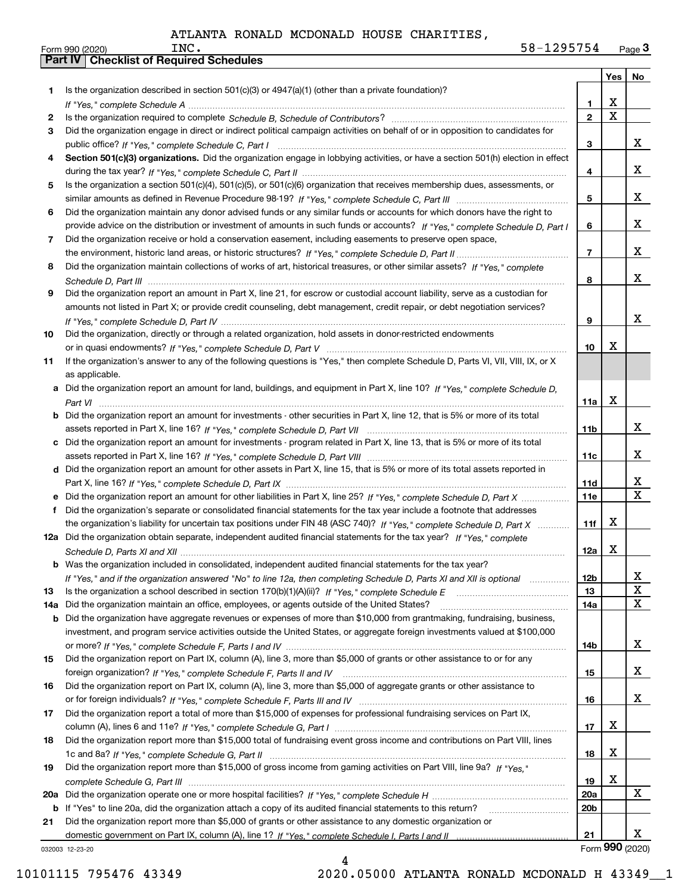|     |                                                                                                                                                                                                                                                    |                   | Yes             | No          |
|-----|----------------------------------------------------------------------------------------------------------------------------------------------------------------------------------------------------------------------------------------------------|-------------------|-----------------|-------------|
| 1   | Is the organization described in section $501(c)(3)$ or $4947(a)(1)$ (other than a private foundation)?                                                                                                                                            |                   |                 |             |
|     |                                                                                                                                                                                                                                                    | 1                 | X               |             |
| 2   |                                                                                                                                                                                                                                                    | $\mathbf{2}$      | $\mathbf X$     |             |
| 3   | Did the organization engage in direct or indirect political campaign activities on behalf of or in opposition to candidates for                                                                                                                    |                   |                 |             |
|     |                                                                                                                                                                                                                                                    | 3                 |                 | x           |
| 4   | Section 501(c)(3) organizations. Did the organization engage in lobbying activities, or have a section 501(h) election in effect                                                                                                                   |                   |                 |             |
|     |                                                                                                                                                                                                                                                    | 4                 |                 | x           |
| 5   | Is the organization a section 501(c)(4), 501(c)(5), or 501(c)(6) organization that receives membership dues, assessments, or                                                                                                                       |                   |                 |             |
|     |                                                                                                                                                                                                                                                    | 5                 |                 | x           |
| 6   | Did the organization maintain any donor advised funds or any similar funds or accounts for which donors have the right to                                                                                                                          |                   |                 | x           |
| 7   | provide advice on the distribution or investment of amounts in such funds or accounts? If "Yes," complete Schedule D, Part I                                                                                                                       | 6                 |                 |             |
|     | Did the organization receive or hold a conservation easement, including easements to preserve open space,                                                                                                                                          | $\overline{7}$    |                 | x           |
| 8   | Did the organization maintain collections of works of art, historical treasures, or other similar assets? If "Yes," complete                                                                                                                       |                   |                 |             |
|     |                                                                                                                                                                                                                                                    | 8                 |                 | x           |
| 9   | Did the organization report an amount in Part X, line 21, for escrow or custodial account liability, serve as a custodian for                                                                                                                      |                   |                 |             |
|     | amounts not listed in Part X; or provide credit counseling, debt management, credit repair, or debt negotiation services?                                                                                                                          |                   |                 |             |
|     |                                                                                                                                                                                                                                                    | 9                 |                 | x           |
| 10  | Did the organization, directly or through a related organization, hold assets in donor-restricted endowments                                                                                                                                       |                   |                 |             |
|     |                                                                                                                                                                                                                                                    | 10                | X               |             |
| 11  | If the organization's answer to any of the following questions is "Yes," then complete Schedule D, Parts VI, VII, VIII, IX, or X                                                                                                                   |                   |                 |             |
|     | as applicable.                                                                                                                                                                                                                                     |                   |                 |             |
|     | a Did the organization report an amount for land, buildings, and equipment in Part X, line 10? If "Yes," complete Schedule D,                                                                                                                      |                   |                 |             |
|     |                                                                                                                                                                                                                                                    | 11a               | X               |             |
|     | <b>b</b> Did the organization report an amount for investments - other securities in Part X, line 12, that is 5% or more of its total                                                                                                              |                   |                 |             |
|     |                                                                                                                                                                                                                                                    | 11b               |                 | x           |
|     | c Did the organization report an amount for investments - program related in Part X, line 13, that is 5% or more of its total                                                                                                                      |                   |                 |             |
|     |                                                                                                                                                                                                                                                    | 11c               |                 | x           |
|     | d Did the organization report an amount for other assets in Part X, line 15, that is 5% or more of its total assets reported in                                                                                                                    |                   |                 | х           |
|     |                                                                                                                                                                                                                                                    | 11d<br><b>11e</b> |                 | X           |
| f   | e Did the organization report an amount for other liabilities in Part X, line 25? If "Yes," complete Schedule D, Part X<br>Did the organization's separate or consolidated financial statements for the tax year include a footnote that addresses |                   |                 |             |
|     | the organization's liability for uncertain tax positions under FIN 48 (ASC 740)? If "Yes," complete Schedule D, Part X                                                                                                                             | 11f               | X               |             |
|     | 12a Did the organization obtain separate, independent audited financial statements for the tax year? If "Yes," complete                                                                                                                            |                   |                 |             |
|     |                                                                                                                                                                                                                                                    | 12a               | X               |             |
|     | <b>b</b> Was the organization included in consolidated, independent audited financial statements for the tax year?                                                                                                                                 |                   |                 |             |
|     | If "Yes," and if the organization answered "No" to line 12a, then completing Schedule D, Parts XI and XII is optional                                                                                                                              | 12b               |                 | X           |
| 13  |                                                                                                                                                                                                                                                    | 13                |                 | $\mathbf X$ |
| 14a | Did the organization maintain an office, employees, or agents outside of the United States?                                                                                                                                                        | 14a               |                 | X           |
| b   | Did the organization have aggregate revenues or expenses of more than \$10,000 from grantmaking, fundraising, business,                                                                                                                            |                   |                 |             |
|     | investment, and program service activities outside the United States, or aggregate foreign investments valued at \$100,000                                                                                                                         |                   |                 |             |
|     |                                                                                                                                                                                                                                                    | 14b               |                 | x           |
| 15  | Did the organization report on Part IX, column (A), line 3, more than \$5,000 of grants or other assistance to or for any                                                                                                                          |                   |                 |             |
|     |                                                                                                                                                                                                                                                    | 15                |                 | x           |
| 16  | Did the organization report on Part IX, column (A), line 3, more than \$5,000 of aggregate grants or other assistance to                                                                                                                           |                   |                 |             |
|     |                                                                                                                                                                                                                                                    | 16                |                 | X           |
| 17  | Did the organization report a total of more than \$15,000 of expenses for professional fundraising services on Part IX,                                                                                                                            |                   | х               |             |
|     | Did the organization report more than \$15,000 total of fundraising event gross income and contributions on Part VIII, lines                                                                                                                       | 17                |                 |             |
| 18  |                                                                                                                                                                                                                                                    | 18                | X               |             |
| 19  | Did the organization report more than \$15,000 of gross income from gaming activities on Part VIII, line 9a? If "Yes."                                                                                                                             |                   |                 |             |
|     |                                                                                                                                                                                                                                                    | 19                | X               |             |
| 20a |                                                                                                                                                                                                                                                    | <b>20a</b>        |                 | x           |
| b   | If "Yes" to line 20a, did the organization attach a copy of its audited financial statements to this return?                                                                                                                                       | 20 <sub>b</sub>   |                 |             |
| 21  | Did the organization report more than \$5,000 of grants or other assistance to any domestic organization or                                                                                                                                        |                   |                 |             |
|     |                                                                                                                                                                                                                                                    | 21                |                 | x           |
|     | 032003 12-23-20                                                                                                                                                                                                                                    |                   | Form 990 (2020) |             |

4

032003 12-23-20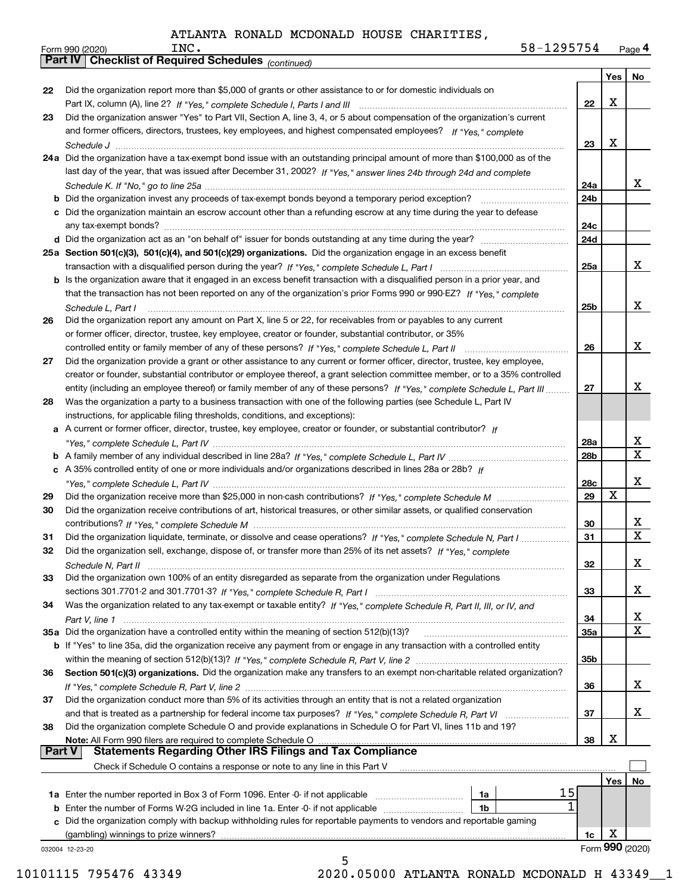| 58-1295754 | Page 4 |
|------------|--------|
|            |        |

|               | 58-1295754<br>INC.<br>Form 990 (2020)                                                                                        |            |     | Page 4          |  |  |  |  |  |  |
|---------------|------------------------------------------------------------------------------------------------------------------------------|------------|-----|-----------------|--|--|--|--|--|--|
|               | <b>Part IV   Checklist of Required Schedules (continued)</b>                                                                 |            |     |                 |  |  |  |  |  |  |
|               |                                                                                                                              |            | Yes | No              |  |  |  |  |  |  |
| 22            | Did the organization report more than \$5,000 of grants or other assistance to or for domestic individuals on                |            |     |                 |  |  |  |  |  |  |
|               |                                                                                                                              | 22         | X   |                 |  |  |  |  |  |  |
| 23            | Did the organization answer "Yes" to Part VII, Section A, line 3, 4, or 5 about compensation of the organization's current   |            |     |                 |  |  |  |  |  |  |
|               | and former officers, directors, trustees, key employees, and highest compensated employees? If "Yes," complete               | 23         | х   |                 |  |  |  |  |  |  |
|               |                                                                                                                              |            |     |                 |  |  |  |  |  |  |
|               | 24a Did the organization have a tax-exempt bond issue with an outstanding principal amount of more than \$100,000 as of the  |            |     |                 |  |  |  |  |  |  |
|               | last day of the year, that was issued after December 31, 2002? If "Yes," answer lines 24b through 24d and complete           |            |     |                 |  |  |  |  |  |  |
|               |                                                                                                                              | 24a        |     | X.              |  |  |  |  |  |  |
|               |                                                                                                                              | 24b        |     |                 |  |  |  |  |  |  |
|               | c Did the organization maintain an escrow account other than a refunding escrow at any time during the year to defease       |            |     |                 |  |  |  |  |  |  |
|               |                                                                                                                              | 24c        |     |                 |  |  |  |  |  |  |
|               |                                                                                                                              | 24d        |     |                 |  |  |  |  |  |  |
|               | 25a Section 501(c)(3), 501(c)(4), and 501(c)(29) organizations. Did the organization engage in an excess benefit             |            |     |                 |  |  |  |  |  |  |
|               |                                                                                                                              | 25a        |     | x               |  |  |  |  |  |  |
|               | b Is the organization aware that it engaged in an excess benefit transaction with a disqualified person in a prior year, and |            |     |                 |  |  |  |  |  |  |
|               | that the transaction has not been reported on any of the organization's prior Forms 990 or 990-EZ? If "Yes," complete        |            |     |                 |  |  |  |  |  |  |
|               | Schedule L, Part I                                                                                                           | 25b        |     | x               |  |  |  |  |  |  |
| 26            | Did the organization report any amount on Part X, line 5 or 22, for receivables from or payables to any current              |            |     |                 |  |  |  |  |  |  |
|               | or former officer, director, trustee, key employee, creator or founder, substantial contributor, or 35%                      |            |     |                 |  |  |  |  |  |  |
|               | controlled entity or family member of any of these persons? If "Yes," complete Schedule L, Part II                           | 26         |     | x               |  |  |  |  |  |  |
| 27            | Did the organization provide a grant or other assistance to any current or former officer, director, trustee, key employee,  |            |     |                 |  |  |  |  |  |  |
|               | creator or founder, substantial contributor or employee thereof, a grant selection committee member, or to a 35% controlled  |            |     |                 |  |  |  |  |  |  |
|               | entity (including an employee thereof) or family member of any of these persons? If "Yes," complete Schedule L, Part III     | 27         |     | х               |  |  |  |  |  |  |
| 28            | Was the organization a party to a business transaction with one of the following parties (see Schedule L, Part IV            |            |     |                 |  |  |  |  |  |  |
|               | instructions, for applicable filing thresholds, conditions, and exceptions):                                                 |            |     |                 |  |  |  |  |  |  |
|               | a A current or former officer, director, trustee, key employee, creator or founder, or substantial contributor? If           |            |     |                 |  |  |  |  |  |  |
|               |                                                                                                                              | 28a        |     | x               |  |  |  |  |  |  |
|               |                                                                                                                              | 28b        |     | $\mathbf{x}$    |  |  |  |  |  |  |
|               | c A 35% controlled entity of one or more individuals and/or organizations described in lines 28a or 28b? If                  |            |     |                 |  |  |  |  |  |  |
|               |                                                                                                                              | 28c        |     | x               |  |  |  |  |  |  |
| 29            |                                                                                                                              | 29         | X   |                 |  |  |  |  |  |  |
| 30            | Did the organization receive contributions of art, historical treasures, or other similar assets, or qualified conservation  |            |     |                 |  |  |  |  |  |  |
|               |                                                                                                                              | 30         |     | X               |  |  |  |  |  |  |
| 31            | Did the organization liquidate, terminate, or dissolve and cease operations? If "Yes," complete Schedule N, Part I           | 31         |     | $\mathbf x$     |  |  |  |  |  |  |
|               | Did the organization sell, exchange, dispose of, or transfer more than 25% of its net assets? If "Yes," complete             |            |     |                 |  |  |  |  |  |  |
|               |                                                                                                                              | 32         |     | x               |  |  |  |  |  |  |
| 33            | Did the organization own 100% of an entity disregarded as separate from the organization under Regulations                   |            |     |                 |  |  |  |  |  |  |
|               |                                                                                                                              | 33         |     | x               |  |  |  |  |  |  |
| 34            | Was the organization related to any tax-exempt or taxable entity? If "Yes," complete Schedule R, Part II, III, or IV, and    |            |     |                 |  |  |  |  |  |  |
|               |                                                                                                                              | 34         |     | X               |  |  |  |  |  |  |
|               | 35a Did the organization have a controlled entity within the meaning of section 512(b)(13)?                                  | <b>35a</b> |     | X               |  |  |  |  |  |  |
|               | b If "Yes" to line 35a, did the organization receive any payment from or engage in any transaction with a controlled entity  |            |     |                 |  |  |  |  |  |  |
|               |                                                                                                                              | 35b        |     |                 |  |  |  |  |  |  |
| 36            | Section 501(c)(3) organizations. Did the organization make any transfers to an exempt non-charitable related organization?   |            |     |                 |  |  |  |  |  |  |
|               |                                                                                                                              | 36         |     | x               |  |  |  |  |  |  |
| 37            | Did the organization conduct more than 5% of its activities through an entity that is not a related organization             |            |     |                 |  |  |  |  |  |  |
|               |                                                                                                                              | 37         |     | x               |  |  |  |  |  |  |
| 38            | Did the organization complete Schedule O and provide explanations in Schedule O for Part VI, lines 11b and 19?               |            |     |                 |  |  |  |  |  |  |
|               | Note: All Form 990 filers are required to complete Schedule O                                                                | 38         | x   |                 |  |  |  |  |  |  |
| <b>Part V</b> | <b>Statements Regarding Other IRS Filings and Tax Compliance</b>                                                             |            |     |                 |  |  |  |  |  |  |
|               | Check if Schedule O contains a response or note to any line in this Part V                                                   |            |     |                 |  |  |  |  |  |  |
|               |                                                                                                                              |            | Yes | No              |  |  |  |  |  |  |
|               | 15<br>1a Enter the number reported in Box 3 of Form 1096. Enter -0- if not applicable<br>1a                                  |            |     |                 |  |  |  |  |  |  |
| b             | 1<br>Enter the number of Forms W-2G included in line 1a. Enter -0- if not applicable<br>1b                                   |            |     |                 |  |  |  |  |  |  |
| c             | Did the organization comply with backup withholding rules for reportable payments to vendors and reportable gaming           |            |     |                 |  |  |  |  |  |  |
|               | (gambling) winnings to prize winners?                                                                                        | 1c         | х   |                 |  |  |  |  |  |  |
|               | 032004 12-23-20                                                                                                              |            |     | Form 990 (2020) |  |  |  |  |  |  |
|               | 5                                                                                                                            |            |     |                 |  |  |  |  |  |  |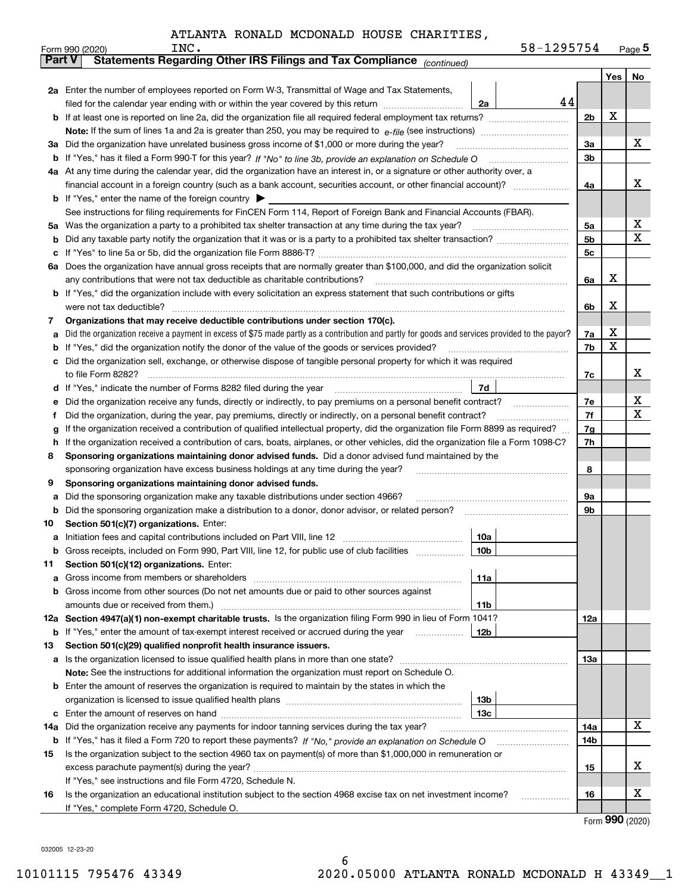|               |  | INC.<br>Form 990 (2020)                                                                                                                                                                                                                    |                 | 58-1295754 |                      |     | $Page$ <sup>5</sup> |  |  |  |  |
|---------------|--|--------------------------------------------------------------------------------------------------------------------------------------------------------------------------------------------------------------------------------------------|-----------------|------------|----------------------|-----|---------------------|--|--|--|--|
| <b>Part V</b> |  | Statements Regarding Other IRS Filings and Tax Compliance (continued)                                                                                                                                                                      |                 |            |                      |     |                     |  |  |  |  |
|               |  |                                                                                                                                                                                                                                            |                 |            |                      | Yes | No                  |  |  |  |  |
|               |  | 2a Enter the number of employees reported on Form W-3, Transmittal of Wage and Tax Statements,                                                                                                                                             |                 |            |                      |     |                     |  |  |  |  |
|               |  | filed for the calendar year ending with or within the year covered by this return                                                                                                                                                          | 2a              | 44         |                      |     |                     |  |  |  |  |
|               |  |                                                                                                                                                                                                                                            |                 |            |                      |     |                     |  |  |  |  |
|               |  |                                                                                                                                                                                                                                            |                 |            |                      |     |                     |  |  |  |  |
| За            |  | Did the organization have unrelated business gross income of \$1,000 or more during the year?                                                                                                                                              |                 |            | 3a                   |     | x                   |  |  |  |  |
| b             |  |                                                                                                                                                                                                                                            |                 |            | 3b                   |     |                     |  |  |  |  |
|               |  | 4a At any time during the calendar year, did the organization have an interest in, or a signature or other authority over, a                                                                                                               |                 |            |                      |     |                     |  |  |  |  |
|               |  | financial account in a foreign country (such as a bank account, securities account, or other financial account)?                                                                                                                           |                 |            | 4a                   |     | х                   |  |  |  |  |
|               |  | <b>b</b> If "Yes," enter the name of the foreign country $\blacktriangleright$                                                                                                                                                             |                 |            |                      |     |                     |  |  |  |  |
|               |  | See instructions for filing requirements for FinCEN Form 114, Report of Foreign Bank and Financial Accounts (FBAR).                                                                                                                        |                 |            |                      |     |                     |  |  |  |  |
| 5a            |  | Was the organization a party to a prohibited tax shelter transaction at any time during the tax year?                                                                                                                                      |                 |            | 5a                   |     | х                   |  |  |  |  |
| b             |  |                                                                                                                                                                                                                                            |                 |            | 5 <sub>b</sub>       |     | X                   |  |  |  |  |
| с             |  |                                                                                                                                                                                                                                            |                 |            | 5c                   |     |                     |  |  |  |  |
| 6а            |  | Does the organization have annual gross receipts that are normally greater than \$100,000, and did the organization solicit                                                                                                                |                 |            |                      |     |                     |  |  |  |  |
|               |  | any contributions that were not tax deductible as charitable contributions?                                                                                                                                                                |                 |            | 6a                   | х   |                     |  |  |  |  |
|               |  | If "Yes," did the organization include with every solicitation an express statement that such contributions or gifts                                                                                                                       |                 |            |                      |     |                     |  |  |  |  |
|               |  | were not tax deductible?                                                                                                                                                                                                                   |                 |            | 6b                   | х   |                     |  |  |  |  |
| 7             |  | Organizations that may receive deductible contributions under section 170(c).                                                                                                                                                              |                 |            |                      |     |                     |  |  |  |  |
| а             |  | Did the organization receive a payment in excess of \$75 made partly as a contribution and partly for goods and services provided to the payor?                                                                                            |                 |            | 7a                   | х   |                     |  |  |  |  |
| b             |  | If "Yes," did the organization notify the donor of the value of the goods or services provided?                                                                                                                                            |                 |            | 7b                   | х   |                     |  |  |  |  |
|               |  | Did the organization sell, exchange, or otherwise dispose of tangible personal property for which it was required                                                                                                                          |                 |            |                      |     |                     |  |  |  |  |
|               |  | to file Form 8282?                                                                                                                                                                                                                         |                 |            | 7c                   |     | x                   |  |  |  |  |
| d             |  | If "Yes," indicate the number of Forms 8282 filed during the year                                                                                                                                                                          | 7d              |            |                      |     |                     |  |  |  |  |
| е             |  | Did the organization receive any funds, directly or indirectly, to pay premiums on a personal benefit contract?                                                                                                                            |                 |            | 7e                   |     | х<br>x              |  |  |  |  |
| f             |  | Did the organization, during the year, pay premiums, directly or indirectly, on a personal benefit contract?                                                                                                                               |                 |            | 7f                   |     |                     |  |  |  |  |
| g             |  | If the organization received a contribution of qualified intellectual property, did the organization file Form 8899 as required?                                                                                                           |                 |            | 7 <sub>g</sub><br>7h |     |                     |  |  |  |  |
| h             |  | If the organization received a contribution of cars, boats, airplanes, or other vehicles, did the organization file a Form 1098-C?<br>Sponsoring organizations maintaining donor advised funds. Did a donor advised fund maintained by the |                 |            |                      |     |                     |  |  |  |  |
| 8             |  | sponsoring organization have excess business holdings at any time during the year?                                                                                                                                                         |                 |            | 8                    |     |                     |  |  |  |  |
| 9             |  | Sponsoring organizations maintaining donor advised funds.                                                                                                                                                                                  |                 |            |                      |     |                     |  |  |  |  |
| а             |  | Did the sponsoring organization make any taxable distributions under section 4966?                                                                                                                                                         |                 |            | 9а                   |     |                     |  |  |  |  |
| b             |  | Did the sponsoring organization make a distribution to a donor, donor advisor, or related person?                                                                                                                                          |                 |            | 9b                   |     |                     |  |  |  |  |
| 10            |  | Section 501(c)(7) organizations. Enter:                                                                                                                                                                                                    |                 |            |                      |     |                     |  |  |  |  |
| а             |  |                                                                                                                                                                                                                                            | 10a             |            |                      |     |                     |  |  |  |  |
|               |  | Gross receipts, included on Form 990, Part VIII, line 12, for public use of club facilities                                                                                                                                                | 10 <sub>b</sub> |            |                      |     |                     |  |  |  |  |
| 11            |  | Section 501(c)(12) organizations. Enter:                                                                                                                                                                                                   |                 |            |                      |     |                     |  |  |  |  |
| а             |  | Gross income from members or shareholders                                                                                                                                                                                                  | 11a             |            |                      |     |                     |  |  |  |  |
| b             |  | Gross income from other sources (Do not net amounts due or paid to other sources against                                                                                                                                                   |                 |            |                      |     |                     |  |  |  |  |
|               |  | amounts due or received from them.)                                                                                                                                                                                                        | 11b             |            |                      |     |                     |  |  |  |  |
|               |  | 12a Section 4947(a)(1) non-exempt charitable trusts. Is the organization filing Form 990 in lieu of Form 1041?                                                                                                                             |                 |            | 12a                  |     |                     |  |  |  |  |
|               |  | <b>b</b> If "Yes," enter the amount of tax-exempt interest received or accrued during the year <i>manument</i>                                                                                                                             | 12b             |            |                      |     |                     |  |  |  |  |
| 13            |  | Section 501(c)(29) qualified nonprofit health insurance issuers.                                                                                                                                                                           |                 |            |                      |     |                     |  |  |  |  |
| a             |  | Is the organization licensed to issue qualified health plans in more than one state?                                                                                                                                                       |                 |            | 13a                  |     |                     |  |  |  |  |
|               |  | Note: See the instructions for additional information the organization must report on Schedule O.                                                                                                                                          |                 |            |                      |     |                     |  |  |  |  |
| b             |  | Enter the amount of reserves the organization is required to maintain by the states in which the                                                                                                                                           |                 |            |                      |     |                     |  |  |  |  |
|               |  |                                                                                                                                                                                                                                            | 13 <sub>b</sub> |            |                      |     |                     |  |  |  |  |
| с             |  |                                                                                                                                                                                                                                            | 13 <sub>c</sub> |            |                      |     |                     |  |  |  |  |
| 14a           |  | Did the organization receive any payments for indoor tanning services during the tax year?                                                                                                                                                 |                 |            | 14a                  |     | x                   |  |  |  |  |
|               |  | <b>b</b> If "Yes," has it filed a Form 720 to report these payments? If "No," provide an explanation on Schedule O                                                                                                                         |                 |            | 14b                  |     |                     |  |  |  |  |
| 15            |  | Is the organization subject to the section 4960 tax on payment(s) of more than \$1,000,000 in remuneration or                                                                                                                              |                 |            |                      |     |                     |  |  |  |  |
|               |  | excess parachute payment(s) during the year?                                                                                                                                                                                               |                 |            | 15                   |     | x                   |  |  |  |  |
|               |  | If "Yes," see instructions and file Form 4720, Schedule N.                                                                                                                                                                                 |                 |            |                      |     |                     |  |  |  |  |
| 16            |  | Is the organization an educational institution subject to the section 4968 excise tax on net investment income?                                                                                                                            |                 |            | 16                   |     | х                   |  |  |  |  |
|               |  | If "Yes," complete Form 4720, Schedule O.                                                                                                                                                                                                  |                 |            |                      |     |                     |  |  |  |  |

Form (2020) **990**

032005 12-23-20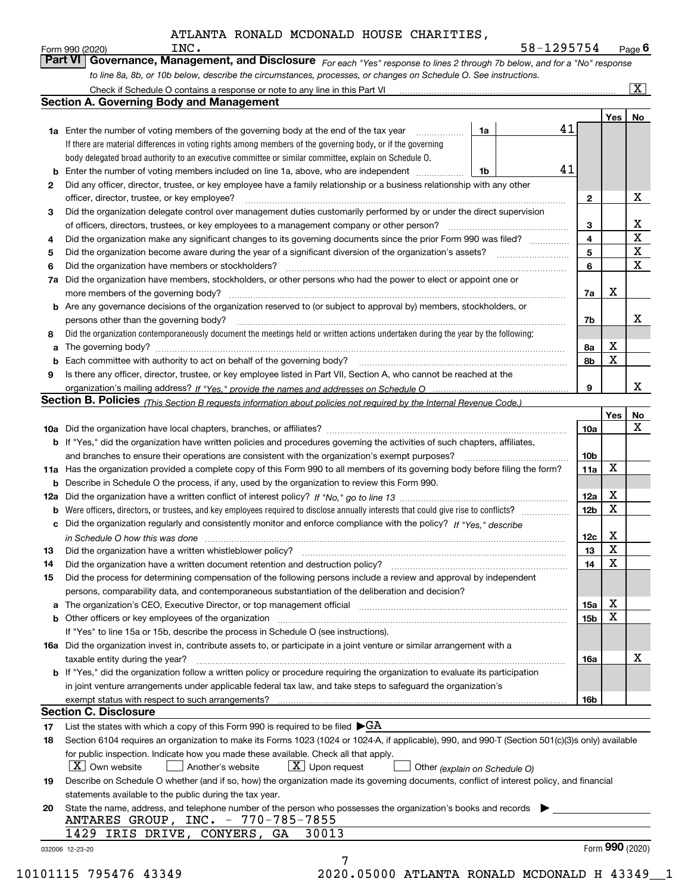|    | to line 8a, 8b, or 10b below, describe the circumstances, processes, or changes on Schedule O. See instructions.                                 |                 |                 |                         |
|----|--------------------------------------------------------------------------------------------------------------------------------------------------|-----------------|-----------------|-------------------------|
|    |                                                                                                                                                  |                 |                 | $\boxed{\text{X}}$      |
|    | <b>Section A. Governing Body and Management</b>                                                                                                  |                 |                 |                         |
|    | 41<br><b>1a</b> Enter the number of voting members of the governing body at the end of the tax year <i>manumum</i><br>1a                         |                 | Yes             | No                      |
|    | If there are material differences in voting rights among members of the governing body, or if the governing                                      |                 |                 |                         |
|    | body delegated broad authority to an executive committee or similar committee, explain on Schedule O.                                            |                 |                 |                         |
|    | 41<br>Enter the number of voting members included on line 1a, above, who are independent<br>1b                                                   |                 |                 |                         |
| 2  | Did any officer, director, trustee, or key employee have a family relationship or a business relationship with any other                         |                 |                 |                         |
|    | officer, director, trustee, or key employee?                                                                                                     | $\mathbf{2}$    |                 | х                       |
| 3  | Did the organization delegate control over management duties customarily performed by or under the direct supervision                            |                 |                 |                         |
|    | of officers, directors, trustees, or key employees to a management company or other person?                                                      | 3               |                 | $\overline{\mathbf{x}}$ |
| 4  | Did the organization make any significant changes to its governing documents since the prior Form 990 was filed?                                 | 4               |                 | $\overline{\textbf{x}}$ |
| 5  |                                                                                                                                                  | 5               |                 | $\mathbf X$             |
| 6  | Did the organization have members or stockholders?                                                                                               | 6               |                 | $\mathbf X$             |
| 7a | Did the organization have members, stockholders, or other persons who had the power to elect or appoint one or                                   |                 |                 |                         |
|    |                                                                                                                                                  | 7a              | x               |                         |
|    | <b>b</b> Are any governance decisions of the organization reserved to (or subject to approval by) members, stockholders, or                      |                 |                 |                         |
|    | persons other than the governing body?                                                                                                           | 7b              |                 | х                       |
| 8  | Did the organization contemporaneously document the meetings held or written actions undertaken during the year by the following:                |                 |                 |                         |
| а  |                                                                                                                                                  | 8a              | Χ               |                         |
| b  |                                                                                                                                                  | 8b              | X               |                         |
| 9  | Is there any officer, director, trustee, or key employee listed in Part VII, Section A, who cannot be reached at the                             |                 |                 |                         |
|    |                                                                                                                                                  | 9               |                 | х                       |
|    | Section B. Policies (This Section B requests information about policies not required by the Internal Revenue Code.)                              |                 |                 |                         |
|    |                                                                                                                                                  |                 | Yes             | No                      |
|    |                                                                                                                                                  | 10a             |                 | X                       |
|    | b If "Yes," did the organization have written policies and procedures governing the activities of such chapters, affiliates,                     |                 |                 |                         |
|    | and branches to ensure their operations are consistent with the organization's exempt purposes?                                                  | 10b             | х               |                         |
|    | 11a Has the organization provided a complete copy of this Form 990 to all members of its governing body before filing the form?                  | 11a             |                 |                         |
|    | <b>b</b> Describe in Schedule O the process, if any, used by the organization to review this Form 990.                                           |                 | X               |                         |
| b  | Were officers, directors, or trustees, and key employees required to disclose annually interests that could give rise to conflicts?              | 12a<br>12b      | X               |                         |
|    | c Did the organization regularly and consistently monitor and enforce compliance with the policy? If "Yes," describe                             |                 |                 |                         |
|    |                                                                                                                                                  | 12c             | х               |                         |
|    | in Schedule O how this was done manufactured and continuum control of the state of the state of how this was done                                | 13              | $\mathbf X$     |                         |
| 14 | Did the organization have a written document retention and destruction policy? [11] manufaction: manufaction policy?                             | 14              | X               |                         |
| 15 | Did the process for determining compensation of the following persons include a review and approval by independent                               |                 |                 |                         |
|    | persons, comparability data, and contemporaneous substantiation of the deliberation and decision?                                                |                 |                 |                         |
|    |                                                                                                                                                  | 15a             | х               |                         |
|    | <b>b</b> Other officers or key employees of the organization                                                                                     | 15 <sub>b</sub> | X               |                         |
|    | If "Yes" to line 15a or 15b, describe the process in Schedule O (see instructions).                                                              |                 |                 |                         |
|    | 16a Did the organization invest in, contribute assets to, or participate in a joint venture or similar arrangement with a                        |                 |                 |                         |
|    | taxable entity during the year?                                                                                                                  | 16a             |                 | х                       |
|    | b If "Yes," did the organization follow a written policy or procedure requiring the organization to evaluate its participation                   |                 |                 |                         |
|    | in joint venture arrangements under applicable federal tax law, and take steps to safeguard the organization's                                   |                 |                 |                         |
|    |                                                                                                                                                  | 16b             |                 |                         |
|    | <b>Section C. Disclosure</b>                                                                                                                     |                 |                 |                         |
| 17 | List the states with which a copy of this Form 990 is required to be filed $\blacktriangleright$ GA                                              |                 |                 |                         |
| 18 | Section 6104 requires an organization to make its Forms 1023 (1024 or 1024-A, if applicable), 990, and 990-T (Section 501(c)(3)s only) available |                 |                 |                         |
|    | for public inspection. Indicate how you made these available. Check all that apply.                                                              |                 |                 |                         |
|    | $\mid$ $\rm X \mid$ Own website<br>$\lfloor x \rfloor$ Upon request<br>Another's website<br>$\mathbf{1}$<br>Other (explain on Schedule O)        |                 |                 |                         |
| 19 | Describe on Schedule O whether (and if so, how) the organization made its governing documents, conflict of interest policy, and financial        |                 |                 |                         |
|    | statements available to the public during the tax year.                                                                                          |                 |                 |                         |
| 20 | State the name, address, and telephone number of the person who possesses the organization's books and records                                   |                 |                 |                         |
|    | ANTARES GROUP, INC. - 770-785-7855                                                                                                               |                 |                 |                         |
|    | 1429 IRIS DRIVE, CONYERS,<br>GA<br>30013                                                                                                         |                 | Form 990 (2020) |                         |
|    | 032006 12-23-20                                                                                                                                  |                 |                 |                         |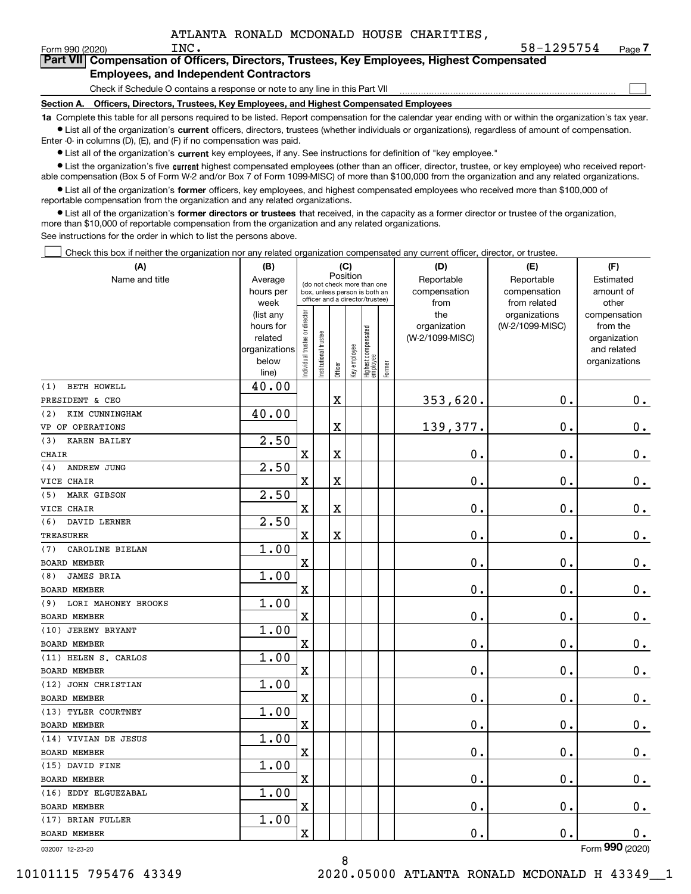$\mathcal{L}^{\text{max}}$ 

| orm 990 (2020) <sup>.</sup> | INC.                                          | 58-1295754                                                                                 | Page <i>I</i> |
|-----------------------------|-----------------------------------------------|--------------------------------------------------------------------------------------------|---------------|
|                             |                                               | Part VII Compensation of Officers, Directors, Trustees, Key Employees, Highest Compensated |               |
|                             | <b>Employees, and Independent Contractors</b> |                                                                                            |               |

Check if Schedule O contains a response or note to any line in this Part VII

**Section A. Officers, Directors, Trustees, Key Employees, and Highest Compensated Employees**

**1a**  Complete this table for all persons required to be listed. Report compensation for the calendar year ending with or within the organization's tax year. **•** List all of the organization's current officers, directors, trustees (whether individuals or organizations), regardless of amount of compensation.

Enter -0- in columns (D), (E), and (F) if no compensation was paid.

 $\bullet$  List all of the organization's  $\,$ current key employees, if any. See instructions for definition of "key employee."

**•** List the organization's five current highest compensated employees (other than an officer, director, trustee, or key employee) who received reportable compensation (Box 5 of Form W-2 and/or Box 7 of Form 1099-MISC) of more than \$100,000 from the organization and any related organizations.

**•** List all of the organization's former officers, key employees, and highest compensated employees who received more than \$100,000 of reportable compensation from the organization and any related organizations.

**former directors or trustees**  ¥ List all of the organization's that received, in the capacity as a former director or trustee of the organization, more than \$10,000 of reportable compensation from the organization and any related organizations.

See instructions for the order in which to list the persons above.

Check this box if neither the organization nor any related organization compensated any current officer, director, or trustee.  $\mathcal{L}^{\text{max}}$ 

| (A)                        | (B)               |                               |                       | (C)                     |              |                                                                  |        | (D)             | (E)                           | (F)                   |
|----------------------------|-------------------|-------------------------------|-----------------------|-------------------------|--------------|------------------------------------------------------------------|--------|-----------------|-------------------------------|-----------------------|
| Name and title             | Average           |                               |                       | Position                |              | (do not check more than one                                      |        | Reportable      | Reportable                    | Estimated             |
|                            | hours per         |                               |                       |                         |              | box, unless person is both an<br>officer and a director/trustee) |        | compensation    | compensation                  | amount of             |
|                            | week<br>(list any |                               |                       |                         |              |                                                                  |        | from<br>the     | from related<br>organizations | other<br>compensation |
|                            | hours for         |                               |                       |                         |              |                                                                  |        | organization    | (W-2/1099-MISC)               | from the              |
|                            | related           |                               |                       |                         |              |                                                                  |        | (W-2/1099-MISC) |                               | organization          |
|                            | organizations     |                               |                       |                         |              |                                                                  |        |                 |                               | and related           |
|                            | below             | ndividual trustee or director | Institutional trustee |                         | Key employee |                                                                  |        |                 |                               | organizations         |
|                            | line)             |                               |                       | Officer                 |              | Highest compensated<br>  employee                                | Former |                 |                               |                       |
| <b>BETH HOWELL</b><br>(1)  | 40.00             |                               |                       |                         |              |                                                                  |        |                 |                               |                       |
| PRESIDENT & CEO            |                   |                               |                       | X                       |              |                                                                  |        | 353,620.        | 0.                            | $\mathbf 0$ .         |
| KIM CUNNINGHAM<br>(2)      | 40.00             |                               |                       |                         |              |                                                                  |        |                 |                               |                       |
| VP OF OPERATIONS           |                   |                               |                       | X                       |              |                                                                  |        | 139,377.        | 0.                            | $\mathbf 0$ .         |
| <b>KAREN BAILEY</b><br>(3) | 2.50              |                               |                       |                         |              |                                                                  |        |                 |                               |                       |
| <b>CHAIR</b>               |                   | $\mathbf x$                   |                       | $\overline{\text{X}}$   |              |                                                                  |        | 0.              | 0.                            | $\mathbf 0$ .         |
| ANDREW JUNG<br>(4)         | 2.50              |                               |                       |                         |              |                                                                  |        |                 |                               |                       |
| VICE CHAIR                 |                   | $\mathbf x$                   |                       | $\overline{\mathbf{X}}$ |              |                                                                  |        | 0.              | $\mathbf{0}$ .                | $\mathbf 0$ .         |
| <b>MARK GIBSON</b><br>(5)  | 2.50              |                               |                       |                         |              |                                                                  |        |                 |                               |                       |
| VICE CHAIR                 |                   | $\mathbf x$                   |                       | X                       |              |                                                                  |        | 0.              | 0.                            | 0.                    |
| (6)<br>DAVID LERNER        | 2.50              |                               |                       |                         |              |                                                                  |        |                 |                               |                       |
| TREASURER                  |                   | $\mathbf X$                   |                       | X                       |              |                                                                  |        | 0.              | 0.                            | $\mathbf 0$ .         |
| CAROLINE BIELAN<br>(7)     | 1.00              |                               |                       |                         |              |                                                                  |        |                 |                               |                       |
| <b>BOARD MEMBER</b>        |                   | $\overline{\text{X}}$         |                       |                         |              |                                                                  |        | 0.              | 0.                            | $\mathbf 0$ .         |
| <b>JAMES BRIA</b><br>(8)   | 1.00              |                               |                       |                         |              |                                                                  |        |                 |                               |                       |
| <b>BOARD MEMBER</b>        |                   | X                             |                       |                         |              |                                                                  |        | 0.              | $\mathbf 0$ .                 | $\mathbf 0$ .         |
| LORI MAHONEY BROOKS<br>(9) | 1.00              |                               |                       |                         |              |                                                                  |        |                 |                               |                       |
| BOARD MEMBER               |                   | X                             |                       |                         |              |                                                                  |        | 0.              | 0.                            | $\mathbf 0$ .         |
| (10) JEREMY BRYANT         | 1.00              |                               |                       |                         |              |                                                                  |        |                 |                               |                       |
| <b>BOARD MEMBER</b>        |                   | $\mathbf x$                   |                       |                         |              |                                                                  |        | $\mathbf 0$ .   | $\mathbf 0$ .                 | $\mathbf 0$ .         |
| (11) HELEN S. CARLOS       | 1.00              |                               |                       |                         |              |                                                                  |        |                 |                               |                       |
| <b>BOARD MEMBER</b>        |                   | X                             |                       |                         |              |                                                                  |        | $\mathbf 0$ .   | 0.                            | $\mathbf 0$ .         |
| (12) JOHN CHRISTIAN        | 1.00              |                               |                       |                         |              |                                                                  |        |                 |                               |                       |
| <b>BOARD MEMBER</b>        |                   | X                             |                       |                         |              |                                                                  |        | 0.              | $\mathbf 0$ .                 | $\mathbf 0$ .         |
| (13) TYLER COURTNEY        | 1.00              |                               |                       |                         |              |                                                                  |        |                 |                               |                       |
| <b>BOARD MEMBER</b>        |                   | X                             |                       |                         |              |                                                                  |        | 0.              | $\mathbf 0$ .                 | $\mathbf 0$ .         |
| (14) VIVIAN DE JESUS       | 1.00              |                               |                       |                         |              |                                                                  |        |                 |                               |                       |
| <b>BOARD MEMBER</b>        |                   | $\mathbf X$                   |                       |                         |              |                                                                  |        | 0.              | 0.                            | 0.                    |
| (15) DAVID FINE            | 1.00              |                               |                       |                         |              |                                                                  |        |                 |                               |                       |
| <b>BOARD MEMBER</b>        |                   | X                             |                       |                         |              |                                                                  |        | 0.              | 0.                            | $0_{.}$               |
| (16) EDDY ELGUEZABAL       | 1.00              |                               |                       |                         |              |                                                                  |        |                 |                               |                       |
| BOARD MEMBER               |                   | $\mathbf X$                   |                       |                         |              |                                                                  |        | 0.              | $\mathbf 0$ .                 | 0.                    |
| (17) BRIAN FULLER          | 1.00              |                               |                       |                         |              |                                                                  |        |                 |                               |                       |
| <b>BOARD MEMBER</b>        |                   | X                             |                       |                         |              |                                                                  |        | 0.              | $\mathbf 0$ .                 | 0.                    |
|                            |                   |                               |                       |                         |              |                                                                  |        |                 |                               | $\overline{2}$        |

032007 12-23-20

Form (2020) **990**

8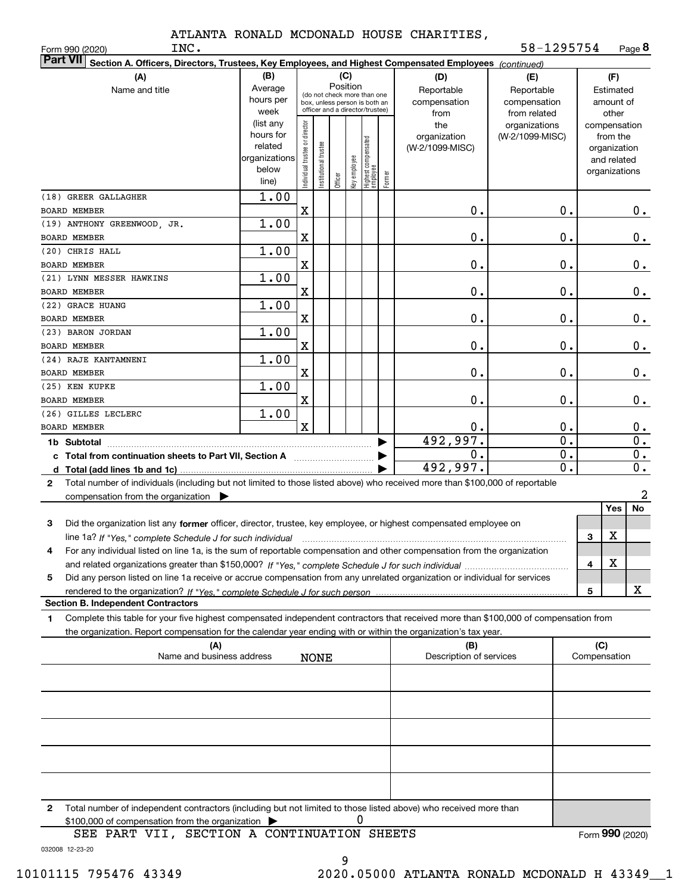INC.

Form 990 (2020) Page **8** 58-1295754

| <b>Part VII</b><br>Section A. Officers, Directors, Trustees, Key Employees, and Highest Compensated Employees (continued)                    |                        |                                         |                      |         |              |                                 |        |                                 |                  |              |                          |                           |
|----------------------------------------------------------------------------------------------------------------------------------------------|------------------------|-----------------------------------------|----------------------|---------|--------------|---------------------------------|--------|---------------------------------|------------------|--------------|--------------------------|---------------------------|
| (B)<br>(A)<br>(C)<br>(D)<br>(E)                                                                                                              |                        |                                         |                      |         |              |                                 |        |                                 | (F)              |              |                          |                           |
| Name and title                                                                                                                               | Average                | Position<br>(do not check more than one |                      |         |              |                                 |        | Reportable                      | Reportable       |              | Estimated                |                           |
|                                                                                                                                              | hours per              |                                         |                      |         |              | box, unless person is both an   |        | compensation                    | compensation     |              | amount of                |                           |
|                                                                                                                                              | week                   |                                         |                      |         |              | officer and a director/trustee) |        | from                            | from related     |              | other                    |                           |
|                                                                                                                                              | (list any<br>hours for |                                         |                      |         |              |                                 |        | the                             | organizations    |              | compensation             |                           |
|                                                                                                                                              | related                |                                         |                      |         |              |                                 |        | organization<br>(W-2/1099-MISC) | (W-2/1099-MISC)  |              | from the<br>organization |                           |
|                                                                                                                                              | organizations          |                                         |                      |         |              |                                 |        |                                 |                  |              | and related              |                           |
|                                                                                                                                              | below                  | Individual trustee or director          | nstitutional trustee |         | Key employee | Highest compensated<br>employee |        |                                 |                  |              | organizations            |                           |
|                                                                                                                                              | line)                  |                                         |                      | Officer |              |                                 | Former |                                 |                  |              |                          |                           |
| (18) GREER GALLAGHER                                                                                                                         | 1.00                   |                                         |                      |         |              |                                 |        |                                 |                  |              |                          |                           |
| BOARD MEMBER                                                                                                                                 |                        | X                                       |                      |         |              |                                 |        | 0.                              | 0.               |              |                          | $0$ .                     |
| (19) ANTHONY GREENWOOD, JR.                                                                                                                  | 1.00                   |                                         |                      |         |              |                                 |        |                                 |                  |              |                          |                           |
| BOARD MEMBER                                                                                                                                 |                        | X                                       |                      |         |              |                                 |        | 0.                              | 0.               |              |                          | 0.                        |
| (20) CHRIS HALL<br>BOARD MEMBER                                                                                                              | 1.00                   | X                                       |                      |         |              |                                 |        | 0.                              | 0.               |              |                          | 0.                        |
| (21) LYNN MESSER HAWKINS                                                                                                                     | 1.00                   |                                         |                      |         |              |                                 |        |                                 |                  |              |                          |                           |
| BOARD MEMBER                                                                                                                                 |                        | X                                       |                      |         |              |                                 |        | 0.                              | 0.               |              |                          | 0.                        |
| (22) GRACE HUANG                                                                                                                             | 1.00                   |                                         |                      |         |              |                                 |        |                                 |                  |              |                          |                           |
| BOARD MEMBER                                                                                                                                 |                        | X                                       |                      |         |              |                                 |        | 0.                              | 0.               |              |                          | 0.                        |
| (23) BARON JORDAN                                                                                                                            | 1.00                   |                                         |                      |         |              |                                 |        |                                 |                  |              |                          |                           |
| <b>BOARD MEMBER</b>                                                                                                                          |                        | X                                       |                      |         |              |                                 |        | 0.                              | 0.               |              |                          | 0.                        |
| (24) RAJE KANTAMNENI                                                                                                                         | 1.00                   |                                         |                      |         |              |                                 |        |                                 |                  |              |                          |                           |
| BOARD MEMBER                                                                                                                                 |                        | X                                       |                      |         |              |                                 |        | 0.                              | 0.               |              |                          | 0.                        |
| (25) KEN KUPKE                                                                                                                               | 1.00                   |                                         |                      |         |              |                                 |        |                                 |                  |              |                          |                           |
| <b>BOARD MEMBER</b>                                                                                                                          |                        | X                                       |                      |         |              |                                 |        | 0.                              | 0.               |              |                          | 0.                        |
| (26) GILLES LECLERC<br><b>BOARD MEMBER</b>                                                                                                   | 1.00                   | $\mathbf x$                             |                      |         |              |                                 |        | 0.                              | 0.               |              |                          | 0.                        |
| 1b Subtotal                                                                                                                                  |                        |                                         |                      |         |              |                                 |        | 492,997.                        | $\overline{0}$ . |              |                          | $\overline{\mathbf{0}}$ . |
| c Total from continuation sheets to Part VII, Section A manufactor continuum                                                                 |                        |                                         |                      |         |              |                                 |        | 0.                              | $\overline{0}$ . |              |                          | $\overline{\mathbf{0}}$ . |
| d Total (add lines 1b and 1c).                                                                                                               |                        |                                         |                      |         |              |                                 |        | 492,997.                        | $\overline{0}$ . |              |                          | $\overline{0}$ .          |
| Total number of individuals (including but not limited to those listed above) who received more than \$100,000 of reportable<br>$\mathbf{2}$ |                        |                                         |                      |         |              |                                 |        |                                 |                  |              |                          |                           |
| compensation from the organization $\blacktriangleright$                                                                                     |                        |                                         |                      |         |              |                                 |        |                                 |                  |              |                          | 2                         |
|                                                                                                                                              |                        |                                         |                      |         |              |                                 |        |                                 |                  |              | Yes                      | No                        |
| Did the organization list any former officer, director, trustee, key employee, or highest compensated employee on<br>3                       |                        |                                         |                      |         |              |                                 |        |                                 |                  |              |                          |                           |
| line 1a? If "Yes," complete Schedule J for such individual                                                                                   |                        |                                         |                      |         |              |                                 |        |                                 |                  | 3            | X                        |                           |
| For any individual listed on line 1a, is the sum of reportable compensation and other compensation from the organization<br>4                |                        |                                         |                      |         |              |                                 |        |                                 |                  |              |                          |                           |
|                                                                                                                                              |                        |                                         |                      |         |              |                                 |        |                                 |                  | 4            | X                        |                           |
| Did any person listed on line 1a receive or accrue compensation from any unrelated organization or individual for services<br>5              |                        |                                         |                      |         |              |                                 |        |                                 |                  |              |                          |                           |
|                                                                                                                                              |                        |                                         |                      |         |              |                                 |        |                                 |                  | 5            |                          | X                         |
| <b>Section B. Independent Contractors</b>                                                                                                    |                        |                                         |                      |         |              |                                 |        |                                 |                  |              |                          |                           |
| Complete this table for your five highest compensated independent contractors that received more than \$100,000 of compensation from<br>1    |                        |                                         |                      |         |              |                                 |        |                                 |                  |              |                          |                           |
| the organization. Report compensation for the calendar year ending with or within the organization's tax year.<br>(A)                        |                        |                                         |                      |         |              |                                 |        | (B)                             |                  | (C)          |                          |                           |
| Name and business address                                                                                                                    |                        |                                         | <b>NONE</b>          |         |              |                                 |        | Description of services         |                  | Compensation |                          |                           |
|                                                                                                                                              |                        |                                         |                      |         |              |                                 |        |                                 |                  |              |                          |                           |
|                                                                                                                                              |                        |                                         |                      |         |              |                                 |        |                                 |                  |              |                          |                           |
|                                                                                                                                              |                        |                                         |                      |         |              |                                 |        |                                 |                  |              |                          |                           |
|                                                                                                                                              |                        |                                         |                      |         |              |                                 |        |                                 |                  |              |                          |                           |
|                                                                                                                                              |                        |                                         |                      |         |              |                                 |        |                                 |                  |              |                          |                           |
|                                                                                                                                              |                        |                                         |                      |         |              |                                 |        |                                 |                  |              |                          |                           |
|                                                                                                                                              |                        |                                         |                      |         |              |                                 |        |                                 |                  |              |                          |                           |
|                                                                                                                                              |                        |                                         |                      |         |              |                                 |        |                                 |                  |              |                          |                           |
|                                                                                                                                              |                        |                                         |                      |         |              |                                 |        |                                 |                  |              |                          |                           |
| Total number of independent contractors (including but not limited to those listed above) who received more than<br>$\mathbf{2}$             |                        |                                         |                      |         |              |                                 |        |                                 |                  |              |                          |                           |
| \$100,000 of compensation from the organization<br>SEE PART VII, SECTION A CONTINUATION SHEETS                                               |                        |                                         |                      |         | 0            |                                 |        |                                 |                  |              | Form 990 (2020)          |                           |
|                                                                                                                                              |                        |                                         |                      |         |              |                                 |        |                                 |                  |              |                          |                           |

032008 12-23-20 SEE PART VII, SECTION A CONTINUATION SHEETS

9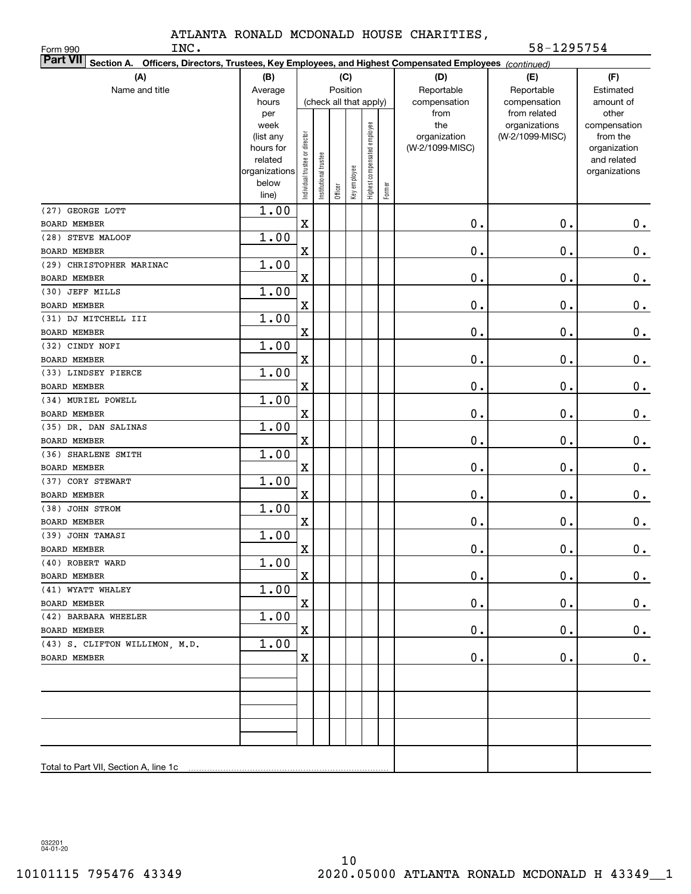INC. 58-1295754

| INC.<br>Form 990                                                                                                          |                        |                                |                       |          |              |                              |        |                                 | 58-1295754      |                          |
|---------------------------------------------------------------------------------------------------------------------------|------------------------|--------------------------------|-----------------------|----------|--------------|------------------------------|--------|---------------------------------|-----------------|--------------------------|
| <b>Part VII</b><br>Section A. Officers, Directors, Trustees, Key Employees, and Highest Compensated Employees (continued) |                        |                                |                       |          |              |                              |        |                                 |                 |                          |
| (A)                                                                                                                       | (B)                    |                                |                       |          | (C)          |                              |        | (D)                             | (E)             | (F)                      |
| Name and title                                                                                                            | Average                |                                |                       | Position |              |                              |        | Reportable                      | Reportable      | Estimated                |
|                                                                                                                           | hours                  |                                |                       |          |              | (check all that apply)       |        | compensation                    | compensation    | amount of                |
|                                                                                                                           | per                    |                                |                       |          |              |                              |        | from                            | from related    | other                    |
|                                                                                                                           | week                   |                                |                       |          |              |                              |        | the                             | organizations   | compensation             |
|                                                                                                                           | (list any<br>hours for |                                |                       |          |              |                              |        | organization<br>(W-2/1099-MISC) | (W-2/1099-MISC) | from the<br>organization |
|                                                                                                                           | related                |                                |                       |          |              |                              |        |                                 |                 | and related              |
|                                                                                                                           | organizations          | Individual trustee or director | Institutional trustee |          |              | Highest compensated employee |        |                                 |                 | organizations            |
|                                                                                                                           | below                  |                                |                       |          | Key employee |                              | Former |                                 |                 |                          |
|                                                                                                                           | line)                  |                                |                       | Officer  |              |                              |        |                                 |                 |                          |
| (27) GEORGE LOTT                                                                                                          | 1.00                   |                                |                       |          |              |                              |        |                                 |                 |                          |
| <b>BOARD MEMBER</b>                                                                                                       |                        | $\mathbf X$                    |                       |          |              |                              |        | $\mathbf 0$ .                   | $\mathbf 0$ .   | 0.                       |
| (28) STEVE MALOOF                                                                                                         | 1.00                   |                                |                       |          |              |                              |        |                                 |                 |                          |
| <b>BOARD MEMBER</b>                                                                                                       |                        | $\mathbf X$                    |                       |          |              |                              |        | 0.                              | $\mathbf 0$ .   | $0$ .                    |
| (29) CHRISTOPHER MARINAC                                                                                                  | 1.00                   |                                |                       |          |              |                              |        |                                 |                 |                          |
| <b>BOARD MEMBER</b>                                                                                                       |                        | $\mathbf X$                    |                       |          |              |                              |        | 0.                              | $\mathbf 0$ .   | $0$ .                    |
| (30) JEFF MILLS                                                                                                           | 1.00                   |                                |                       |          |              |                              |        |                                 |                 |                          |
| <b>BOARD MEMBER</b>                                                                                                       |                        | X                              |                       |          |              |                              |        | 0.                              | $\mathbf 0$ .   | $\mathbf 0$ .            |
| (31) DJ MITCHELL III                                                                                                      | 1.00                   |                                |                       |          |              |                              |        |                                 |                 |                          |
| <b>BOARD MEMBER</b>                                                                                                       |                        | X                              |                       |          |              |                              |        | 0.                              | $\mathbf 0$ .   | $\mathbf 0$ .            |
| (32) CINDY NOFI                                                                                                           | 1.00                   |                                |                       |          |              |                              |        |                                 |                 |                          |
| <b>BOARD MEMBER</b>                                                                                                       |                        | $\mathbf X$                    |                       |          |              |                              |        | 0.                              | $\mathbf 0$ .   | $0$ .                    |
| (33) LINDSEY PIERCE                                                                                                       | 1.00                   |                                |                       |          |              |                              |        |                                 |                 |                          |
| <b>BOARD MEMBER</b>                                                                                                       |                        | $\mathbf X$                    |                       |          |              |                              |        | 0.                              | $\mathbf 0$ .   | $\mathbf 0$ .            |
| (34) MURIEL POWELL                                                                                                        | 1.00                   |                                |                       |          |              |                              |        |                                 |                 |                          |
| <b>BOARD MEMBER</b>                                                                                                       |                        | $\overline{\mathbf{X}}$        |                       |          |              |                              |        | 0.                              | $\mathbf 0$ .   | $\mathbf 0$ .            |
| (35) DR. DAN SALINAS                                                                                                      | 1.00                   |                                |                       |          |              |                              |        |                                 |                 |                          |
| <b>BOARD MEMBER</b>                                                                                                       |                        | X                              |                       |          |              |                              |        | 0.                              | $\mathbf 0$ .   | $0$ .                    |
| (36) SHARLENE SMITH                                                                                                       | 1.00                   |                                |                       |          |              |                              |        |                                 |                 |                          |
| <b>BOARD MEMBER</b>                                                                                                       |                        | $\mathbf X$                    |                       |          |              |                              |        | 0.                              | $\mathbf 0$ .   | $\mathbf 0$ .            |
| (37) CORY STEWART                                                                                                         | 1.00                   |                                |                       |          |              |                              |        |                                 |                 |                          |
| BOARD MEMBER                                                                                                              |                        | $\mathbf X$                    |                       |          |              |                              |        | 0.                              | $\mathbf 0$ .   | $\mathbf 0$ .            |
| (38) JOHN STROM                                                                                                           | 1.00                   |                                |                       |          |              |                              |        |                                 |                 |                          |
| BOARD MEMBER                                                                                                              |                        | $\mathbf X$                    |                       |          |              |                              |        | 0.                              | $\mathbf 0$ .   | $\mathbf 0$ .            |
| (39) JOHN TAMASI                                                                                                          | 1.00                   |                                |                       |          |              |                              |        |                                 |                 |                          |
| BOARD MEMBER<br>(40) ROBERT WARD                                                                                          | 1.00                   | $\mathbf X$                    |                       |          |              |                              |        | $\mathbf 0$ .                   | $\mathbf 0$ .   | $\mathbf 0$ .            |
| <b>BOARD MEMBER</b>                                                                                                       |                        | $\mathbf X$                    |                       |          |              |                              |        | $\mathbf 0$ .                   | $\mathbf 0$ .   |                          |
| (41) WYATT WHALEY                                                                                                         | 1.00                   |                                |                       |          |              |                              |        |                                 |                 | $\mathbf{0}$ .           |
| BOARD MEMBER                                                                                                              |                        | $\mathbf X$                    |                       |          |              |                              |        | 0.                              | $\mathbf 0$ .   | 0.                       |
| (42) BARBARA WHEELER                                                                                                      | 1.00                   |                                |                       |          |              |                              |        |                                 |                 |                          |
| BOARD MEMBER                                                                                                              |                        | $\mathbf X$                    |                       |          |              |                              |        | 0.                              | $\mathbf 0$ .   | $0\cdot$                 |
| (43) S. CLIFTON WILLIMON, M.D.                                                                                            | 1.00                   |                                |                       |          |              |                              |        |                                 |                 |                          |
| BOARD MEMBER                                                                                                              |                        | $\mathbf X$                    |                       |          |              |                              |        | $\mathbf 0$ .                   | $\mathbf 0$ .   | $\mathbf 0$ .            |
|                                                                                                                           |                        |                                |                       |          |              |                              |        |                                 |                 |                          |
|                                                                                                                           |                        |                                |                       |          |              |                              |        |                                 |                 |                          |
|                                                                                                                           |                        |                                |                       |          |              |                              |        |                                 |                 |                          |
|                                                                                                                           |                        |                                |                       |          |              |                              |        |                                 |                 |                          |
|                                                                                                                           |                        |                                |                       |          |              |                              |        |                                 |                 |                          |
|                                                                                                                           |                        |                                |                       |          |              |                              |        |                                 |                 |                          |
|                                                                                                                           |                        |                                |                       |          |              |                              |        |                                 |                 |                          |
|                                                                                                                           |                        |                                |                       |          |              |                              |        |                                 |                 |                          |

032201 04-01-20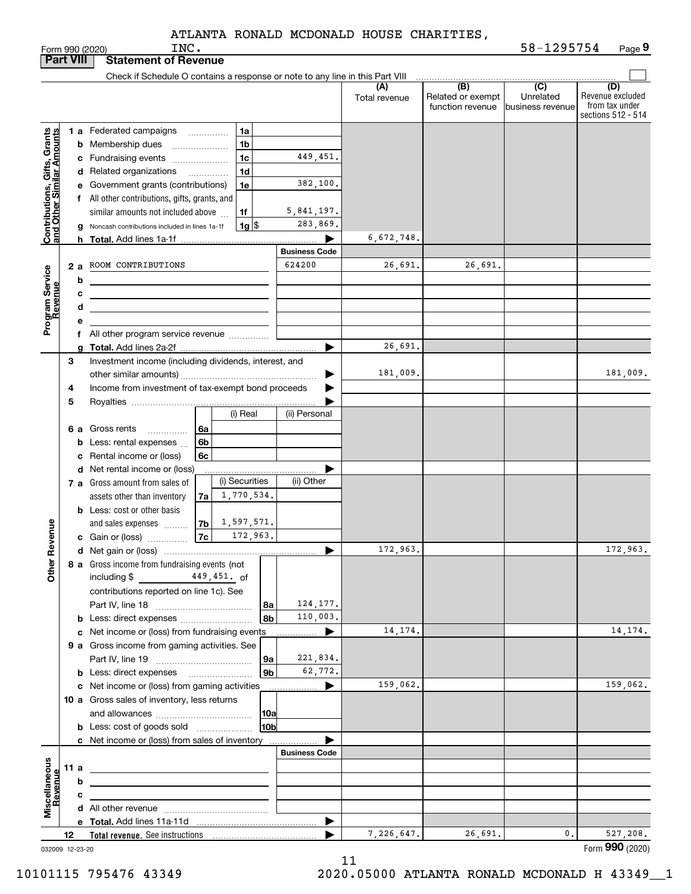|                                                            |                                                 |    | INC.<br>Form 990 (2020)                                                                                                |                       |               |                          | 58-1295754                  | Page 9                  |
|------------------------------------------------------------|-------------------------------------------------|----|------------------------------------------------------------------------------------------------------------------------|-----------------------|---------------|--------------------------|-----------------------------|-------------------------|
|                                                            | <b>Part VIII</b><br><b>Statement of Revenue</b> |    |                                                                                                                        |                       |               |                          |                             |                         |
|                                                            |                                                 |    | Check if Schedule O contains a response or note to any line in this Part VIII                                          |                       |               |                          |                             |                         |
|                                                            |                                                 |    |                                                                                                                        |                       | (A)           | (B)<br>Related or exempt | $\overline{C}$<br>Unrelated | (D)<br>Revenue excluded |
|                                                            |                                                 |    |                                                                                                                        |                       | Total revenue | function revenue         | <b>Ibusiness revenue</b>    | from tax under          |
|                                                            |                                                 |    |                                                                                                                        |                       |               |                          |                             | sections 512 - 514      |
|                                                            |                                                 |    | 1 a Federated campaigns<br>1a                                                                                          |                       |               |                          |                             |                         |
|                                                            |                                                 |    | 1 <sub>b</sub><br><b>b</b> Membership dues                                                                             |                       |               |                          |                             |                         |
| Contributions, Gifts, Grants<br>Iand Other Similar Amounts |                                                 |    | 1 <sub>c</sub><br>c Fundraising events                                                                                 | 449,451.              |               |                          |                             |                         |
|                                                            |                                                 |    | 1 <sub>d</sub><br>d Related organizations<br>.                                                                         |                       |               |                          |                             |                         |
|                                                            |                                                 |    | 1e<br>e Government grants (contributions)                                                                              | 382,100.              |               |                          |                             |                         |
|                                                            |                                                 |    | f All other contributions, gifts, grants, and                                                                          |                       |               |                          |                             |                         |
|                                                            |                                                 |    | similar amounts not included above<br>1f                                                                               | 5,841,197.            |               |                          |                             |                         |
|                                                            |                                                 |    | $1g$ \$<br>Noncash contributions included in lines 1a-1f                                                               | 283,869.              |               |                          |                             |                         |
|                                                            |                                                 | g  |                                                                                                                        | ▶                     | 6,672,748.    |                          |                             |                         |
|                                                            |                                                 |    | <b>h</b> Total. Add lines 1a-1f                                                                                        | <b>Business Code</b>  |               |                          |                             |                         |
|                                                            |                                                 |    | ROOM CONTRIBUTIONS                                                                                                     | 624200                | 26,691.       | 26.691.                  |                             |                         |
| Program Service<br>Revenue                                 |                                                 | 2a |                                                                                                                        |                       |               |                          |                             |                         |
|                                                            |                                                 | b  | <u> 1980 - Johann Barbara, martxa alemaniar a</u>                                                                      |                       |               |                          |                             |                         |
|                                                            |                                                 | с  |                                                                                                                        |                       |               |                          |                             |                         |
|                                                            |                                                 | d  | <u> 1980 - Jan Sterling and Sterling and Sterling and Sterling and Sterling and Sterling and Sterling and Sterling</u> |                       |               |                          |                             |                         |
|                                                            |                                                 | е  |                                                                                                                        |                       |               |                          |                             |                         |
|                                                            |                                                 |    | f All other program service revenue                                                                                    |                       |               |                          |                             |                         |
|                                                            |                                                 | a  |                                                                                                                        |                       | 26,691.       |                          |                             |                         |
|                                                            | 3                                               |    | Investment income (including dividends, interest, and                                                                  |                       |               |                          |                             |                         |
|                                                            |                                                 |    |                                                                                                                        |                       | 181,009.      |                          |                             | 181,009.                |
|                                                            | 4                                               |    | Income from investment of tax-exempt bond proceeds                                                                     |                       |               |                          |                             |                         |
|                                                            | 5                                               |    |                                                                                                                        |                       |               |                          |                             |                         |
|                                                            |                                                 |    | (i) Real                                                                                                               | (ii) Personal         |               |                          |                             |                         |
|                                                            |                                                 | 6а | Gross rents<br>6a                                                                                                      |                       |               |                          |                             |                         |
|                                                            |                                                 | b  | Less: rental expenses<br>6b                                                                                            |                       |               |                          |                             |                         |
|                                                            |                                                 | с  | Rental income or (loss)<br>6c                                                                                          |                       |               |                          |                             |                         |
|                                                            |                                                 |    | d Net rental income or (loss)                                                                                          |                       |               |                          |                             |                         |
|                                                            |                                                 |    | (i) Securities<br>7 a Gross amount from sales of                                                                       | (ii) Other            |               |                          |                             |                         |
|                                                            |                                                 |    | 1,770,534.<br>assets other than inventory<br>7a                                                                        |                       |               |                          |                             |                         |
|                                                            |                                                 |    | <b>b</b> Less: cost or other basis                                                                                     |                       |               |                          |                             |                         |
|                                                            |                                                 |    | 1,597,571.<br>7b<br>and sales expenses                                                                                 |                       |               |                          |                             |                         |
| evenue                                                     |                                                 |    | 172,963.<br>7c<br>c Gain or (loss)                                                                                     |                       |               |                          |                             |                         |
|                                                            |                                                 |    |                                                                                                                        |                       | 172,963.      |                          |                             | 172,963.                |
| Other Re                                                   |                                                 |    | 8 a Gross income from fundraising events (not                                                                          |                       |               |                          |                             |                         |
|                                                            |                                                 |    | including $\frac{2}{3}$ 449,451. of                                                                                    |                       |               |                          |                             |                         |
|                                                            |                                                 |    | contributions reported on line 1c). See                                                                                |                       |               |                          |                             |                         |
|                                                            |                                                 |    | 8a                                                                                                                     | 124, 177.             |               |                          |                             |                         |
|                                                            |                                                 |    | 8b<br><b>b</b> Less: direct expenses                                                                                   | 110,003.              |               |                          |                             |                         |
|                                                            |                                                 |    | c Net income or (loss) from fundraising events                                                                         | ▶                     | 14, 174.      |                          |                             | 14, 174.                |
|                                                            |                                                 |    |                                                                                                                        |                       |               |                          |                             |                         |
|                                                            |                                                 |    | 9 a Gross income from gaming activities. See                                                                           | 221,834.              |               |                          |                             |                         |
|                                                            |                                                 |    | 9a<br>9 <sub>b</sub>                                                                                                   | 62,772.               |               |                          |                             |                         |
|                                                            |                                                 |    | <b>b</b> Less: direct expenses <b>manually</b>                                                                         |                       | 159,062.      |                          |                             | 159,062.                |
|                                                            |                                                 |    | c Net income or (loss) from gaming activities                                                                          | $\blacktriangleright$ |               |                          |                             |                         |
|                                                            |                                                 |    | 10 a Gross sales of inventory, less returns                                                                            |                       |               |                          |                             |                         |
|                                                            |                                                 |    | 10a                                                                                                                    |                       |               |                          |                             |                         |
|                                                            |                                                 |    | 10b<br><b>b</b> Less: cost of goods sold                                                                               |                       |               |                          |                             |                         |
|                                                            |                                                 |    | c Net income or (loss) from sales of inventory                                                                         |                       |               |                          |                             |                         |
|                                                            |                                                 |    |                                                                                                                        | <b>Business Code</b>  |               |                          |                             |                         |
|                                                            | 11a                                             |    | <u> 1989 - Johann Barbara, martxa alemaniar amerikan ba</u>                                                            |                       |               |                          |                             |                         |
|                                                            |                                                 | b  |                                                                                                                        |                       |               |                          |                             |                         |
|                                                            |                                                 | с  | <u> 1989 - Johann Barbara, martxa alemaniar a</u>                                                                      |                       |               |                          |                             |                         |
| Miscellaneous<br>Revenue                                   |                                                 |    |                                                                                                                        |                       |               |                          |                             |                         |
|                                                            |                                                 |    |                                                                                                                        | ▶                     |               |                          |                             |                         |
|                                                            | 12                                              |    |                                                                                                                        | ▶                     | 7,226,647.    | 26,691.                  | $\mathbf{0}$ .              | 527,208.                |
| 032009 12-23-20                                            |                                                 |    |                                                                                                                        |                       |               |                          |                             | Form 990 (2020)         |

032009 12-23-20

11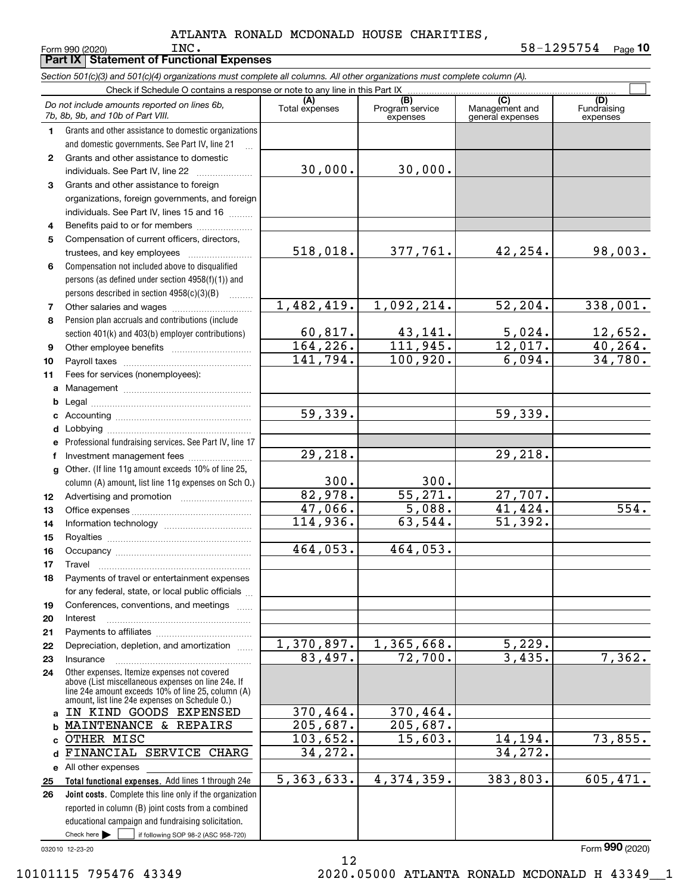**Part IX Statement of Functional Expenses**

|              | Section 501(c)(3) and 501(c)(4) organizations must complete all columns. All other organizations must complete column (A).<br>Check if Schedule O contains a response or note to any line in this Part IX |                        |                             |                                    |                         |  |  |  |
|--------------|-----------------------------------------------------------------------------------------------------------------------------------------------------------------------------------------------------------|------------------------|-----------------------------|------------------------------------|-------------------------|--|--|--|
|              |                                                                                                                                                                                                           | (A)                    | (B)                         | (C)                                | (D)                     |  |  |  |
|              | Do not include amounts reported on lines 6b,<br>7b, 8b, 9b, and 10b of Part VIII.                                                                                                                         | Total expenses         | Program service<br>expenses | Management and<br>general expenses | Fundraising<br>expenses |  |  |  |
| 1.           | Grants and other assistance to domestic organizations                                                                                                                                                     |                        |                             |                                    |                         |  |  |  |
|              | and domestic governments. See Part IV, line 21                                                                                                                                                            |                        |                             |                                    |                         |  |  |  |
| $\mathbf{2}$ | Grants and other assistance to domestic                                                                                                                                                                   |                        |                             |                                    |                         |  |  |  |
|              | individuals. See Part IV, line 22                                                                                                                                                                         | 30,000.                | 30,000.                     |                                    |                         |  |  |  |
| 3            | Grants and other assistance to foreign                                                                                                                                                                    |                        |                             |                                    |                         |  |  |  |
|              | organizations, foreign governments, and foreign                                                                                                                                                           |                        |                             |                                    |                         |  |  |  |
|              | individuals. See Part IV, lines 15 and 16                                                                                                                                                                 |                        |                             |                                    |                         |  |  |  |
| 4            | Benefits paid to or for members                                                                                                                                                                           |                        |                             |                                    |                         |  |  |  |
| 5            | Compensation of current officers, directors,                                                                                                                                                              |                        |                             |                                    |                         |  |  |  |
|              | trustees, and key employees                                                                                                                                                                               | 518,018.               | 377,761.                    | 42,254.                            | 98,003.                 |  |  |  |
| 6            | Compensation not included above to disqualified                                                                                                                                                           |                        |                             |                                    |                         |  |  |  |
|              | persons (as defined under section 4958(f)(1)) and                                                                                                                                                         |                        |                             |                                    |                         |  |  |  |
|              | persons described in section 4958(c)(3)(B)<br>.                                                                                                                                                           |                        |                             |                                    |                         |  |  |  |
| 7            |                                                                                                                                                                                                           | 1,482,419.             | 1,092,214.                  | 52, 204.                           | 338,001.                |  |  |  |
| 8            | Pension plan accruals and contributions (include                                                                                                                                                          |                        |                             |                                    |                         |  |  |  |
|              | section 401(k) and 403(b) employer contributions)                                                                                                                                                         | 60, 817.               | $\frac{43,141}{111,945}$ .  | 5,024.                             | <u>12,652.</u>          |  |  |  |
| 9            |                                                                                                                                                                                                           | 164, 226.              |                             | 12,017.                            | 40, 264.                |  |  |  |
| 10           |                                                                                                                                                                                                           | $\overline{141,794}$ . | 100,920.                    | 6,094.                             | 34,780.                 |  |  |  |
| 11           | Fees for services (nonemployees):                                                                                                                                                                         |                        |                             |                                    |                         |  |  |  |
| a            |                                                                                                                                                                                                           |                        |                             |                                    |                         |  |  |  |
| b            |                                                                                                                                                                                                           |                        |                             |                                    |                         |  |  |  |
| c            |                                                                                                                                                                                                           | 59,339.                |                             | 59,339.                            |                         |  |  |  |
| d            |                                                                                                                                                                                                           |                        |                             |                                    |                         |  |  |  |
| е            | Professional fundraising services. See Part IV, line 17                                                                                                                                                   |                        |                             |                                    |                         |  |  |  |
| f            | Investment management fees                                                                                                                                                                                | 29,218.                |                             | 29,218.                            |                         |  |  |  |
| g            | Other. (If line 11g amount exceeds 10% of line 25,                                                                                                                                                        |                        |                             |                                    |                         |  |  |  |
|              | column (A) amount, list line 11g expenses on Sch O.)                                                                                                                                                      | 300.                   | 300.                        |                                    |                         |  |  |  |
| 12           |                                                                                                                                                                                                           | 82,978.                | 55, 271.                    | 27,707.                            |                         |  |  |  |
| 13           |                                                                                                                                                                                                           | 47,066.                | 5,088.                      | 41,424.                            | 554.                    |  |  |  |
| 14           |                                                                                                                                                                                                           | 114,936.               | 63,544.                     | 51,392.                            |                         |  |  |  |
| 15           |                                                                                                                                                                                                           |                        |                             |                                    |                         |  |  |  |
| 16           |                                                                                                                                                                                                           | 464,053.               | 464,053.                    |                                    |                         |  |  |  |
| 17           |                                                                                                                                                                                                           |                        |                             |                                    |                         |  |  |  |
| 18           | Payments of travel or entertainment expenses                                                                                                                                                              |                        |                             |                                    |                         |  |  |  |
|              | for any federal, state, or local public officials                                                                                                                                                         |                        |                             |                                    |                         |  |  |  |
| 19           | Conferences, conventions, and meetings                                                                                                                                                                    |                        |                             |                                    |                         |  |  |  |
| 20           | Interest                                                                                                                                                                                                  |                        |                             |                                    |                         |  |  |  |
| 21           |                                                                                                                                                                                                           | 1,370,897.             | 1,365,668.                  | 5,229.                             |                         |  |  |  |
| 22           | Depreciation, depletion, and amortization                                                                                                                                                                 | 83,497.                | $\overline{72}$ , 700.      | 3,435.                             | 7,362.                  |  |  |  |
| 23           | Insurance<br>Other expenses. Itemize expenses not covered                                                                                                                                                 |                        |                             |                                    |                         |  |  |  |
| 24           | above (List miscellaneous expenses on line 24e. If                                                                                                                                                        |                        |                             |                                    |                         |  |  |  |
|              | line 24e amount exceeds 10% of line 25, column (A)                                                                                                                                                        |                        |                             |                                    |                         |  |  |  |
|              | amount, list line 24e expenses on Schedule O.)<br>IN KIND GOODS EXPENSED                                                                                                                                  | 370,464.               | 370,464.                    |                                    |                         |  |  |  |
| a            | MAINTENANCE & REPAIRS                                                                                                                                                                                     | 205,687.               | 205,687.                    |                                    |                         |  |  |  |
| b<br>C       | OTHER MISC                                                                                                                                                                                                | 103,652.               | 15,603.                     | 14,194.                            | 73,855.                 |  |  |  |
| d            | FINANCIAL SERVICE CHARG                                                                                                                                                                                   | 34,272.                |                             | 34,272.                            |                         |  |  |  |
|              | e All other expenses                                                                                                                                                                                      |                        |                             |                                    |                         |  |  |  |
| 25           | Total functional expenses. Add lines 1 through 24e                                                                                                                                                        | 5,363,633.             | 4,374,359.                  | 383,803.                           | 605,471.                |  |  |  |
| 26           | Joint costs. Complete this line only if the organization                                                                                                                                                  |                        |                             |                                    |                         |  |  |  |
|              | reported in column (B) joint costs from a combined                                                                                                                                                        |                        |                             |                                    |                         |  |  |  |
|              | educational campaign and fundraising solicitation.                                                                                                                                                        |                        |                             |                                    |                         |  |  |  |
|              | Check here $\blacktriangleright$<br>if following SOP 98-2 (ASC 958-720)                                                                                                                                   |                        |                             |                                    |                         |  |  |  |

032010 12-23-20

Form (2020) **990**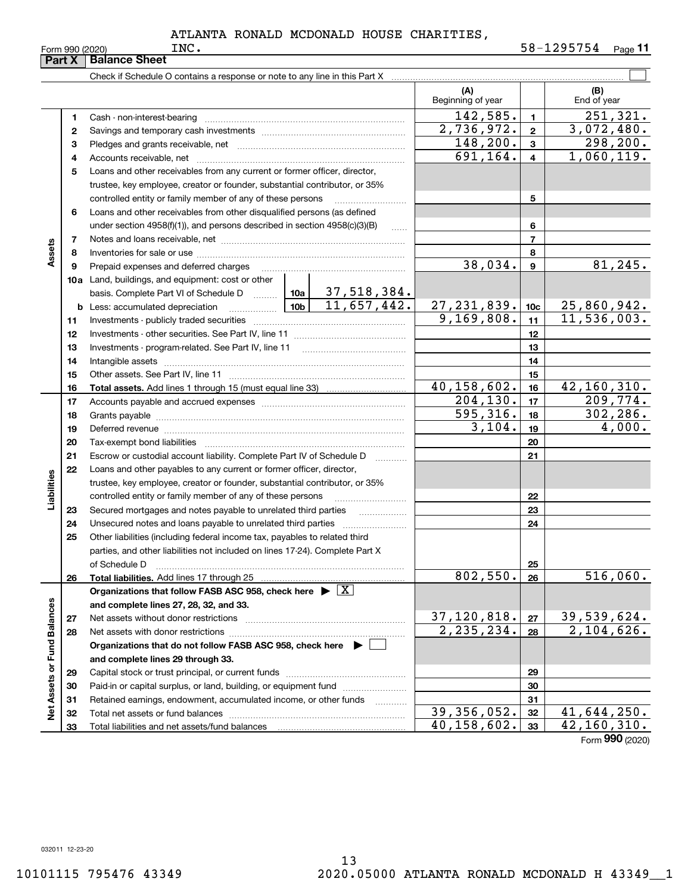|                             | Part X                                                                                                               | <b>Balance Sheet</b>                                                                                                                                                                                                           |           |                               |                    |                    |                             |  |  |
|-----------------------------|----------------------------------------------------------------------------------------------------------------------|--------------------------------------------------------------------------------------------------------------------------------------------------------------------------------------------------------------------------------|-----------|-------------------------------|--------------------|--------------------|-----------------------------|--|--|
|                             |                                                                                                                      |                                                                                                                                                                                                                                |           |                               |                    |                    |                             |  |  |
|                             |                                                                                                                      |                                                                                                                                                                                                                                |           | (A)<br>Beginning of year      |                    | (B)<br>End of year |                             |  |  |
|                             | 1                                                                                                                    |                                                                                                                                                                                                                                |           |                               | 142,585.           | $\blacksquare$     | 251, 321.                   |  |  |
|                             | $\mathbf{2}$                                                                                                         |                                                                                                                                                                                                                                |           |                               | 2,736,972.         | $\overline{2}$     | 3,072,480.                  |  |  |
|                             | 3                                                                                                                    |                                                                                                                                                                                                                                | 148,200.  | $\overline{3}$                | 298, 200.          |                    |                             |  |  |
|                             | 4                                                                                                                    |                                                                                                                                                                                                                                |           |                               | 691,164.           | $\overline{4}$     | 1,060,119.                  |  |  |
|                             | 5                                                                                                                    | Loans and other receivables from any current or former officer, director,                                                                                                                                                      |           |                               |                    |                    |                             |  |  |
|                             |                                                                                                                      | trustee, key employee, creator or founder, substantial contributor, or 35%                                                                                                                                                     |           |                               |                    |                    |                             |  |  |
|                             |                                                                                                                      | controlled entity or family member of any of these persons                                                                                                                                                                     |           |                               |                    | 5                  |                             |  |  |
|                             | 6                                                                                                                    | Loans and other receivables from other disqualified persons (as defined                                                                                                                                                        |           |                               |                    |                    |                             |  |  |
|                             |                                                                                                                      | under section $4958(f)(1)$ , and persons described in section $4958(c)(3)(B)$                                                                                                                                                  |           | $\ldots$                      |                    | 6                  |                             |  |  |
|                             | 7                                                                                                                    |                                                                                                                                                                                                                                |           |                               |                    | $\overline{7}$     |                             |  |  |
| Assets                      | 8                                                                                                                    |                                                                                                                                                                                                                                |           |                               |                    | 8                  |                             |  |  |
|                             | 9                                                                                                                    | Prepaid expenses and deferred charges                                                                                                                                                                                          |           |                               | 38,034.            | $\mathbf{9}$       | 81,245.                     |  |  |
|                             |                                                                                                                      | 10a Land, buildings, and equipment: cost or other                                                                                                                                                                              |           |                               |                    |                    |                             |  |  |
|                             |                                                                                                                      | basis. Complete Part VI of Schedule D    10a   37, 518, 384.                                                                                                                                                                   |           |                               |                    |                    |                             |  |  |
|                             |                                                                                                                      | <b>b</b> Less: accumulated depreciation                                                                                                                                                                                        |           | $\frac{10b}{10b}$ 11,657,442. | <u>27,231,839.</u> | 10 <sub>c</sub>    | 25,860,942.                 |  |  |
|                             | 11                                                                                                                   |                                                                                                                                                                                                                                |           |                               | 9,169,808.         | 11                 | 11, 536, 003.               |  |  |
|                             | 12                                                                                                                   |                                                                                                                                                                                                                                |           |                               |                    | 12                 |                             |  |  |
|                             | 13                                                                                                                   |                                                                                                                                                                                                                                |           | 13                            |                    |                    |                             |  |  |
|                             | 14                                                                                                                   |                                                                                                                                                                                                                                |           | 14                            |                    |                    |                             |  |  |
|                             | 15                                                                                                                   |                                                                                                                                                                                                                                |           |                               |                    | 15                 |                             |  |  |
|                             | 16                                                                                                                   |                                                                                                                                                                                                                                |           |                               | 40,158,602.        | 16                 | 42,160,310.                 |  |  |
|                             | 17                                                                                                                   |                                                                                                                                                                                                                                |           |                               | 204, 130.          | 17                 | 209,774.                    |  |  |
|                             | 18                                                                                                                   |                                                                                                                                                                                                                                | 595, 316. | 18                            | 302, 286.          |                    |                             |  |  |
|                             | 19                                                                                                                   | Deferred revenue manual contracts and contracts are all the contracts and contracts are contracted and contracts are contracted and contract are contracted and contract are contracted and contract are contracted and contra | 3,104.    | 19                            | 4,000.             |                    |                             |  |  |
|                             | 20                                                                                                                   |                                                                                                                                                                                                                                |           |                               |                    | 20                 |                             |  |  |
|                             | 21                                                                                                                   | Escrow or custodial account liability. Complete Part IV of Schedule D                                                                                                                                                          |           | .                             |                    | 21                 |                             |  |  |
|                             | 22                                                                                                                   | Loans and other payables to any current or former officer, director,                                                                                                                                                           |           |                               |                    |                    |                             |  |  |
|                             |                                                                                                                      | trustee, key employee, creator or founder, substantial contributor, or 35%                                                                                                                                                     |           |                               |                    |                    |                             |  |  |
| Liabilities                 |                                                                                                                      |                                                                                                                                                                                                                                |           |                               |                    | 22                 |                             |  |  |
|                             | 23                                                                                                                   |                                                                                                                                                                                                                                |           |                               |                    | 23                 |                             |  |  |
|                             | 24                                                                                                                   |                                                                                                                                                                                                                                |           |                               |                    | 24                 |                             |  |  |
|                             | 25                                                                                                                   | Other liabilities (including federal income tax, payables to related third                                                                                                                                                     |           |                               |                    |                    |                             |  |  |
|                             |                                                                                                                      | parties, and other liabilities not included on lines 17-24). Complete Part X                                                                                                                                                   |           |                               |                    |                    |                             |  |  |
|                             |                                                                                                                      | of Schedule D                                                                                                                                                                                                                  |           |                               | 802,550.           | 25<br>26           | 516,060.                    |  |  |
|                             | 26                                                                                                                   | Organizations that follow FASB ASC 958, check here $\blacktriangleright \boxed{X}$                                                                                                                                             |           |                               |                    |                    |                             |  |  |
|                             |                                                                                                                      | and complete lines 27, 28, 32, and 33.                                                                                                                                                                                         |           |                               |                    |                    |                             |  |  |
|                             | 27                                                                                                                   |                                                                                                                                                                                                                                |           |                               | 37,120,818.        | 27                 | 39,539,624.                 |  |  |
|                             | 28                                                                                                                   |                                                                                                                                                                                                                                |           |                               | 2, 235, 234.       | 28                 | 2,104,626.                  |  |  |
|                             |                                                                                                                      |                                                                                                                                                                                                                                |           |                               |                    |                    |                             |  |  |
|                             | Organizations that do not follow FASB ASC 958, check here $\blacktriangleright$<br>and complete lines 29 through 33. |                                                                                                                                                                                                                                |           |                               |                    |                    |                             |  |  |
|                             | 29                                                                                                                   |                                                                                                                                                                                                                                |           |                               |                    | 29                 |                             |  |  |
|                             | 30                                                                                                                   | Paid-in or capital surplus, or land, building, or equipment fund                                                                                                                                                               |           |                               |                    | 30                 |                             |  |  |
|                             | 31                                                                                                                   | Retained earnings, endowment, accumulated income, or other funds                                                                                                                                                               |           | .                             |                    | 31                 |                             |  |  |
| Net Assets or Fund Balances | 32                                                                                                                   |                                                                                                                                                                                                                                |           |                               | 39, 356, 052.      | 32                 | 41,644,250.                 |  |  |
|                             | 33                                                                                                                   |                                                                                                                                                                                                                                |           |                               | 40,158,602.        | 33                 | $\overline{42,160,310}$ .   |  |  |
|                             |                                                                                                                      |                                                                                                                                                                                                                                |           |                               |                    |                    | $F_{\text{orm}}$ 990 (2020) |  |  |

Form (2020) **990**

032011 12-23-20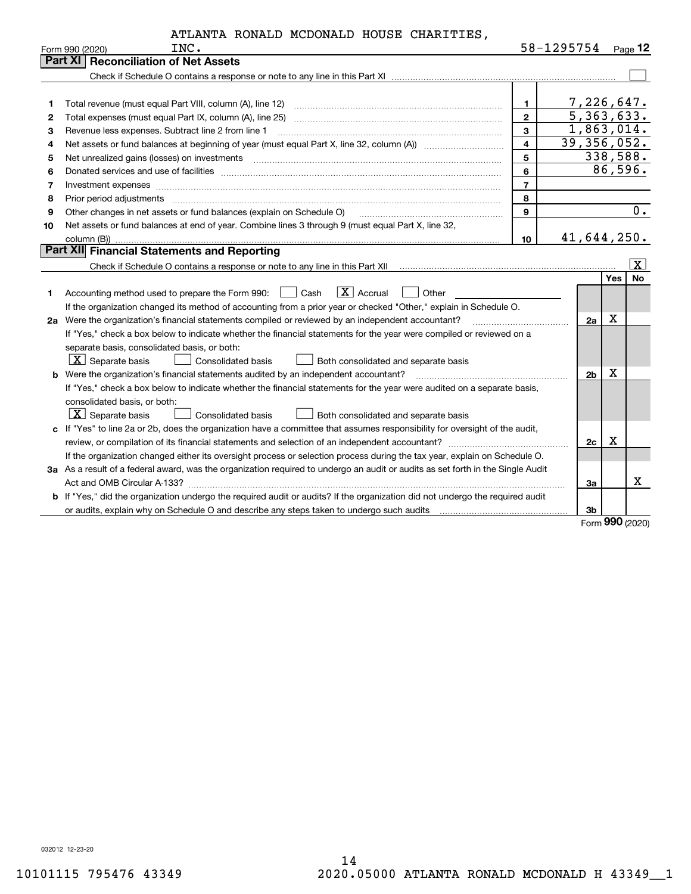|      |  | ATLANTA RONALD MCDONALD HOUSE CHARITIES, |                   |  |
|------|--|------------------------------------------|-------------------|--|
| אז ד |  |                                          | $58 - 1295754$ D. |  |

|    | Form 990 (2020)<br>INC.                                                                                                         |                  | 58-1495/54     |         | Page $12$ |
|----|---------------------------------------------------------------------------------------------------------------------------------|------------------|----------------|---------|-----------|
|    | <b>Part XI Reconciliation of Net Assets</b>                                                                                     |                  |                |         |           |
|    |                                                                                                                                 |                  |                |         |           |
|    |                                                                                                                                 |                  |                |         |           |
| 1  |                                                                                                                                 | $\mathbf{1}$     | 7,226,647.     |         |           |
| 2  |                                                                                                                                 | $\overline{2}$   | 5,363,633.     |         |           |
| З  | Revenue less expenses. Subtract line 2 from line 1                                                                              | 3                | 1,863,014.     |         |           |
| 4  |                                                                                                                                 | $\overline{4}$   | 39,356,052.    |         |           |
| 5  |                                                                                                                                 | 5                | 338,588.       |         |           |
| 6  |                                                                                                                                 | 6                |                | 86,596. |           |
| 7  |                                                                                                                                 | $\overline{7}$   |                |         |           |
| 8  | Prior period adjustments                                                                                                        | 8                |                |         |           |
| 9  | Other changes in net assets or fund balances (explain on Schedule O)                                                            | 9                |                |         | 0.        |
| 10 | Net assets or fund balances at end of year. Combine lines 3 through 9 (must equal Part X, line 32,                              |                  |                |         |           |
|    |                                                                                                                                 | 10 <sup>10</sup> | 41,644,250.    |         |           |
|    | Part XII Financial Statements and Reporting                                                                                     |                  |                |         |           |
|    |                                                                                                                                 |                  |                |         | ΙX.       |
|    |                                                                                                                                 |                  |                | Yes     | <b>No</b> |
| 1  | $\boxed{\mathbf{X}}$ Accrual<br>Accounting method used to prepare the Form 990: <u>June</u> Cash<br>Other                       |                  |                |         |           |
|    | If the organization changed its method of accounting from a prior year or checked "Other," explain in Schedule O.               |                  |                |         |           |
|    | 2a Were the organization's financial statements compiled or reviewed by an independent accountant?                              |                  | 2a             | X       |           |
|    | If "Yes," check a box below to indicate whether the financial statements for the year were compiled or reviewed on a            |                  |                |         |           |
|    | separate basis, consolidated basis, or both:                                                                                    |                  |                |         |           |
|    | $ \mathbf{X} $ Separate basis<br><b>Consolidated basis</b><br>Both consolidated and separate basis                              |                  |                |         |           |
| b  | Were the organization's financial statements audited by an independent accountant?                                              |                  | 2 <sub>b</sub> | X       |           |
|    | If "Yes," check a box below to indicate whether the financial statements for the year were audited on a separate basis,         |                  |                |         |           |
|    | consolidated basis, or both:                                                                                                    |                  |                |         |           |
|    | $ \mathbf{X} $ Separate basis<br>Consolidated basis<br>Both consolidated and separate basis                                     |                  |                |         |           |
|    | c If "Yes" to line 2a or 2b, does the organization have a committee that assumes responsibility for oversight of the audit,     |                  |                |         |           |
|    |                                                                                                                                 |                  | 2c             | X       |           |
|    | If the organization changed either its oversight process or selection process during the tax year, explain on Schedule O.       |                  |                |         |           |
|    | 3a As a result of a federal award, was the organization required to undergo an audit or audits as set forth in the Single Audit |                  |                |         |           |
|    |                                                                                                                                 |                  | За             |         | x         |
|    | b If "Yes," did the organization undergo the required audit or audits? If the organization did not undergo the required audit   |                  |                |         |           |
|    |                                                                                                                                 |                  | 3b             |         |           |

Form (2020) **990**

032012 12-23-20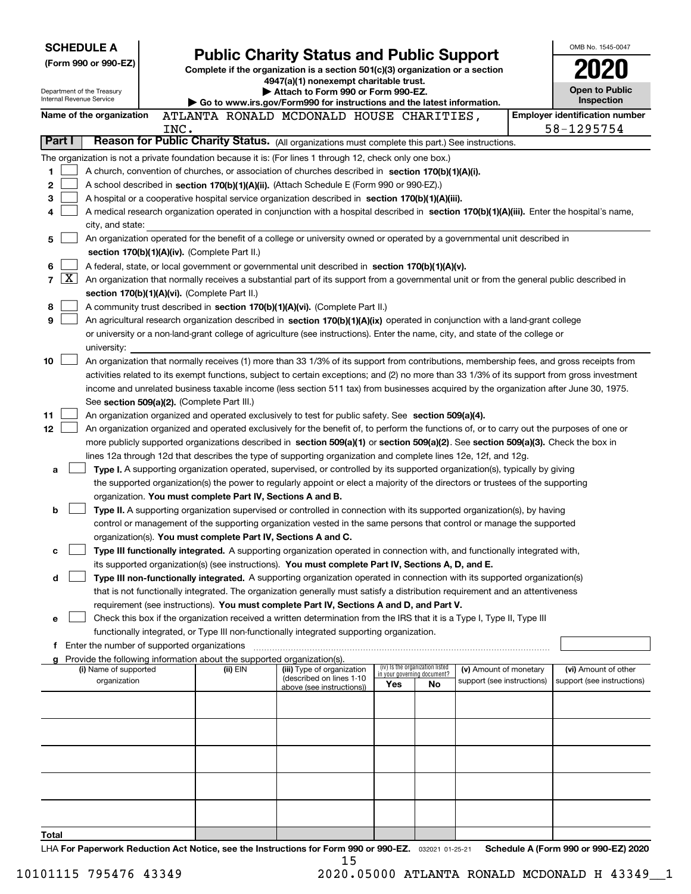| <b>SCHEDULE A</b><br>(Form 990 or 990-EZ)                                                                  |   | <b>Public Charity Status and Public Support</b><br>Complete if the organization is a section 501(c)(3) organization or a section<br>4947(a)(1) nonexempt charitable trust. |      |                                                                                                              |                                                                                                                                                                                                                                                           |     |                                   | OMB No. 1545-0047                   |  |                                                     |
|------------------------------------------------------------------------------------------------------------|---|----------------------------------------------------------------------------------------------------------------------------------------------------------------------------|------|--------------------------------------------------------------------------------------------------------------|-----------------------------------------------------------------------------------------------------------------------------------------------------------------------------------------------------------------------------------------------------------|-----|-----------------------------------|-------------------------------------|--|-----------------------------------------------------|
| Department of the Treasury<br>Internal Revenue Service                                                     |   |                                                                                                                                                                            |      | Attach to Form 990 or Form 990-EZ.<br>Go to www.irs.gov/Form990 for instructions and the latest information. |                                                                                                                                                                                                                                                           |     |                                   | <b>Open to Public</b><br>Inspection |  |                                                     |
| Name of the organization                                                                                   |   |                                                                                                                                                                            | INC. |                                                                                                              | ATLANTA RONALD MCDONALD HOUSE CHARITIES,                                                                                                                                                                                                                  |     |                                   |                                     |  | <b>Employer identification number</b><br>58-1295754 |
| Reason for Public Charity Status. (All organizations must complete this part.) See instructions.<br>Part I |   |                                                                                                                                                                            |      |                                                                                                              |                                                                                                                                                                                                                                                           |     |                                   |                                     |  |                                                     |
|                                                                                                            |   |                                                                                                                                                                            |      |                                                                                                              | The organization is not a private foundation because it is: (For lines 1 through 12, check only one box.)                                                                                                                                                 |     |                                   |                                     |  |                                                     |
| 1                                                                                                          |   |                                                                                                                                                                            |      |                                                                                                              | A church, convention of churches, or association of churches described in section 170(b)(1)(A)(i).                                                                                                                                                        |     |                                   |                                     |  |                                                     |
| 2                                                                                                          |   |                                                                                                                                                                            |      |                                                                                                              | A school described in section 170(b)(1)(A)(ii). (Attach Schedule E (Form 990 or 990-EZ).)                                                                                                                                                                 |     |                                   |                                     |  |                                                     |
| 3                                                                                                          |   |                                                                                                                                                                            |      |                                                                                                              | A hospital or a cooperative hospital service organization described in section $170(b)(1)(A)(iii)$ .                                                                                                                                                      |     |                                   |                                     |  |                                                     |
| 4                                                                                                          |   | city, and state:                                                                                                                                                           |      |                                                                                                              | A medical research organization operated in conjunction with a hospital described in section 170(b)(1)(A)(iii). Enter the hospital's name,                                                                                                                |     |                                   |                                     |  |                                                     |
| 5                                                                                                          |   |                                                                                                                                                                            |      |                                                                                                              | An organization operated for the benefit of a college or university owned or operated by a governmental unit described in                                                                                                                                 |     |                                   |                                     |  |                                                     |
|                                                                                                            |   |                                                                                                                                                                            |      | section 170(b)(1)(A)(iv). (Complete Part II.)                                                                |                                                                                                                                                                                                                                                           |     |                                   |                                     |  |                                                     |
| 6                                                                                                          |   |                                                                                                                                                                            |      |                                                                                                              | A federal, state, or local government or governmental unit described in section 170(b)(1)(A)(v).                                                                                                                                                          |     |                                   |                                     |  |                                                     |
| 7                                                                                                          | X |                                                                                                                                                                            |      |                                                                                                              | An organization that normally receives a substantial part of its support from a governmental unit or from the general public described in                                                                                                                 |     |                                   |                                     |  |                                                     |
|                                                                                                            |   |                                                                                                                                                                            |      | section 170(b)(1)(A)(vi). (Complete Part II.)                                                                |                                                                                                                                                                                                                                                           |     |                                   |                                     |  |                                                     |
| 8<br>9                                                                                                     |   |                                                                                                                                                                            |      |                                                                                                              | A community trust described in section 170(b)(1)(A)(vi). (Complete Part II.)<br>An agricultural research organization described in section 170(b)(1)(A)(ix) operated in conjunction with a land-grant college                                             |     |                                   |                                     |  |                                                     |
|                                                                                                            |   |                                                                                                                                                                            |      |                                                                                                              | or university or a non-land-grant college of agriculture (see instructions). Enter the name, city, and state of the college or                                                                                                                            |     |                                   |                                     |  |                                                     |
|                                                                                                            |   | university:                                                                                                                                                                |      |                                                                                                              |                                                                                                                                                                                                                                                           |     |                                   |                                     |  |                                                     |
| 10                                                                                                         |   |                                                                                                                                                                            |      |                                                                                                              | An organization that normally receives (1) more than 33 1/3% of its support from contributions, membership fees, and gross receipts from                                                                                                                  |     |                                   |                                     |  |                                                     |
|                                                                                                            |   |                                                                                                                                                                            |      |                                                                                                              | activities related to its exempt functions, subject to certain exceptions; and (2) no more than 33 1/3% of its support from gross investment                                                                                                              |     |                                   |                                     |  |                                                     |
|                                                                                                            |   |                                                                                                                                                                            |      |                                                                                                              | income and unrelated business taxable income (less section 511 tax) from businesses acquired by the organization after June 30, 1975.                                                                                                                     |     |                                   |                                     |  |                                                     |
| 11                                                                                                         |   |                                                                                                                                                                            |      | See section 509(a)(2). (Complete Part III.)                                                                  | An organization organized and operated exclusively to test for public safety. See section 509(a)(4).                                                                                                                                                      |     |                                   |                                     |  |                                                     |
| 12 <sub>2</sub>                                                                                            |   |                                                                                                                                                                            |      |                                                                                                              | An organization organized and operated exclusively for the benefit of, to perform the functions of, or to carry out the purposes of one or                                                                                                                |     |                                   |                                     |  |                                                     |
|                                                                                                            |   |                                                                                                                                                                            |      |                                                                                                              | more publicly supported organizations described in section 509(a)(1) or section 509(a)(2). See section 509(a)(3). Check the box in                                                                                                                        |     |                                   |                                     |  |                                                     |
|                                                                                                            |   |                                                                                                                                                                            |      |                                                                                                              | lines 12a through 12d that describes the type of supporting organization and complete lines 12e, 12f, and 12g.                                                                                                                                            |     |                                   |                                     |  |                                                     |
| a                                                                                                          |   |                                                                                                                                                                            |      |                                                                                                              | Type I. A supporting organization operated, supervised, or controlled by its supported organization(s), typically by giving                                                                                                                               |     |                                   |                                     |  |                                                     |
|                                                                                                            |   |                                                                                                                                                                            |      | organization. You must complete Part IV, Sections A and B.                                                   | the supported organization(s) the power to regularly appoint or elect a majority of the directors or trustees of the supporting                                                                                                                           |     |                                   |                                     |  |                                                     |
| b                                                                                                          |   |                                                                                                                                                                            |      |                                                                                                              | Type II. A supporting organization supervised or controlled in connection with its supported organization(s), by having                                                                                                                                   |     |                                   |                                     |  |                                                     |
|                                                                                                            |   |                                                                                                                                                                            |      |                                                                                                              | control or management of the supporting organization vested in the same persons that control or manage the supported                                                                                                                                      |     |                                   |                                     |  |                                                     |
|                                                                                                            |   |                                                                                                                                                                            |      | organization(s). You must complete Part IV, Sections A and C.                                                |                                                                                                                                                                                                                                                           |     |                                   |                                     |  |                                                     |
| с                                                                                                          |   |                                                                                                                                                                            |      |                                                                                                              | Type III functionally integrated. A supporting organization operated in connection with, and functionally integrated with,                                                                                                                                |     |                                   |                                     |  |                                                     |
|                                                                                                            |   |                                                                                                                                                                            |      |                                                                                                              | its supported organization(s) (see instructions). You must complete Part IV, Sections A, D, and E.                                                                                                                                                        |     |                                   |                                     |  |                                                     |
| d                                                                                                          |   |                                                                                                                                                                            |      |                                                                                                              | Type III non-functionally integrated. A supporting organization operated in connection with its supported organization(s)<br>that is not functionally integrated. The organization generally must satisfy a distribution requirement and an attentiveness |     |                                   |                                     |  |                                                     |
|                                                                                                            |   |                                                                                                                                                                            |      |                                                                                                              | requirement (see instructions). You must complete Part IV, Sections A and D, and Part V.                                                                                                                                                                  |     |                                   |                                     |  |                                                     |
| е                                                                                                          |   |                                                                                                                                                                            |      |                                                                                                              | Check this box if the organization received a written determination from the IRS that it is a Type I, Type II, Type III                                                                                                                                   |     |                                   |                                     |  |                                                     |
|                                                                                                            |   |                                                                                                                                                                            |      |                                                                                                              | functionally integrated, or Type III non-functionally integrated supporting organization.                                                                                                                                                                 |     |                                   |                                     |  |                                                     |
|                                                                                                            |   | f Enter the number of supported organizations                                                                                                                              |      |                                                                                                              |                                                                                                                                                                                                                                                           |     |                                   |                                     |  |                                                     |
|                                                                                                            |   | (i) Name of supported                                                                                                                                                      |      | Provide the following information about the supported organization(s).<br>(ii) EIN                           | (iii) Type of organization                                                                                                                                                                                                                                |     | (iv) Is the organization listed   | (v) Amount of monetary              |  | (vi) Amount of other                                |
|                                                                                                            |   | organization                                                                                                                                                               |      |                                                                                                              | (described on lines 1-10<br>above (see instructions))                                                                                                                                                                                                     | Yes | in your governing document?<br>No | support (see instructions)          |  | support (see instructions)                          |
|                                                                                                            |   |                                                                                                                                                                            |      |                                                                                                              |                                                                                                                                                                                                                                                           |     |                                   |                                     |  |                                                     |
|                                                                                                            |   |                                                                                                                                                                            |      |                                                                                                              |                                                                                                                                                                                                                                                           |     |                                   |                                     |  |                                                     |
|                                                                                                            |   |                                                                                                                                                                            |      |                                                                                                              |                                                                                                                                                                                                                                                           |     |                                   |                                     |  |                                                     |
|                                                                                                            |   |                                                                                                                                                                            |      |                                                                                                              |                                                                                                                                                                                                                                                           |     |                                   |                                     |  |                                                     |
|                                                                                                            |   |                                                                                                                                                                            |      |                                                                                                              |                                                                                                                                                                                                                                                           |     |                                   |                                     |  |                                                     |
|                                                                                                            |   |                                                                                                                                                                            |      |                                                                                                              |                                                                                                                                                                                                                                                           |     |                                   |                                     |  |                                                     |
|                                                                                                            |   |                                                                                                                                                                            |      |                                                                                                              |                                                                                                                                                                                                                                                           |     |                                   |                                     |  |                                                     |
|                                                                                                            |   |                                                                                                                                                                            |      |                                                                                                              |                                                                                                                                                                                                                                                           |     |                                   |                                     |  |                                                     |
|                                                                                                            |   |                                                                                                                                                                            |      |                                                                                                              |                                                                                                                                                                                                                                                           |     |                                   |                                     |  |                                                     |
| Total                                                                                                      |   |                                                                                                                                                                            |      |                                                                                                              |                                                                                                                                                                                                                                                           |     |                                   |                                     |  |                                                     |

LHA For Paperwork Reduction Act Notice, see the Instructions for Form 990 or 990-EZ. <sub>032021</sub> o1-25-21 Schedule A (Form 990 or 990-EZ) 2020 15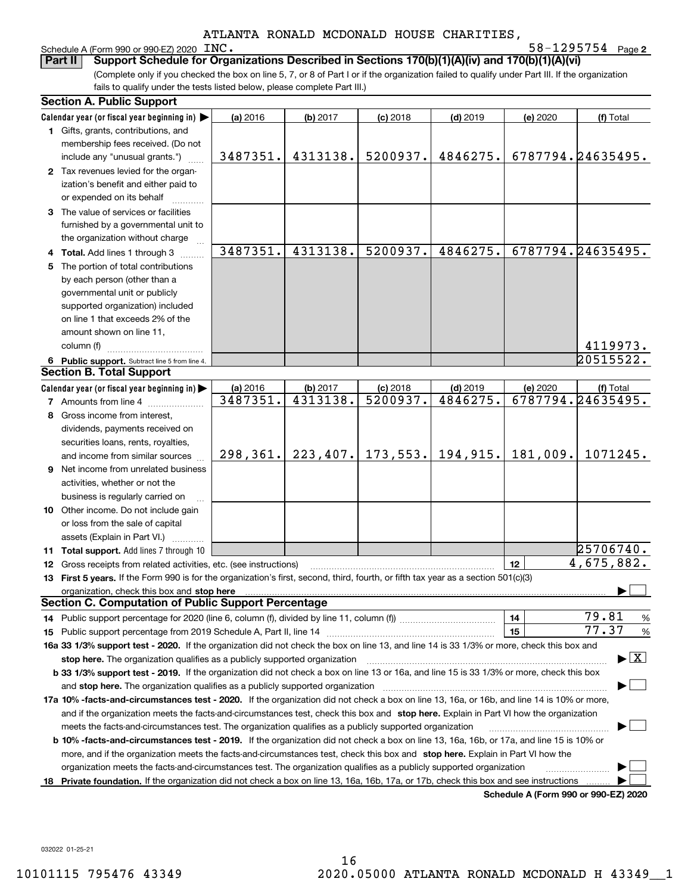#### Schedule A (Form 990 or 990-EZ) 2020 INC.

**2** INC. 58-1295754

(Complete only if you checked the box on line 5, 7, or 8 of Part I or if the organization failed to qualify under Part III. If the organization fails to qualify under the tests listed below, please complete Part III.) **Part II Support Schedule for Organizations Described in Sections 170(b)(1)(A)(iv) and 170(b)(1)(A)(vi)**

| <b>Section A. Public Support</b>                                                                                                                                                                                               |           |          |                       |            |                                      |                                          |
|--------------------------------------------------------------------------------------------------------------------------------------------------------------------------------------------------------------------------------|-----------|----------|-----------------------|------------|--------------------------------------|------------------------------------------|
| Calendar year (or fiscal year beginning in)                                                                                                                                                                                    | (a) 2016  | (b) 2017 | $(c)$ 2018            | $(d)$ 2019 | (e) 2020                             | (f) Total                                |
| 1 Gifts, grants, contributions, and                                                                                                                                                                                            |           |          |                       |            |                                      |                                          |
| membership fees received. (Do not                                                                                                                                                                                              |           |          |                       |            |                                      |                                          |
| include any "unusual grants.")                                                                                                                                                                                                 | 3487351.  | 4313138. | 5200937.              | 4846275.   |                                      | 6787794.24635495.                        |
| 2 Tax revenues levied for the organ-                                                                                                                                                                                           |           |          |                       |            |                                      |                                          |
| ization's benefit and either paid to                                                                                                                                                                                           |           |          |                       |            |                                      |                                          |
| or expended on its behalf                                                                                                                                                                                                      |           |          |                       |            |                                      |                                          |
| 3 The value of services or facilities                                                                                                                                                                                          |           |          |                       |            |                                      |                                          |
| furnished by a governmental unit to                                                                                                                                                                                            |           |          |                       |            |                                      |                                          |
| the organization without charge                                                                                                                                                                                                |           |          |                       |            |                                      |                                          |
| 4 Total. Add lines 1 through 3                                                                                                                                                                                                 | 3487351.  | 4313138. | 5200937.              | 4846275.   |                                      | 6787794.24635495.                        |
| 5 The portion of total contributions                                                                                                                                                                                           |           |          |                       |            |                                      |                                          |
| by each person (other than a                                                                                                                                                                                                   |           |          |                       |            |                                      |                                          |
| governmental unit or publicly                                                                                                                                                                                                  |           |          |                       |            |                                      |                                          |
| supported organization) included                                                                                                                                                                                               |           |          |                       |            |                                      |                                          |
| on line 1 that exceeds 2% of the                                                                                                                                                                                               |           |          |                       |            |                                      |                                          |
| amount shown on line 11,                                                                                                                                                                                                       |           |          |                       |            |                                      |                                          |
| column (f)                                                                                                                                                                                                                     |           |          |                       |            |                                      | 4119973.                                 |
| 6 Public support. Subtract line 5 from line 4.                                                                                                                                                                                 |           |          |                       |            |                                      | 20515522.                                |
| <b>Section B. Total Support</b>                                                                                                                                                                                                |           |          |                       |            |                                      |                                          |
| Calendar year (or fiscal year beginning in)                                                                                                                                                                                    | (a) 2016  | (b) 2017 | $(c)$ 2018            | $(d)$ 2019 | (e) 2020                             | (f) Total                                |
| <b>7</b> Amounts from line 4                                                                                                                                                                                                   | 3487351.  | 4313138. | 5200937.              | 4846275.   |                                      | 6787794.24635495.                        |
| 8 Gross income from interest,                                                                                                                                                                                                  |           |          |                       |            |                                      |                                          |
| dividends, payments received on                                                                                                                                                                                                |           |          |                       |            |                                      |                                          |
| securities loans, rents, royalties,                                                                                                                                                                                            |           |          |                       |            |                                      |                                          |
| and income from similar sources                                                                                                                                                                                                | 298, 361. |          | $223, 407.$ 173, 553. | 194,915.   | 181,009.                             | 1071245.                                 |
| 9 Net income from unrelated business                                                                                                                                                                                           |           |          |                       |            |                                      |                                          |
| activities, whether or not the                                                                                                                                                                                                 |           |          |                       |            |                                      |                                          |
| business is regularly carried on                                                                                                                                                                                               |           |          |                       |            |                                      |                                          |
| 10 Other income. Do not include gain                                                                                                                                                                                           |           |          |                       |            |                                      |                                          |
| or loss from the sale of capital                                                                                                                                                                                               |           |          |                       |            |                                      |                                          |
| assets (Explain in Part VI.)                                                                                                                                                                                                   |           |          |                       |            |                                      |                                          |
| 11 Total support. Add lines 7 through 10                                                                                                                                                                                       |           |          |                       |            |                                      | 25706740.                                |
| 12 Gross receipts from related activities, etc. (see instructions)                                                                                                                                                             |           |          |                       |            | 12                                   | 4,675,882.                               |
| 13 First 5 years. If the Form 990 is for the organization's first, second, third, fourth, or fifth tax year as a section 501(c)(3)                                                                                             |           |          |                       |            |                                      |                                          |
| organization, check this box and stop here manufactured and according to the state of the state of the state of the state of the state of the state of the state of the state of the state of the state of the state of the st |           |          |                       |            |                                      |                                          |
| <b>Section C. Computation of Public Support Percentage</b>                                                                                                                                                                     |           |          |                       |            |                                      |                                          |
| 14 Public support percentage for 2020 (line 6, column (f), divided by line 11, column (f) <i>mummumumum</i>                                                                                                                    |           |          |                       |            | 14                                   | 79.81<br>%                               |
|                                                                                                                                                                                                                                |           |          |                       |            | 15                                   | 77.37<br>%                               |
| 16a 33 1/3% support test - 2020. If the organization did not check the box on line 13, and line 14 is 33 1/3% or more, check this box and                                                                                      |           |          |                       |            |                                      |                                          |
| stop here. The organization qualifies as a publicly supported organization                                                                                                                                                     |           |          |                       |            |                                      | $\blacktriangleright$ $\boxed{\text{X}}$ |
| b 33 1/3% support test - 2019. If the organization did not check a box on line 13 or 16a, and line 15 is 33 1/3% or more, check this box                                                                                       |           |          |                       |            |                                      |                                          |
| and stop here. The organization qualifies as a publicly supported organization                                                                                                                                                 |           |          |                       |            |                                      |                                          |
| 17a 10% -facts-and-circumstances test - 2020. If the organization did not check a box on line 13, 16a, or 16b, and line 14 is 10% or more,                                                                                     |           |          |                       |            |                                      |                                          |
| and if the organization meets the facts-and-circumstances test, check this box and stop here. Explain in Part VI how the organization                                                                                          |           |          |                       |            |                                      |                                          |
| meets the facts-and-circumstances test. The organization qualifies as a publicly supported organization                                                                                                                        |           |          |                       |            |                                      |                                          |
| <b>b 10% -facts-and-circumstances test - 2019.</b> If the organization did not check a box on line 13, 16a, 16b, or 17a, and line 15 is 10% or                                                                                 |           |          |                       |            |                                      |                                          |
| more, and if the organization meets the facts-and-circumstances test, check this box and stop here. Explain in Part VI how the                                                                                                 |           |          |                       |            |                                      |                                          |
| organization meets the facts-and-circumstances test. The organization qualifies as a publicly supported organization                                                                                                           |           |          |                       |            |                                      |                                          |
| 18 Private foundation. If the organization did not check a box on line 13, 16a, 16b, 17a, or 17b, check this box and see instructions                                                                                          |           |          |                       |            |                                      |                                          |
|                                                                                                                                                                                                                                |           |          |                       |            | Schedule A (Form 990 or 990-F7) 2020 |                                          |

**Schedule A (Form 990 or 990-EZ) 2020**

032022 01-25-21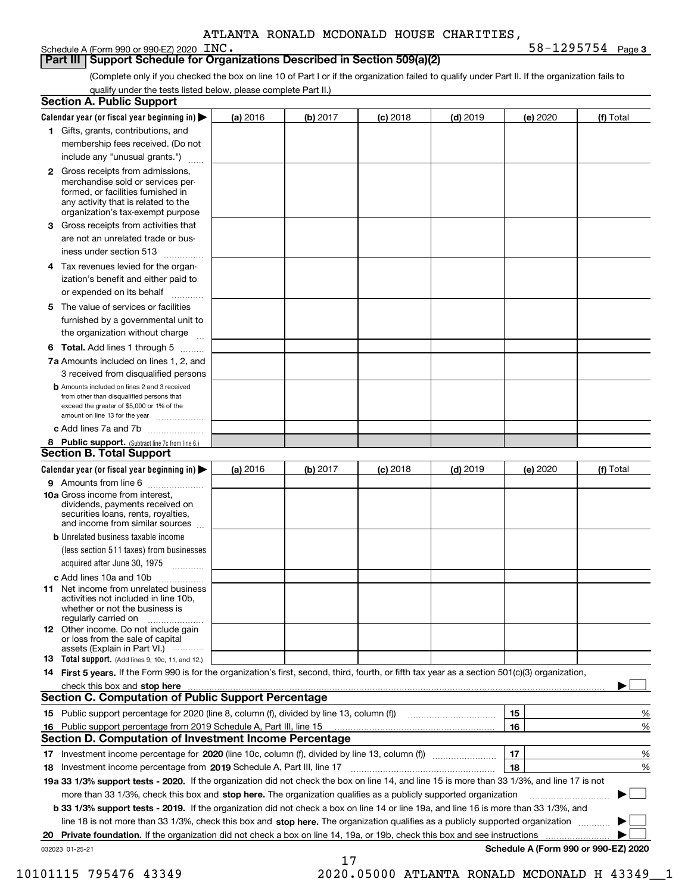#### **Part III Support Schedule for Organizations Described in Section 509(a)(2)**

(Complete only if you checked the box on line 10 of Part I or if the organization failed to qualify under Part II. If the organization fails to qualify under the tests listed below, please complete Part II.)

| <b>Section A. Public Support</b>                                                                                                                                                                                                     |          |          |            |            |          |                                      |
|--------------------------------------------------------------------------------------------------------------------------------------------------------------------------------------------------------------------------------------|----------|----------|------------|------------|----------|--------------------------------------|
| Calendar year (or fiscal year beginning in) $\blacktriangleright$                                                                                                                                                                    | (a) 2016 | (b) 2017 | $(c)$ 2018 | $(d)$ 2019 | (e) 2020 | (f) Total                            |
| 1 Gifts, grants, contributions, and                                                                                                                                                                                                  |          |          |            |            |          |                                      |
| membership fees received. (Do not                                                                                                                                                                                                    |          |          |            |            |          |                                      |
| include any "unusual grants.")                                                                                                                                                                                                       |          |          |            |            |          |                                      |
| 2 Gross receipts from admissions,<br>merchandise sold or services per-<br>formed, or facilities furnished in<br>any activity that is related to the<br>organization's tax-exempt purpose                                             |          |          |            |            |          |                                      |
| 3 Gross receipts from activities that<br>are not an unrelated trade or bus-                                                                                                                                                          |          |          |            |            |          |                                      |
| iness under section 513                                                                                                                                                                                                              |          |          |            |            |          |                                      |
| 4 Tax revenues levied for the organ-<br>ization's benefit and either paid to<br>or expended on its behalf                                                                                                                            |          |          |            |            |          |                                      |
| .<br>5 The value of services or facilities<br>furnished by a governmental unit to                                                                                                                                                    |          |          |            |            |          |                                      |
| the organization without charge                                                                                                                                                                                                      |          |          |            |            |          |                                      |
| <b>6 Total.</b> Add lines 1 through 5                                                                                                                                                                                                |          |          |            |            |          |                                      |
| 7a Amounts included on lines 1, 2, and<br>3 received from disqualified persons                                                                                                                                                       |          |          |            |            |          |                                      |
| <b>b</b> Amounts included on lines 2 and 3 received<br>from other than disqualified persons that<br>exceed the greater of \$5,000 or 1% of the<br>amount on line 13 for the year                                                     |          |          |            |            |          |                                      |
| c Add lines 7a and 7b                                                                                                                                                                                                                |          |          |            |            |          |                                      |
| 8 Public support. (Subtract line 7c from line 6.)<br><b>Section B. Total Support</b>                                                                                                                                                 |          |          |            |            |          |                                      |
| Calendar year (or fiscal year beginning in)                                                                                                                                                                                          | (a) 2016 | (b) 2017 | $(c)$ 2018 | $(d)$ 2019 | (e) 2020 | (f) Total                            |
| 9 Amounts from line 6                                                                                                                                                                                                                |          |          |            |            |          |                                      |
| 10a Gross income from interest,<br>dividends, payments received on<br>securities loans, rents, royalties,<br>and income from similar sources                                                                                         |          |          |            |            |          |                                      |
| <b>b</b> Unrelated business taxable income<br>(less section 511 taxes) from businesses<br>acquired after June 30, 1975                                                                                                               |          |          |            |            |          |                                      |
| c Add lines 10a and 10b                                                                                                                                                                                                              |          |          |            |            |          |                                      |
| <b>11</b> Net income from unrelated business<br>activities not included in line 10b,<br>whether or not the business is<br>regularly carried on                                                                                       |          |          |            |            |          |                                      |
| <b>12</b> Other income. Do not include gain<br>or loss from the sale of capital<br>assets (Explain in Part VI.)                                                                                                                      |          |          |            |            |          |                                      |
| <b>13 Total support.</b> (Add lines 9, 10c, 11, and 12.)                                                                                                                                                                             |          |          |            |            |          |                                      |
| 14 First 5 years. If the Form 990 is for the organization's first, second, third, fourth, or fifth tax year as a section 501(c)(3) organization,                                                                                     |          |          |            |            |          |                                      |
| check this box and stop here <b>contract the contract of the contract of the state of the state of the state of the state of the state of the state of the state of the state of the state of the state of the state of the stat</b> |          |          |            |            |          |                                      |
| <b>Section C. Computation of Public Support Percentage</b>                                                                                                                                                                           |          |          |            |            |          |                                      |
|                                                                                                                                                                                                                                      |          |          |            |            | 15       | %                                    |
| 16 Public support percentage from 2019 Schedule A, Part III, line 15                                                                                                                                                                 |          |          |            |            | 16       | %                                    |
| <b>Section D. Computation of Investment Income Percentage</b>                                                                                                                                                                        |          |          |            |            |          |                                      |
| 17 Investment income percentage for 2020 (line 10c, column (f), divided by line 13, column (f))<br>18 Investment income percentage from 2019 Schedule A, Part III, line 17                                                           |          |          |            |            | 17<br>18 | %<br>%                               |
| 19a 33 1/3% support tests - 2020. If the organization did not check the box on line 14, and line 15 is more than 33 1/3%, and line 17 is not                                                                                         |          |          |            |            |          |                                      |
| more than 33 1/3%, check this box and stop here. The organization qualifies as a publicly supported organization                                                                                                                     |          |          |            |            |          | ▶                                    |
| b 33 1/3% support tests - 2019. If the organization did not check a box on line 14 or line 19a, and line 16 is more than 33 1/3%, and                                                                                                |          |          |            |            |          |                                      |
| line 18 is not more than 33 1/3%, check this box and stop here. The organization qualifies as a publicly supported organization                                                                                                      |          |          |            |            |          |                                      |
| 20 Private foundation. If the organization did not check a box on line 14, 19a, or 19b, check this box and see instructions                                                                                                          |          |          |            |            |          |                                      |
| 032023 01-25-21                                                                                                                                                                                                                      |          | 17       |            |            |          | Schedule A (Form 990 or 990-EZ) 2020 |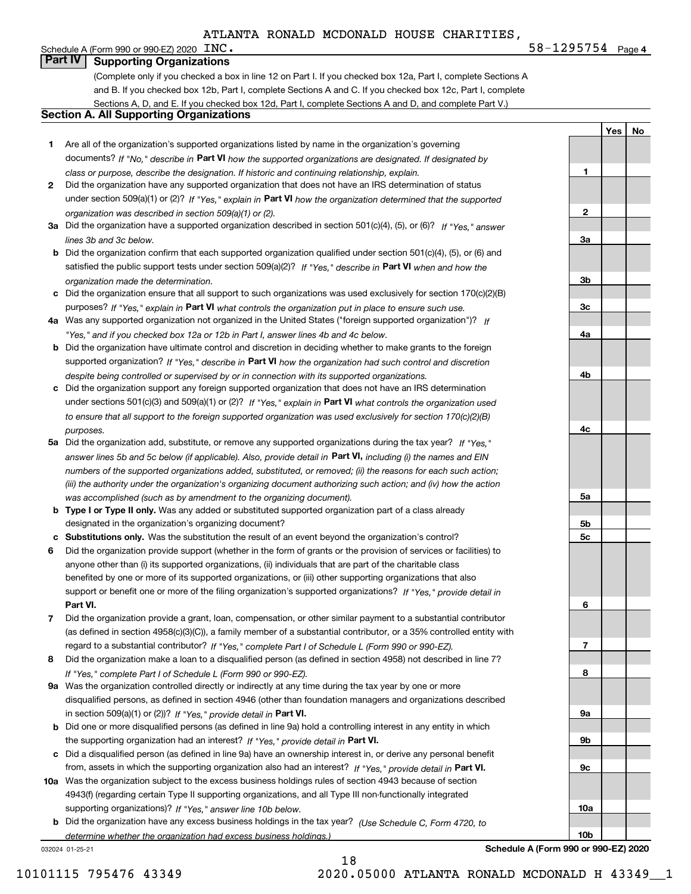**4**INC. 58-1295754

**1**

**2**

**YesNo**

#### Schedule A (Form 990 or 990-EZ) 2020  $\text{INC}$ . **Part IV Supporting Organizations**

(Complete only if you checked a box in line 12 on Part I. If you checked box 12a, Part I, complete Sections A and B. If you checked box 12b, Part I, complete Sections A and C. If you checked box 12c, Part I, complete Sections A, D, and E. If you checked box 12d, Part I, complete Sections A and D, and complete Part V.)

#### **Section A. All Supporting Organizations**

- **1** Are all of the organization's supported organizations listed by name in the organization's governing documents? If "No," describe in **Part VI** how the supported organizations are designated. If designated by *class or purpose, describe the designation. If historic and continuing relationship, explain.*
- **2** Did the organization have any supported organization that does not have an IRS determination of status under section 509(a)(1) or (2)? If "Yes," explain in Part VI how the organization determined that the supported *organization was described in section 509(a)(1) or (2).*
- **3a** Did the organization have a supported organization described in section 501(c)(4), (5), or (6)? If "Yes," answer *lines 3b and 3c below.*
- **b** Did the organization confirm that each supported organization qualified under section 501(c)(4), (5), or (6) and satisfied the public support tests under section 509(a)(2)? If "Yes," describe in **Part VI** when and how the *organization made the determination.*
- **c**Did the organization ensure that all support to such organizations was used exclusively for section 170(c)(2)(B) purposes? If "Yes," explain in **Part VI** what controls the organization put in place to ensure such use.
- **4a***If* Was any supported organization not organized in the United States ("foreign supported organization")? *"Yes," and if you checked box 12a or 12b in Part I, answer lines 4b and 4c below.*
- **b** Did the organization have ultimate control and discretion in deciding whether to make grants to the foreign supported organization? If "Yes," describe in **Part VI** how the organization had such control and discretion *despite being controlled or supervised by or in connection with its supported organizations.*
- **c** Did the organization support any foreign supported organization that does not have an IRS determination under sections 501(c)(3) and 509(a)(1) or (2)? If "Yes," explain in **Part VI** what controls the organization used *to ensure that all support to the foreign supported organization was used exclusively for section 170(c)(2)(B) purposes.*
- **5a** Did the organization add, substitute, or remove any supported organizations during the tax year? If "Yes," answer lines 5b and 5c below (if applicable). Also, provide detail in **Part VI,** including (i) the names and EIN *numbers of the supported organizations added, substituted, or removed; (ii) the reasons for each such action; (iii) the authority under the organization's organizing document authorizing such action; and (iv) how the action was accomplished (such as by amendment to the organizing document).*
- **b** Type I or Type II only. Was any added or substituted supported organization part of a class already designated in the organization's organizing document?
- **cSubstitutions only.**  Was the substitution the result of an event beyond the organization's control?
- **6** Did the organization provide support (whether in the form of grants or the provision of services or facilities) to **Part VI.** *If "Yes," provide detail in* support or benefit one or more of the filing organization's supported organizations? anyone other than (i) its supported organizations, (ii) individuals that are part of the charitable class benefited by one or more of its supported organizations, or (iii) other supporting organizations that also
- **7**Did the organization provide a grant, loan, compensation, or other similar payment to a substantial contributor *If "Yes," complete Part I of Schedule L (Form 990 or 990-EZ).* regard to a substantial contributor? (as defined in section 4958(c)(3)(C)), a family member of a substantial contributor, or a 35% controlled entity with
- **8** Did the organization make a loan to a disqualified person (as defined in section 4958) not described in line 7? *If "Yes," complete Part I of Schedule L (Form 990 or 990-EZ).*
- **9a** Was the organization controlled directly or indirectly at any time during the tax year by one or more in section 509(a)(1) or (2))? If "Yes," *provide detail in* <code>Part VI.</code> disqualified persons, as defined in section 4946 (other than foundation managers and organizations described
- **b**the supporting organization had an interest? If "Yes," provide detail in P**art VI**. Did one or more disqualified persons (as defined in line 9a) hold a controlling interest in any entity in which
- **c**Did a disqualified person (as defined in line 9a) have an ownership interest in, or derive any personal benefit from, assets in which the supporting organization also had an interest? If "Yes," provide detail in P**art VI.**
- **10a** Was the organization subject to the excess business holdings rules of section 4943 because of section supporting organizations)? If "Yes," answer line 10b below. 4943(f) (regarding certain Type II supporting organizations, and all Type III non-functionally integrated
- **b** Did the organization have any excess business holdings in the tax year? (Use Schedule C, Form 4720, to *determine whether the organization had excess business holdings.)*

18

032024 01-25-21



**Schedule A (Form 990 or 990-EZ) 2020**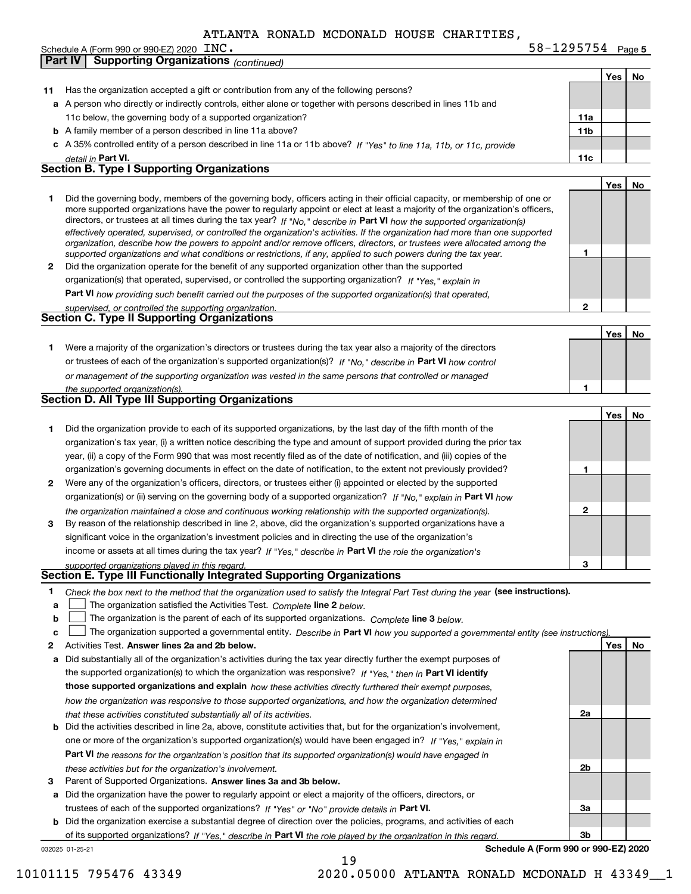**5** INC. 58-1295754

|              |                                                                                                                                   |                 | Yes   No |    |
|--------------|-----------------------------------------------------------------------------------------------------------------------------------|-----------------|----------|----|
| 11           | Has the organization accepted a gift or contribution from any of the following persons?                                           |                 |          |    |
|              | a A person who directly or indirectly controls, either alone or together with persons described in lines 11b and                  |                 |          |    |
|              | 11c below, the governing body of a supported organization?                                                                        | 11a             |          |    |
|              | <b>b</b> A family member of a person described in line 11a above?                                                                 | 11 <sub>b</sub> |          |    |
|              | c A 35% controlled entity of a person described in line 11a or 11b above? If "Yes" to line 11a, 11b, or 11c, provide              |                 |          |    |
|              | detail in Part VI.                                                                                                                | 11c             |          |    |
|              | <b>Section B. Type I Supporting Organizations</b>                                                                                 |                 |          |    |
|              |                                                                                                                                   |                 | Yes      | No |
| 1            | Did the governing body, members of the governing body, officers acting in their official capacity, or membership of one or        |                 |          |    |
|              | more supported organizations have the power to regularly appoint or elect at least a majority of the organization's officers,     |                 |          |    |
|              | directors, or trustees at all times during the tax year? If "No," describe in Part VI how the supported organization(s)           |                 |          |    |
|              | effectively operated, supervised, or controlled the organization's activities. If the organization had more than one supported    |                 |          |    |
|              | organization, describe how the powers to appoint and/or remove officers, directors, or trustees were allocated among the          |                 |          |    |
|              | supported organizations and what conditions or restrictions, if any, applied to such powers during the tax year.                  | 1               |          |    |
| $\mathbf{2}$ | Did the organization operate for the benefit of any supported organization other than the supported                               |                 |          |    |
|              | organization(s) that operated, supervised, or controlled the supporting organization? If "Yes," explain in                        |                 |          |    |
|              | Part VI how providing such benefit carried out the purposes of the supported organization(s) that operated,                       |                 |          |    |
|              | supervised, or controlled the supporting organization.                                                                            | 2               |          |    |
|              | Section C. Type II Supporting Organizations                                                                                       |                 |          |    |
|              |                                                                                                                                   |                 | Yes      | No |
| 1.           | Were a majority of the organization's directors or trustees during the tax year also a majority of the directors                  |                 |          |    |
|              | or trustees of each of the organization's supported organization(s)? If "No," describe in Part VI how control                     |                 |          |    |
|              | or management of the supporting organization was vested in the same persons that controlled or managed                            |                 |          |    |
|              | the supported organization(s).                                                                                                    | 1               |          |    |
|              | <b>Section D. All Type III Supporting Organizations</b>                                                                           |                 |          |    |
|              |                                                                                                                                   |                 | Yes      | No |
| 1            | Did the organization provide to each of its supported organizations, by the last day of the fifth month of the                    |                 |          |    |
|              | organization's tax year, (i) a written notice describing the type and amount of support provided during the prior tax             |                 |          |    |
|              | year, (ii) a copy of the Form 990 that was most recently filed as of the date of notification, and (iii) copies of the            |                 |          |    |
|              | organization's governing documents in effect on the date of notification, to the extent not previously provided?                  | 1               |          |    |
| 2            | Were any of the organization's officers, directors, or trustees either (i) appointed or elected by the supported                  |                 |          |    |
|              | organization(s) or (ii) serving on the governing body of a supported organization? If "No," explain in Part VI how                |                 |          |    |
|              |                                                                                                                                   | 2               |          |    |
|              | the organization maintained a close and continuous working relationship with the supported organization(s).                       |                 |          |    |
| 3            | By reason of the relationship described in line 2, above, did the organization's supported organizations have a                   |                 |          |    |
|              | significant voice in the organization's investment policies and in directing the use of the organization's                        |                 |          |    |
|              | income or assets at all times during the tax year? If "Yes," describe in Part VI the role the organization's                      |                 |          |    |
|              | supported organizations played in this regard.<br>Section E. Type III Functionally Integrated Supporting Organizations            | 3               |          |    |
|              |                                                                                                                                   |                 |          |    |
| 1            | Check the box next to the method that the organization used to satisfy the Integral Part Test during the year (see instructions). |                 |          |    |
| a            | The organization satisfied the Activities Test. Complete line 2 below.                                                            |                 |          |    |
| b            | The organization is the parent of each of its supported organizations. Complete line 3 below.                                     |                 |          |    |
| c            | The organization supported a governmental entity. Describe in Part VI how you supported a governmental entity (see instructions). |                 |          |    |
| 2            | Activities Test. Answer lines 2a and 2b below.                                                                                    |                 | Yes      | No |
| а            | Did substantially all of the organization's activities during the tax year directly further the exempt purposes of                |                 |          |    |
|              | the supported organization(s) to which the organization was responsive? If "Yes," then in Part VI identify                        |                 |          |    |
|              | those supported organizations and explain how these activities directly furthered their exempt purposes,                          |                 |          |    |
|              | how the organization was responsive to those supported organizations, and how the organization determined                         |                 |          |    |
|              | that these activities constituted substantially all of its activities.                                                            | 2a              |          |    |
|              | <b>b</b> Did the activities described in line 2a, above, constitute activities that, but for the organization's involvement,      |                 |          |    |
|              | one or more of the organization's supported organization(s) would have been engaged in? If "Yes," explain in                      |                 |          |    |
|              | <b>Part VI</b> the reasons for the organization's position that its supported organization(s) would have engaged in               |                 |          |    |
|              | these activities but for the organization's involvement.                                                                          | 2b              |          |    |
| з            | Parent of Supported Organizations. Answer lines 3a and 3b below.                                                                  |                 |          |    |
|              | a Did the organization have the power to regularly appoint or elect a majority of the officers, directors, or                     |                 |          |    |
|              | trustees of each of the supported organizations? If "Yes" or "No" provide details in Part VI.                                     | За              |          |    |
|              | <b>b</b> Did the organization exercise a substantial degree of direction over the policies, programs, and activities of each      |                 |          |    |
|              | of its supported organizations? If "Yes." describe in Part VI the role played by the organization in this regard.                 | 3b              |          |    |
|              | Schedule A (Form 990 or 990-EZ) 2020<br>032025 01-25-21                                                                           |                 |          |    |
|              | 19                                                                                                                                |                 |          |    |

Schedule A (Form 990 or 990-EZ) 2020 INC.

**Part IV Supporting Organizations** *(continued)*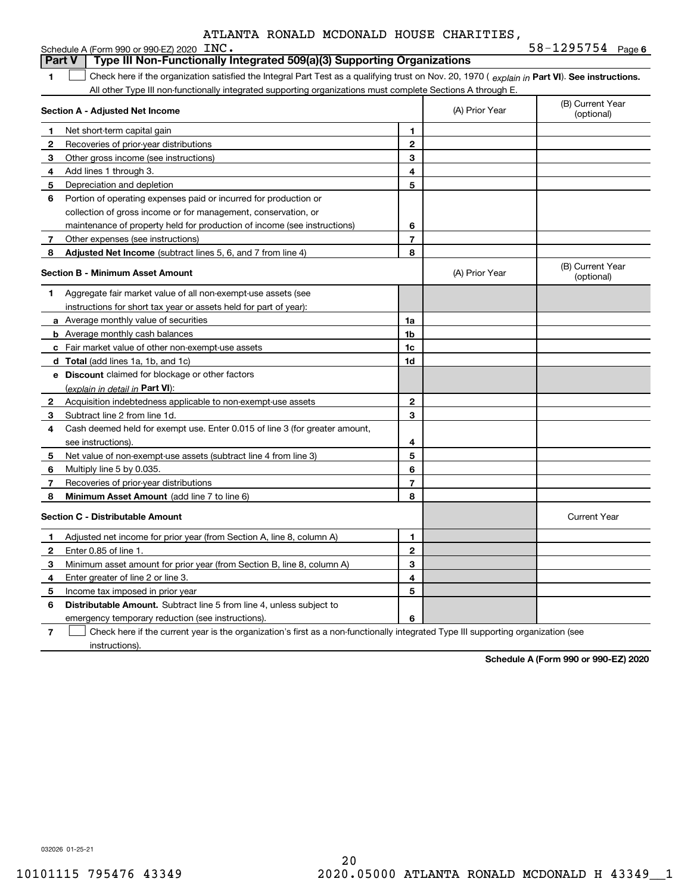| ATLANTA RONALD MCDONALD HOUSE CHARITIES. |  |  |  |  |
|------------------------------------------|--|--|--|--|
|------------------------------------------|--|--|--|--|

|               | Schedule A (Form 990 or 990-EZ) 2020 INC.                                                                                                      | $58 - 1295754$ Page 6 |                |                                |
|---------------|------------------------------------------------------------------------------------------------------------------------------------------------|-----------------------|----------------|--------------------------------|
| <b>Part V</b> | Type III Non-Functionally Integrated 509(a)(3) Supporting Organizations                                                                        |                       |                |                                |
| 1             | Check here if the organization satisfied the Integral Part Test as a qualifying trust on Nov. 20, 1970 (explain in Part VI). See instructions. |                       |                |                                |
|               | All other Type III non-functionally integrated supporting organizations must complete Sections A through E.                                    |                       |                |                                |
|               | Section A - Adjusted Net Income                                                                                                                |                       | (A) Prior Year | (B) Current Year<br>(optional) |
| 1             | Net short-term capital gain                                                                                                                    | 1                     |                |                                |
| 2             | Recoveries of prior-year distributions                                                                                                         | $\overline{2}$        |                |                                |
| 3             | Other gross income (see instructions)                                                                                                          | 3                     |                |                                |
| 4             | Add lines 1 through 3.                                                                                                                         | 4                     |                |                                |
| 5             | Depreciation and depletion                                                                                                                     | 5                     |                |                                |
| 6             | Portion of operating expenses paid or incurred for production or                                                                               |                       |                |                                |
|               | collection of gross income or for management, conservation, or                                                                                 |                       |                |                                |
|               | maintenance of property held for production of income (see instructions)                                                                       | 6                     |                |                                |
| 7             | Other expenses (see instructions)                                                                                                              | $\overline{7}$        |                |                                |
| 8             | Adjusted Net Income (subtract lines 5, 6, and 7 from line 4)                                                                                   | 8                     |                |                                |
|               | <b>Section B - Minimum Asset Amount</b>                                                                                                        |                       | (A) Prior Year | (B) Current Year<br>(optional) |
| 1.            | Aggregate fair market value of all non-exempt-use assets (see                                                                                  |                       |                |                                |
|               | instructions for short tax year or assets held for part of year):                                                                              |                       |                |                                |
|               | <b>a</b> Average monthly value of securities                                                                                                   | 1a                    |                |                                |
|               | <b>b</b> Average monthly cash balances                                                                                                         | 1b                    |                |                                |
|               | c Fair market value of other non-exempt-use assets                                                                                             | 1c                    |                |                                |
|               | d Total (add lines 1a, 1b, and 1c)                                                                                                             | 1d                    |                |                                |
|               | <b>e</b> Discount claimed for blockage or other factors                                                                                        |                       |                |                                |
|               | (explain in detail in Part VI):                                                                                                                |                       |                |                                |
| $\mathbf{2}$  | Acquisition indebtedness applicable to non-exempt-use assets                                                                                   | $\overline{2}$        |                |                                |
| 3             | Subtract line 2 from line 1d.                                                                                                                  | 3                     |                |                                |
| 4             | Cash deemed held for exempt use. Enter 0.015 of line 3 (for greater amount,                                                                    |                       |                |                                |
|               | see instructions).                                                                                                                             | 4                     |                |                                |
| 5             | Net value of non-exempt-use assets (subtract line 4 from line 3)                                                                               | 5                     |                |                                |
| 6             | Multiply line 5 by 0.035.                                                                                                                      | 6                     |                |                                |
| 7             | Recoveries of prior-year distributions                                                                                                         | 7                     |                |                                |
| 8             | Minimum Asset Amount (add line 7 to line 6)                                                                                                    | 8                     |                |                                |
|               | <b>Section C - Distributable Amount</b>                                                                                                        |                       |                | <b>Current Year</b>            |
| 1             | Adjusted net income for prior year (from Section A, line 8, column A)                                                                          | 1                     |                |                                |
| 2             | Enter 0.85 of line 1.                                                                                                                          | $\mathbf{2}$          |                |                                |
| 3             | Minimum asset amount for prior year (from Section B, line 8, column A)                                                                         | 3                     |                |                                |
| 4             | Enter greater of line 2 or line 3.                                                                                                             | 4                     |                |                                |
| 5             | Income tax imposed in prior year                                                                                                               | 5                     |                |                                |
| 6             | <b>Distributable Amount.</b> Subtract line 5 from line 4, unless subject to                                                                    |                       |                |                                |
|               | emergency temporary reduction (see instructions)                                                                                               | 6                     |                |                                |

**7** Check here if the current year is the organization's first as a non-functionally integrated Type III supporting organization (see instructions).

**Schedule A (Form 990 or 990-EZ) 2020**

032026 01-25-21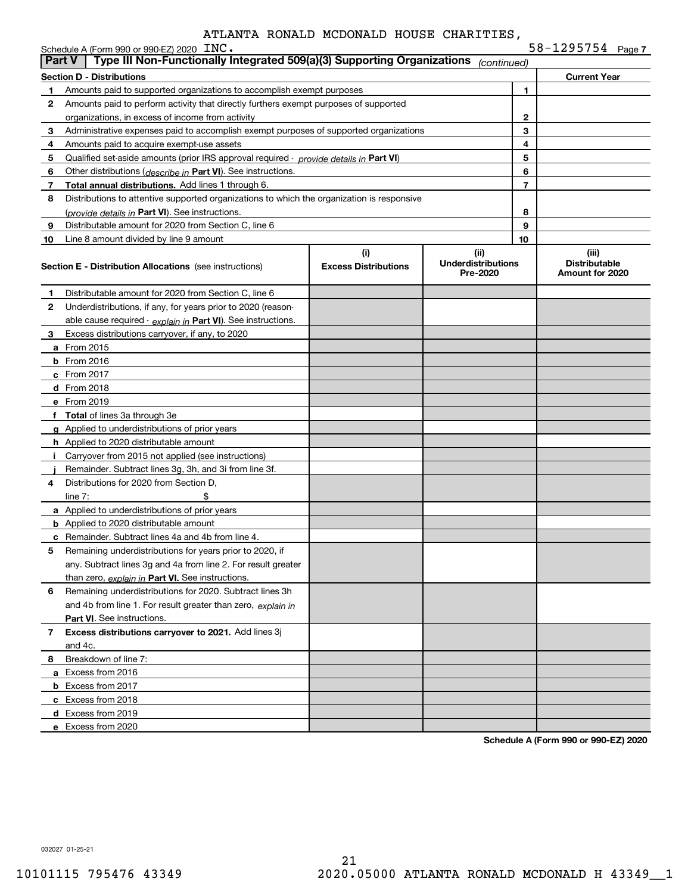|             | Schedule A (Form 990 or 990-EZ) 2020 $\text{INC}$ .<br>Type III Non-Functionally Integrated 509(a)(3) Supporting Organizations<br><b>Part V</b> |                                    |                                       |                     | $58 - 1295754$ Page 7                            |
|-------------|-------------------------------------------------------------------------------------------------------------------------------------------------|------------------------------------|---------------------------------------|---------------------|--------------------------------------------------|
|             |                                                                                                                                                 |                                    | (continued)                           |                     |                                                  |
|             | <b>Section D - Distributions</b>                                                                                                                |                                    |                                       |                     | <b>Current Year</b>                              |
| 1.          | Amounts paid to supported organizations to accomplish exempt purposes                                                                           |                                    |                                       | 1                   |                                                  |
| 2           | Amounts paid to perform activity that directly furthers exempt purposes of supported                                                            |                                    |                                       |                     |                                                  |
|             | organizations, in excess of income from activity                                                                                                |                                    |                                       | $\mathbf{2}$        |                                                  |
| 3           | Administrative expenses paid to accomplish exempt purposes of supported organizations                                                           |                                    |                                       | 3                   |                                                  |
| 4           | Amounts paid to acquire exempt-use assets                                                                                                       |                                    |                                       | 4                   |                                                  |
| 5           | Qualified set-aside amounts (prior IRS approval required - <i>provide details in</i> Part VI)                                                   |                                    |                                       | 5                   |                                                  |
| 6           | Other distributions ( <i>describe in</i> Part VI). See instructions.                                                                            |                                    |                                       | 6<br>$\overline{7}$ |                                                  |
| 7           | Total annual distributions. Add lines 1 through 6.                                                                                              |                                    |                                       |                     |                                                  |
| 8           | Distributions to attentive supported organizations to which the organization is responsive                                                      |                                    |                                       | 8                   |                                                  |
|             | (provide details in Part VI). See instructions.                                                                                                 |                                    |                                       | 9                   |                                                  |
| 9           | Distributable amount for 2020 from Section C, line 6                                                                                            |                                    |                                       | 10                  |                                                  |
| 10          | Line 8 amount divided by line 9 amount                                                                                                          |                                    | (ii)                                  |                     |                                                  |
|             | <b>Section E - Distribution Allocations</b> (see instructions)                                                                                  | (i)<br><b>Excess Distributions</b> | <b>Underdistributions</b><br>Pre-2020 |                     | (iii)<br><b>Distributable</b><br>Amount for 2020 |
| 1           | Distributable amount for 2020 from Section C, line 6                                                                                            |                                    |                                       |                     |                                                  |
| 2           | Underdistributions, if any, for years prior to 2020 (reason-                                                                                    |                                    |                                       |                     |                                                  |
|             | able cause required - explain in Part VI). See instructions.                                                                                    |                                    |                                       |                     |                                                  |
| З.          | Excess distributions carryover, if any, to 2020                                                                                                 |                                    |                                       |                     |                                                  |
|             | <b>a</b> From 2015                                                                                                                              |                                    |                                       |                     |                                                  |
|             | $b$ From 2016                                                                                                                                   |                                    |                                       |                     |                                                  |
|             | $c$ From 2017                                                                                                                                   |                                    |                                       |                     |                                                  |
|             | d From 2018                                                                                                                                     |                                    |                                       |                     |                                                  |
|             | e From 2019                                                                                                                                     |                                    |                                       |                     |                                                  |
|             | f Total of lines 3a through 3e                                                                                                                  |                                    |                                       |                     |                                                  |
|             | g Applied to underdistributions of prior years                                                                                                  |                                    |                                       |                     |                                                  |
|             | <b>h</b> Applied to 2020 distributable amount                                                                                                   |                                    |                                       |                     |                                                  |
|             | Carryover from 2015 not applied (see instructions)                                                                                              |                                    |                                       |                     |                                                  |
|             | Remainder. Subtract lines 3g, 3h, and 3i from line 3f.                                                                                          |                                    |                                       |                     |                                                  |
| 4           | Distributions for 2020 from Section D,                                                                                                          |                                    |                                       |                     |                                                  |
|             | \$<br>line $7:$                                                                                                                                 |                                    |                                       |                     |                                                  |
|             | a Applied to underdistributions of prior years                                                                                                  |                                    |                                       |                     |                                                  |
|             | <b>b</b> Applied to 2020 distributable amount                                                                                                   |                                    |                                       |                     |                                                  |
|             | <b>c</b> Remainder. Subtract lines 4a and 4b from line 4.                                                                                       |                                    |                                       |                     |                                                  |
|             | Remaining underdistributions for years prior to 2020, if                                                                                        |                                    |                                       |                     |                                                  |
|             | any. Subtract lines 3g and 4a from line 2. For result greater                                                                                   |                                    |                                       |                     |                                                  |
|             | than zero, explain in Part VI. See instructions.                                                                                                |                                    |                                       |                     |                                                  |
| 6           | Remaining underdistributions for 2020. Subtract lines 3h                                                                                        |                                    |                                       |                     |                                                  |
|             | and 4b from line 1. For result greater than zero, explain in                                                                                    |                                    |                                       |                     |                                                  |
|             | Part VI. See instructions.                                                                                                                      |                                    |                                       |                     |                                                  |
| $7^{\circ}$ | Excess distributions carryover to 2021. Add lines 3j                                                                                            |                                    |                                       |                     |                                                  |
|             | and 4c.                                                                                                                                         |                                    |                                       |                     |                                                  |
| 8           | Breakdown of line 7:                                                                                                                            |                                    |                                       |                     |                                                  |
|             | a Excess from 2016                                                                                                                              |                                    |                                       |                     |                                                  |
|             | <b>b</b> Excess from 2017                                                                                                                       |                                    |                                       |                     |                                                  |
|             | c Excess from 2018                                                                                                                              |                                    |                                       |                     |                                                  |
|             | d Excess from 2019                                                                                                                              |                                    |                                       |                     |                                                  |
|             | e Excess from 2020                                                                                                                              |                                    |                                       |                     |                                                  |

**Schedule A (Form 990 or 990-EZ) 2020**

032027 01-25-21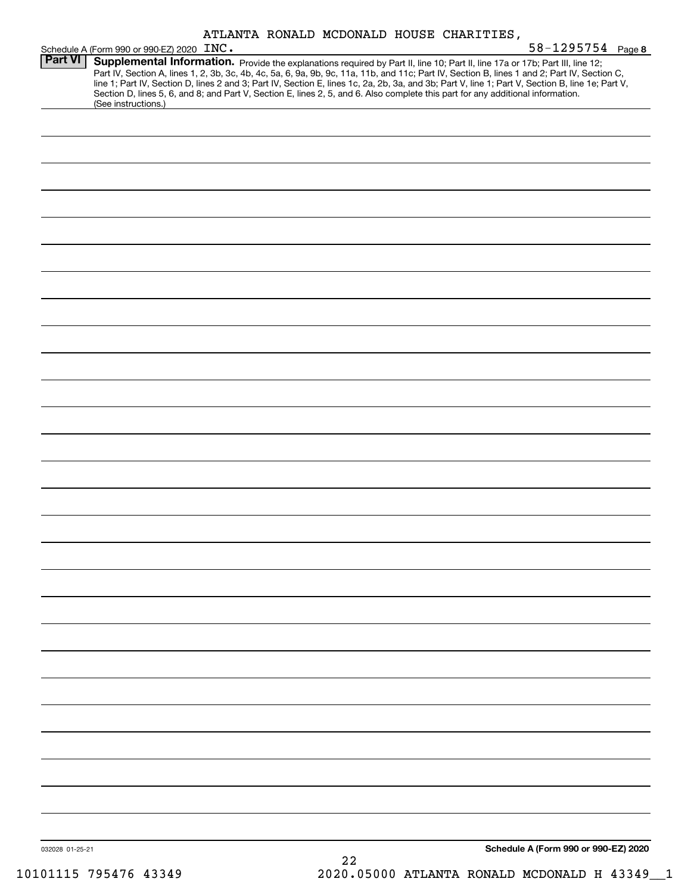|                 | ATLANTA RONALD MCDONALD HOUSE CHARITIES,                                                                                                                                                                                                                                                                                                                                                                                                                                                                                                                                                    |  |
|-----------------|---------------------------------------------------------------------------------------------------------------------------------------------------------------------------------------------------------------------------------------------------------------------------------------------------------------------------------------------------------------------------------------------------------------------------------------------------------------------------------------------------------------------------------------------------------------------------------------------|--|
|                 | 58-1295754 Page 8<br>Schedule A (Form 990 or 990-EZ) 2020 INC.                                                                                                                                                                                                                                                                                                                                                                                                                                                                                                                              |  |
| <b>Part VI</b>  | Supplemental Information. Provide the explanations required by Part II, line 10; Part II, line 17a or 17b; Part III, line 12;<br>Part IV, Section A, lines 1, 2, 3b, 3c, 4b, 4c, 5a, 6, 9a, 9b, 9c, 11a, 11b, and 11c; Part IV, Section B, lines 1 and 2; Part IV, Section C,<br>line 1; Part IV, Section D, lines 2 and 3; Part IV, Section E, lines 1c, 2a, 2b, 3a, and 3b; Part V, line 1; Part V, Section B, line 1e; Part V,<br>Section D, lines 5, 6, and 8; and Part V, Section E, lines 2, 5, and 6. Also complete this part for any additional information.<br>(See instructions.) |  |
|                 |                                                                                                                                                                                                                                                                                                                                                                                                                                                                                                                                                                                             |  |
|                 |                                                                                                                                                                                                                                                                                                                                                                                                                                                                                                                                                                                             |  |
|                 |                                                                                                                                                                                                                                                                                                                                                                                                                                                                                                                                                                                             |  |
|                 |                                                                                                                                                                                                                                                                                                                                                                                                                                                                                                                                                                                             |  |
|                 |                                                                                                                                                                                                                                                                                                                                                                                                                                                                                                                                                                                             |  |
|                 |                                                                                                                                                                                                                                                                                                                                                                                                                                                                                                                                                                                             |  |
|                 |                                                                                                                                                                                                                                                                                                                                                                                                                                                                                                                                                                                             |  |
|                 |                                                                                                                                                                                                                                                                                                                                                                                                                                                                                                                                                                                             |  |
|                 |                                                                                                                                                                                                                                                                                                                                                                                                                                                                                                                                                                                             |  |
|                 |                                                                                                                                                                                                                                                                                                                                                                                                                                                                                                                                                                                             |  |
|                 |                                                                                                                                                                                                                                                                                                                                                                                                                                                                                                                                                                                             |  |
|                 |                                                                                                                                                                                                                                                                                                                                                                                                                                                                                                                                                                                             |  |
|                 |                                                                                                                                                                                                                                                                                                                                                                                                                                                                                                                                                                                             |  |
|                 |                                                                                                                                                                                                                                                                                                                                                                                                                                                                                                                                                                                             |  |
|                 |                                                                                                                                                                                                                                                                                                                                                                                                                                                                                                                                                                                             |  |
|                 |                                                                                                                                                                                                                                                                                                                                                                                                                                                                                                                                                                                             |  |
|                 |                                                                                                                                                                                                                                                                                                                                                                                                                                                                                                                                                                                             |  |
|                 |                                                                                                                                                                                                                                                                                                                                                                                                                                                                                                                                                                                             |  |
|                 |                                                                                                                                                                                                                                                                                                                                                                                                                                                                                                                                                                                             |  |
|                 |                                                                                                                                                                                                                                                                                                                                                                                                                                                                                                                                                                                             |  |
|                 |                                                                                                                                                                                                                                                                                                                                                                                                                                                                                                                                                                                             |  |
|                 |                                                                                                                                                                                                                                                                                                                                                                                                                                                                                                                                                                                             |  |
|                 |                                                                                                                                                                                                                                                                                                                                                                                                                                                                                                                                                                                             |  |
|                 |                                                                                                                                                                                                                                                                                                                                                                                                                                                                                                                                                                                             |  |
|                 |                                                                                                                                                                                                                                                                                                                                                                                                                                                                                                                                                                                             |  |
|                 |                                                                                                                                                                                                                                                                                                                                                                                                                                                                                                                                                                                             |  |
|                 |                                                                                                                                                                                                                                                                                                                                                                                                                                                                                                                                                                                             |  |
| 032028 01-25-21 | Schedule A (Form 990 or 990-EZ) 2020                                                                                                                                                                                                                                                                                                                                                                                                                                                                                                                                                        |  |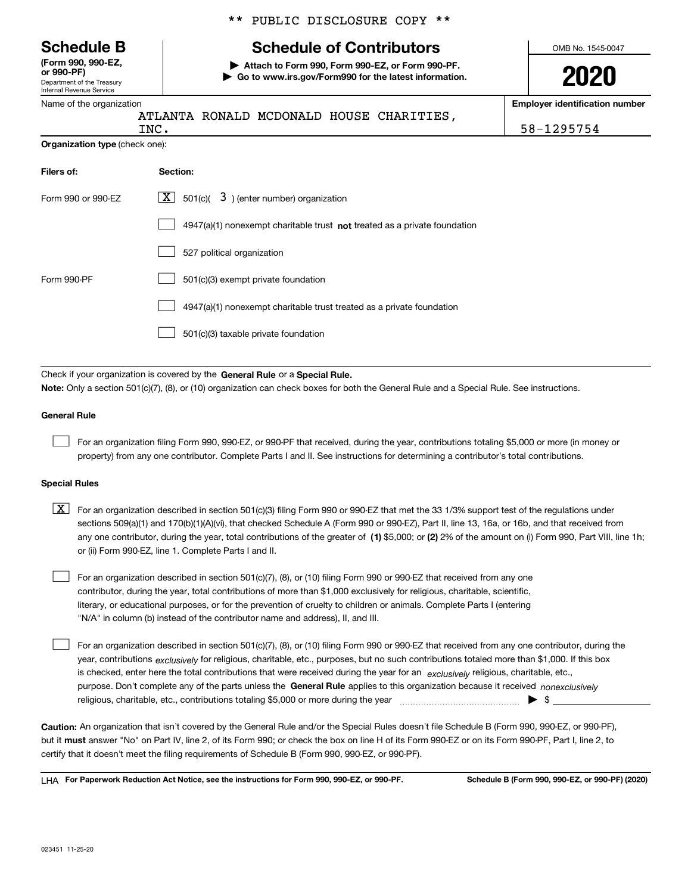Department of the Treasury Internal Revenue Service **(Form 990, 990-EZ, or 990-PF)**

#### Name of the organization

|  |  | ** PUBLIC DISCLOSURE COPY ** |  |  |
|--|--|------------------------------|--|--|
|--|--|------------------------------|--|--|

## **Schedule B Schedule of Contributors**

**| Attach to Form 990, Form 990-EZ, or Form 990-PF. | Go to www.irs.gov/Form990 for the latest information.** OMB No. 1545-0047

**2020**

**Employer identification number**

|                                       | ATLANTA RONALD MCDONALD HOUSE CHARITIES,<br>INC.                            | 58-1295754 |
|---------------------------------------|-----------------------------------------------------------------------------|------------|
| <b>Organization type (check one):</b> |                                                                             |            |
| Filers of:                            | Section:                                                                    |            |
| Form 990 or 990-EZ                    | 501(c)( $3$ ) (enter number) organization<br>X                              |            |
|                                       | $4947(a)(1)$ nonexempt charitable trust not treated as a private foundation |            |
|                                       | 527 political organization                                                  |            |
| Form 990-PF                           | 501(c)(3) exempt private foundation                                         |            |
|                                       | 4947(a)(1) nonexempt charitable trust treated as a private foundation       |            |
|                                       | 501(c)(3) taxable private foundation                                        |            |
|                                       |                                                                             |            |

Check if your organization is covered by the **General Rule** or a **Special Rule. Note:**  Only a section 501(c)(7), (8), or (10) organization can check boxes for both the General Rule and a Special Rule. See instructions.

#### **General Rule**

 $\mathcal{L}^{\text{max}}$ 

For an organization filing Form 990, 990-EZ, or 990-PF that received, during the year, contributions totaling \$5,000 or more (in money or property) from any one contributor. Complete Parts I and II. See instructions for determining a contributor's total contributions.

#### **Special Rules**

any one contributor, during the year, total contributions of the greater of  $\,$  (1) \$5,000; or **(2)** 2% of the amount on (i) Form 990, Part VIII, line 1h;  $\boxed{\textbf{X}}$  For an organization described in section 501(c)(3) filing Form 990 or 990-EZ that met the 33 1/3% support test of the regulations under sections 509(a)(1) and 170(b)(1)(A)(vi), that checked Schedule A (Form 990 or 990-EZ), Part II, line 13, 16a, or 16b, and that received from or (ii) Form 990-EZ, line 1. Complete Parts I and II.

For an organization described in section 501(c)(7), (8), or (10) filing Form 990 or 990-EZ that received from any one contributor, during the year, total contributions of more than \$1,000 exclusively for religious, charitable, scientific, literary, or educational purposes, or for the prevention of cruelty to children or animals. Complete Parts I (entering "N/A" in column (b) instead of the contributor name and address), II, and III.  $\mathcal{L}^{\text{max}}$ 

purpose. Don't complete any of the parts unless the **General Rule** applies to this organization because it received *nonexclusively* year, contributions <sub>exclusively</sub> for religious, charitable, etc., purposes, but no such contributions totaled more than \$1,000. If this box is checked, enter here the total contributions that were received during the year for an  $\;$ exclusively religious, charitable, etc., For an organization described in section 501(c)(7), (8), or (10) filing Form 990 or 990-EZ that received from any one contributor, during the religious, charitable, etc., contributions totaling \$5,000 or more during the year  $\Box$ — $\Box$   $\Box$  $\mathcal{L}^{\text{max}}$ 

**Caution:**  An organization that isn't covered by the General Rule and/or the Special Rules doesn't file Schedule B (Form 990, 990-EZ, or 990-PF),  **must** but it answer "No" on Part IV, line 2, of its Form 990; or check the box on line H of its Form 990-EZ or on its Form 990-PF, Part I, line 2, to certify that it doesn't meet the filing requirements of Schedule B (Form 990, 990-EZ, or 990-PF).

**For Paperwork Reduction Act Notice, see the instructions for Form 990, 990-EZ, or 990-PF. Schedule B (Form 990, 990-EZ, or 990-PF) (2020)** LHA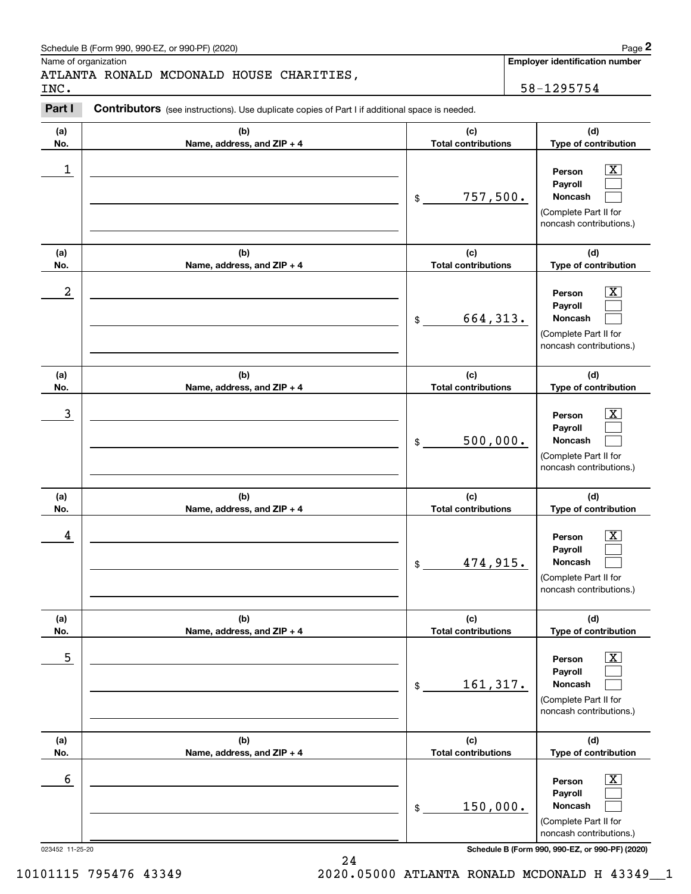| Schedule B (Form 990, 990-EZ, or 990-PF) (2020) | Page |
|-------------------------------------------------|------|
|-------------------------------------------------|------|

## ATLANTA RONALD MCDONALD HOUSE CHARITIES,

|                  | Schedule B (Form 990, 990-EZ, or 990-PF) (2020)                                                       |                                   | Page 2                                                                                                      |
|------------------|-------------------------------------------------------------------------------------------------------|-----------------------------------|-------------------------------------------------------------------------------------------------------------|
| INC.             | Name of organization<br>ATLANTA RONALD MCDONALD HOUSE CHARITIES,                                      |                                   | Employer identification number<br>58-1295754                                                                |
| Part I           | <b>Contributors</b> (see instructions). Use duplicate copies of Part I if additional space is needed. |                                   |                                                                                                             |
| (a)<br>No.       | (b)<br>Name, address, and ZIP + 4                                                                     | (c)<br><b>Total contributions</b> | (d)<br>Type of contribution                                                                                 |
| $\mathbf 1$      |                                                                                                       | 757,500.<br>\$                    | $\mathbf{X}$<br>Person<br>Payroll<br>Noncash<br>(Complete Part II for<br>noncash contributions.)            |
| (a)<br>No.       | (b)<br>Name, address, and ZIP + 4                                                                     | (c)<br><b>Total contributions</b> | (d)<br>Type of contribution                                                                                 |
| $\boldsymbol{2}$ |                                                                                                       | 664, 313.<br>\$                   | $\mathbf{X}$<br>Person<br>Payroll<br>Noncash<br>(Complete Part II for<br>noncash contributions.)            |
| (a)<br>No.       | (b)<br>Name, address, and ZIP + 4                                                                     | (c)<br><b>Total contributions</b> | (d)<br>Type of contribution                                                                                 |
| 3                |                                                                                                       | 500,000.<br>\$                    | $\overline{\mathbf{X}}$<br>Person<br>Payroll<br>Noncash<br>(Complete Part II for<br>noncash contributions.) |
| (a)<br>No.       | (b)<br>Name, address, and ZIP + 4                                                                     | (c)<br><b>Total contributions</b> | (d)<br>Type of contribution                                                                                 |
| 4                |                                                                                                       | 474,915.<br>\$                    | $\mathbf{X}$<br>Person<br>Payroll<br>Noncash<br>(Complete Part II for<br>noncash contributions.)            |
| (a)<br>No.       | (b)<br>Name, address, and ZIP + 4                                                                     | (c)<br><b>Total contributions</b> | (d)<br>Type of contribution                                                                                 |
| 5                |                                                                                                       | 161,317.<br>\$                    | $\boxed{\text{X}}$<br>Person<br>Payroll<br>Noncash<br>(Complete Part II for<br>noncash contributions.)      |
| (a)<br>No.       | (b)<br>Name, address, and ZIP + 4                                                                     | (c)<br><b>Total contributions</b> | (d)<br>Type of contribution                                                                                 |
| 6                |                                                                                                       | 150,000.<br>\$                    | $\boxed{\text{X}}$<br>Person<br>Payroll<br>Noncash<br>(Complete Part II for<br>noncash contributions.)      |

023452 11-25-20 **Schedule B (Form 990, 990-EZ, or 990-PF) (2020)**

24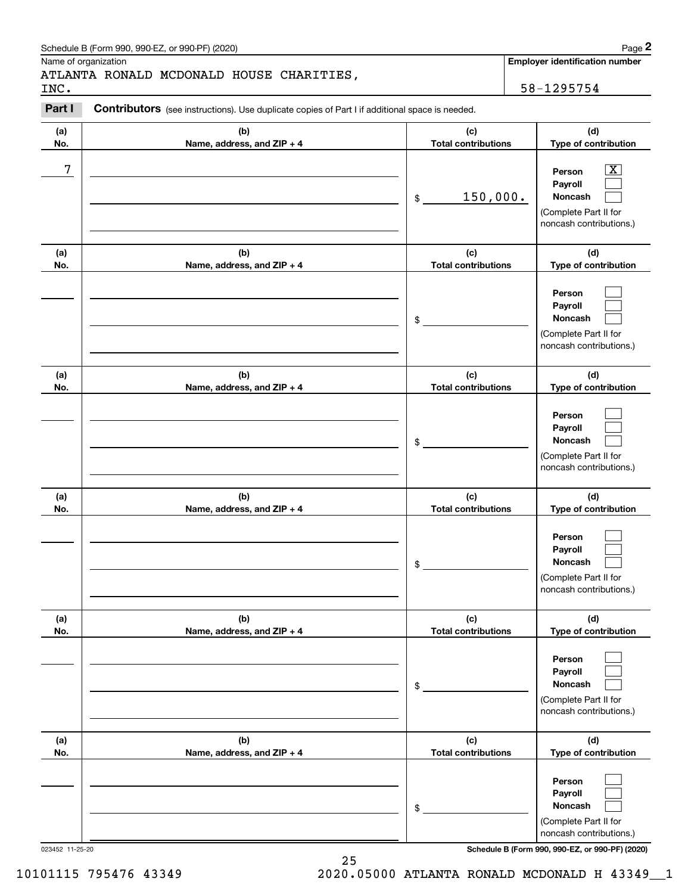| Schedule B (Form 990, 990-EZ, or 990-PF) (2020) | Page |
|-------------------------------------------------|------|
|-------------------------------------------------|------|

Name of organization

## ATLANTA RONALD MCDONALD HOUSE CHARITIES,

**Employer identification number**

#### **(a)No.(b)Name, address, and ZIP + 4 (c)Total contributions (d)Type of contribution PersonPayrollNoncash (a)No.(b)Name, address, and ZIP + 4 (c)Total contributions (d)Type of contribution PersonPayrollNoncash (a)No.(b)Name, address, and ZIP + 4 (c)Total contributions (d)Type of contribution PersonPayrollNoncash (a) No.(b) Name, address, and ZIP + 4 (c) Total contributions (d) Type of contribution PersonPayrollNoncash(a) No.(b) Name, address, and ZIP + 4 (c) Total contributions (d) Type of contribution PersonPayrollNoncash (a) No.(b)Name, address, and ZIP + 4 (c) Total contributions (d)Type of contribution PersonPayrollNoncash Contributors** (see instructions). Use duplicate copies of Part I if additional space is needed. \$(Complete Part II for noncash contributions.) \$(Complete Part II for noncash contributions.) \$(Complete Part II for noncash contributions.) \$(Complete Part II for noncash contributions.) \$(Complete Part II for noncash contributions.) \$(Complete Part II for noncash contributions.) Chedule B (Form 990, 990-EZ, or 990-PF) (2020)<br>Iame of organization<br>**2PARTA RONALD MCDONALD HOUSE CHARITIES**<br>**2PART I Contributors** (see instructions). Use duplicate copies of Part I if additional space is needed.<br>2PART  $|X|$  $\mathcal{L}^{\text{max}}$  $\mathcal{L}^{\text{max}}$  $\mathcal{L}^{\text{max}}$  $\mathcal{L}^{\text{max}}$  $\mathcal{L}^{\text{max}}$  $\mathcal{L}^{\text{max}}$  $\mathcal{L}^{\text{max}}$  $\mathcal{L}^{\text{max}}$  $\mathcal{L}^{\text{max}}$  $\mathcal{L}^{\text{max}}$  $\mathcal{L}^{\text{max}}$  $\mathcal{L}^{\text{max}}$  $\mathcal{L}^{\text{max}}$  $\mathcal{L}^{\text{max}}$  $\mathcal{L}^{\text{max}}$  $\mathcal{L}^{\text{max}}$  $\mathcal{L}^{\text{max}}$ 7 X 150,000. INC. 58-1295754

023452 11-25-20 **Schedule B (Form 990, 990-EZ, or 990-PF) (2020)**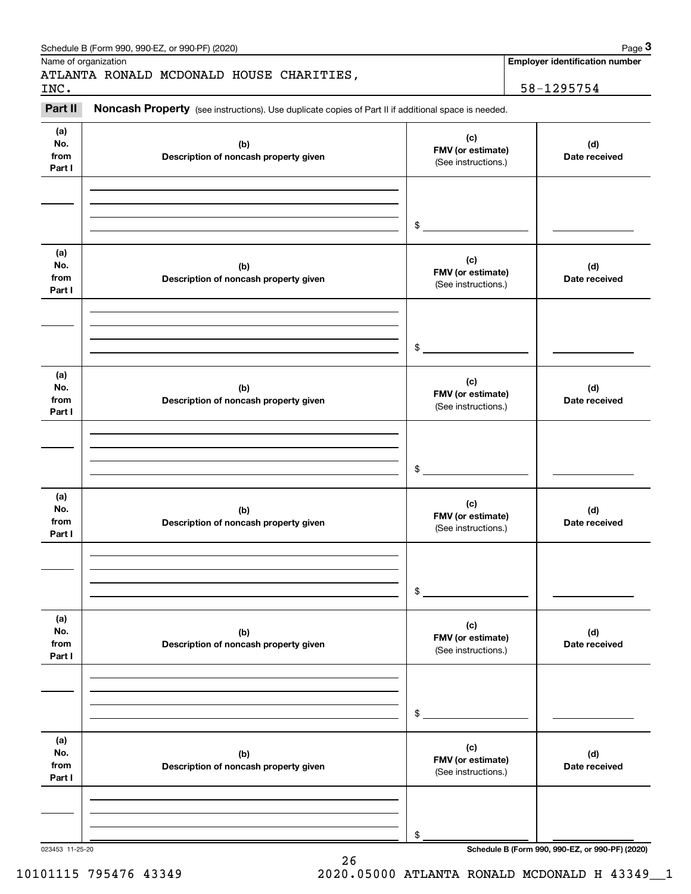|                              | Schedule B (Form 990, 990-EZ, or 990-PF) (2020)                                                     |                                                 | Page 3                                          |
|------------------------------|-----------------------------------------------------------------------------------------------------|-------------------------------------------------|-------------------------------------------------|
|                              | Name of organization                                                                                |                                                 | <b>Employer identification number</b>           |
|                              | ATLANTA RONALD MCDONALD HOUSE CHARITIES,                                                            |                                                 |                                                 |
| INC.                         |                                                                                                     |                                                 | 58-1295754                                      |
| Part II                      | Noncash Property (see instructions). Use duplicate copies of Part II if additional space is needed. |                                                 |                                                 |
| (a)<br>No.<br>from<br>Part I | (b)<br>Description of noncash property given                                                        | (c)<br>FMV (or estimate)<br>(See instructions.) | (d)<br>Date received                            |
|                              |                                                                                                     | $\frac{1}{2}$                                   |                                                 |
| (a)<br>No.<br>from<br>Part I | (b)<br>Description of noncash property given                                                        | (c)<br>FMV (or estimate)<br>(See instructions.) | (d)<br>Date received                            |
|                              |                                                                                                     | $\frac{1}{2}$                                   |                                                 |
| (a)<br>No.<br>from<br>Part I | (b)<br>Description of noncash property given                                                        | (c)<br>FMV (or estimate)<br>(See instructions.) | (d)<br>Date received                            |
|                              |                                                                                                     | $$^{\circ}$                                     |                                                 |
| (a)<br>No.<br>from<br>Part I | (b)<br>Description of noncash property given                                                        | (c)<br>FMV (or estimate)<br>(See instructions.) | (d)<br>Date received                            |
|                              |                                                                                                     | \$                                              |                                                 |
| (a)<br>No.<br>from<br>Part I | (b)<br>Description of noncash property given                                                        | (c)<br>FMV (or estimate)<br>(See instructions.) | (d)<br>Date received                            |
|                              |                                                                                                     | \$                                              |                                                 |
| (a)<br>No.<br>from<br>Part I | (b)<br>Description of noncash property given                                                        | (c)<br>FMV (or estimate)<br>(See instructions.) | (d)<br>Date received                            |
|                              |                                                                                                     | \$                                              |                                                 |
| 023453 11-25-20              |                                                                                                     |                                                 | Schedule B (Form 990, 990-EZ, or 990-PF) (2020) |

26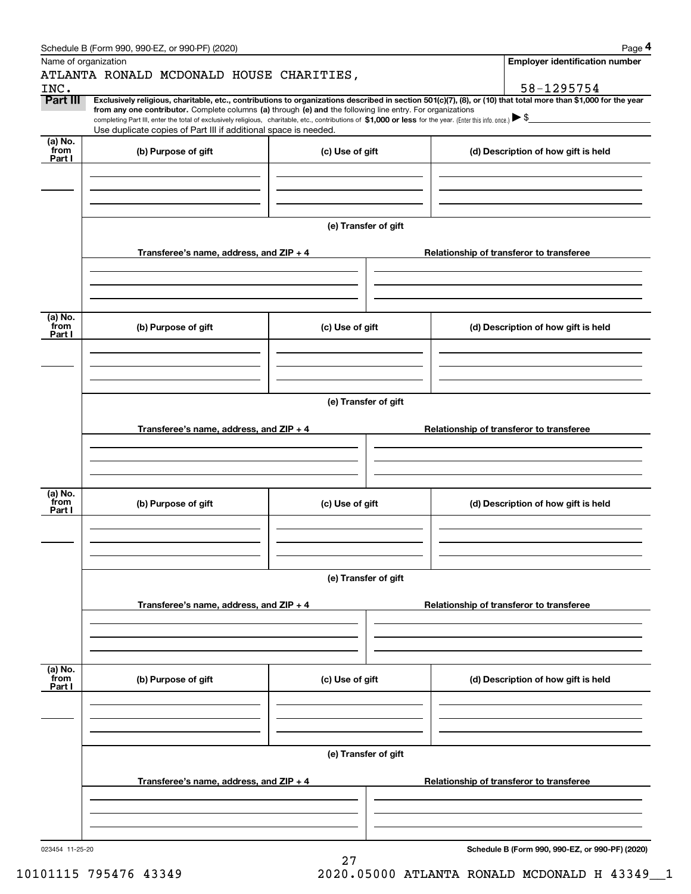|                      | Schedule B (Form 990, 990-EZ, or 990-PF) (2020)                                                                                                                                                                                                                              |                      |  | Page 4                                   |  |  |  |
|----------------------|------------------------------------------------------------------------------------------------------------------------------------------------------------------------------------------------------------------------------------------------------------------------------|----------------------|--|------------------------------------------|--|--|--|
| Name of organization |                                                                                                                                                                                                                                                                              |                      |  | <b>Employer identification number</b>    |  |  |  |
|                      | ATLANTA RONALD MCDONALD HOUSE CHARITIES,                                                                                                                                                                                                                                     |                      |  |                                          |  |  |  |
| INC.                 |                                                                                                                                                                                                                                                                              |                      |  | 58-1295754                               |  |  |  |
| Part III             | Exclusively religious, charitable, etc., contributions to organizations described in section 501(c)(7), (8), or (10) that total more than \$1,000 for the year<br>from any one contributor. Complete columns (a) through (e) and the following line entry. For organizations |                      |  |                                          |  |  |  |
|                      | completing Part III, enter the total of exclusively religious, charitable, etc., contributions of \$1,000 or less for the year. (Enter this info. once.) $\blacktriangleright$ \$                                                                                            |                      |  |                                          |  |  |  |
|                      | Use duplicate copies of Part III if additional space is needed.                                                                                                                                                                                                              |                      |  |                                          |  |  |  |
| (a) No.<br>from      | (b) Purpose of gift                                                                                                                                                                                                                                                          | (c) Use of gift      |  | (d) Description of how gift is held      |  |  |  |
| Part I               |                                                                                                                                                                                                                                                                              |                      |  |                                          |  |  |  |
|                      |                                                                                                                                                                                                                                                                              |                      |  |                                          |  |  |  |
|                      |                                                                                                                                                                                                                                                                              |                      |  |                                          |  |  |  |
|                      |                                                                                                                                                                                                                                                                              |                      |  |                                          |  |  |  |
|                      |                                                                                                                                                                                                                                                                              | (e) Transfer of gift |  |                                          |  |  |  |
|                      |                                                                                                                                                                                                                                                                              |                      |  |                                          |  |  |  |
|                      | Transferee's name, address, and ZIP + 4                                                                                                                                                                                                                                      |                      |  | Relationship of transferor to transferee |  |  |  |
|                      |                                                                                                                                                                                                                                                                              |                      |  |                                          |  |  |  |
|                      |                                                                                                                                                                                                                                                                              |                      |  |                                          |  |  |  |
|                      |                                                                                                                                                                                                                                                                              |                      |  |                                          |  |  |  |
|                      |                                                                                                                                                                                                                                                                              |                      |  |                                          |  |  |  |
| (a) No.<br>from      | (b) Purpose of gift                                                                                                                                                                                                                                                          | (c) Use of gift      |  | (d) Description of how gift is held      |  |  |  |
| Part I               |                                                                                                                                                                                                                                                                              |                      |  |                                          |  |  |  |
|                      |                                                                                                                                                                                                                                                                              |                      |  |                                          |  |  |  |
|                      |                                                                                                                                                                                                                                                                              |                      |  |                                          |  |  |  |
|                      |                                                                                                                                                                                                                                                                              |                      |  |                                          |  |  |  |
|                      |                                                                                                                                                                                                                                                                              |                      |  |                                          |  |  |  |
|                      | (e) Transfer of gift                                                                                                                                                                                                                                                         |                      |  |                                          |  |  |  |
|                      | Transferee's name, address, and $ZIP + 4$                                                                                                                                                                                                                                    |                      |  | Relationship of transferor to transferee |  |  |  |
|                      |                                                                                                                                                                                                                                                                              |                      |  |                                          |  |  |  |
|                      |                                                                                                                                                                                                                                                                              |                      |  |                                          |  |  |  |
|                      |                                                                                                                                                                                                                                                                              |                      |  |                                          |  |  |  |
| (a) No.              |                                                                                                                                                                                                                                                                              |                      |  |                                          |  |  |  |
| from                 | (b) Purpose of gift                                                                                                                                                                                                                                                          | (c) Use of gift      |  | (d) Description of how gift is held      |  |  |  |
| Part I               |                                                                                                                                                                                                                                                                              |                      |  |                                          |  |  |  |
|                      |                                                                                                                                                                                                                                                                              |                      |  |                                          |  |  |  |
|                      |                                                                                                                                                                                                                                                                              |                      |  |                                          |  |  |  |
|                      |                                                                                                                                                                                                                                                                              |                      |  |                                          |  |  |  |
|                      | (e) Transfer of gift                                                                                                                                                                                                                                                         |                      |  |                                          |  |  |  |
|                      |                                                                                                                                                                                                                                                                              |                      |  |                                          |  |  |  |
|                      | Transferee's name, address, and ZIP + 4                                                                                                                                                                                                                                      |                      |  | Relationship of transferor to transferee |  |  |  |
|                      |                                                                                                                                                                                                                                                                              |                      |  |                                          |  |  |  |
|                      |                                                                                                                                                                                                                                                                              |                      |  |                                          |  |  |  |
|                      |                                                                                                                                                                                                                                                                              |                      |  |                                          |  |  |  |
|                      |                                                                                                                                                                                                                                                                              |                      |  |                                          |  |  |  |
| (a) No.<br>from      | (b) Purpose of gift                                                                                                                                                                                                                                                          | (c) Use of gift      |  | (d) Description of how gift is held      |  |  |  |
| Part I               |                                                                                                                                                                                                                                                                              |                      |  |                                          |  |  |  |
|                      |                                                                                                                                                                                                                                                                              |                      |  |                                          |  |  |  |
|                      |                                                                                                                                                                                                                                                                              |                      |  |                                          |  |  |  |
|                      |                                                                                                                                                                                                                                                                              |                      |  |                                          |  |  |  |
|                      | (e) Transfer of gift                                                                                                                                                                                                                                                         |                      |  |                                          |  |  |  |
|                      |                                                                                                                                                                                                                                                                              |                      |  |                                          |  |  |  |
|                      | Transferee's name, address, and $ZIP + 4$                                                                                                                                                                                                                                    |                      |  | Relationship of transferor to transferee |  |  |  |
|                      |                                                                                                                                                                                                                                                                              |                      |  |                                          |  |  |  |
|                      |                                                                                                                                                                                                                                                                              |                      |  |                                          |  |  |  |
|                      |                                                                                                                                                                                                                                                                              |                      |  |                                          |  |  |  |
|                      |                                                                                                                                                                                                                                                                              |                      |  |                                          |  |  |  |

27

023454 11-25-20

**Schedule B (Form 990, 990-EZ, or 990-PF) (2020)**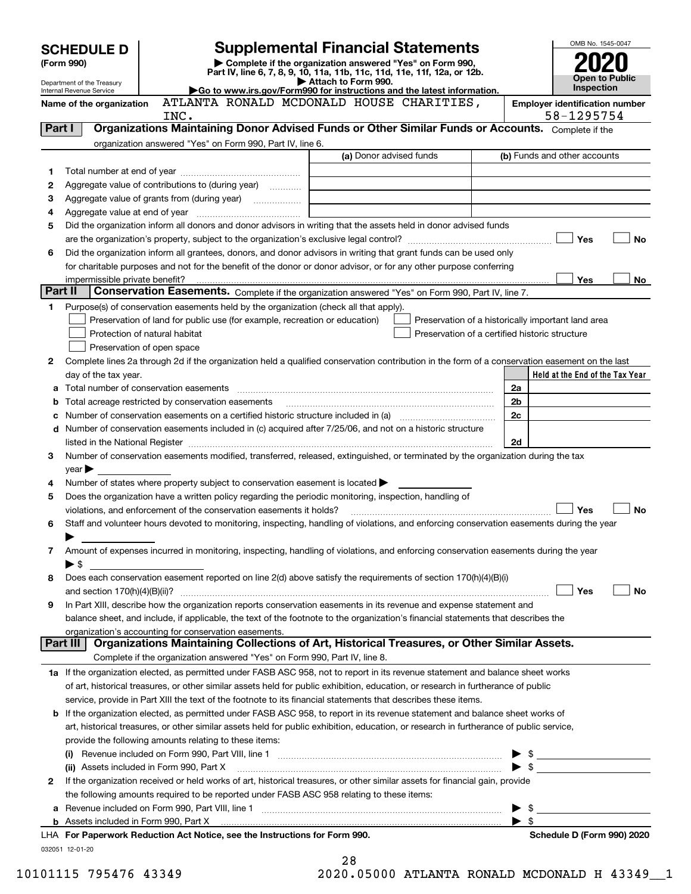|         | <b>Supplemental Financial Statements</b><br><b>SCHEDULE D</b>                                                                                         |                                                                                                                                                                                                                                |                                                | OMB No. 1545-0047        |                                                    |           |
|---------|-------------------------------------------------------------------------------------------------------------------------------------------------------|--------------------------------------------------------------------------------------------------------------------------------------------------------------------------------------------------------------------------------|------------------------------------------------|--------------------------|----------------------------------------------------|-----------|
|         | Complete if the organization answered "Yes" on Form 990,<br>(Form 990)                                                                                |                                                                                                                                                                                                                                |                                                |                          |                                                    |           |
|         | Part IV, line 6, 7, 8, 9, 10, 11a, 11b, 11c, 11d, 11e, 11f, 12a, or 12b.<br><b>Open to Public</b><br>Attach to Form 990.                              |                                                                                                                                                                                                                                |                                                |                          |                                                    |           |
|         | Department of the Treasury<br>Inspection<br>Go to www.irs.gov/Form990 for instructions and the latest information.<br>Internal Revenue Service        |                                                                                                                                                                                                                                |                                                |                          |                                                    |           |
|         | Name of the organization                                                                                                                              |                                                                                                                                                                                                                                | ATLANTA RONALD MCDONALD HOUSE CHARITIES,       |                          | <b>Employer identification number</b>              |           |
|         |                                                                                                                                                       | INC.                                                                                                                                                                                                                           |                                                |                          | 58-1295754                                         |           |
| Part I  |                                                                                                                                                       | Organizations Maintaining Donor Advised Funds or Other Similar Funds or Accounts. Complete if the                                                                                                                              |                                                |                          |                                                    |           |
|         |                                                                                                                                                       | organization answered "Yes" on Form 990, Part IV, line 6.                                                                                                                                                                      |                                                |                          |                                                    |           |
|         |                                                                                                                                                       |                                                                                                                                                                                                                                | (a) Donor advised funds                        |                          | (b) Funds and other accounts                       |           |
| 1       |                                                                                                                                                       |                                                                                                                                                                                                                                |                                                |                          |                                                    |           |
| 2       |                                                                                                                                                       | Aggregate value of contributions to (during year)                                                                                                                                                                              |                                                |                          |                                                    |           |
| З       |                                                                                                                                                       |                                                                                                                                                                                                                                |                                                |                          |                                                    |           |
| 4       |                                                                                                                                                       |                                                                                                                                                                                                                                |                                                |                          |                                                    |           |
| 5       |                                                                                                                                                       | Did the organization inform all donors and donor advisors in writing that the assets held in donor advised funds                                                                                                               |                                                |                          |                                                    |           |
|         |                                                                                                                                                       |                                                                                                                                                                                                                                |                                                |                          | Yes                                                | <b>No</b> |
| 6       |                                                                                                                                                       | Did the organization inform all grantees, donors, and donor advisors in writing that grant funds can be used only                                                                                                              |                                                |                          |                                                    |           |
|         |                                                                                                                                                       | for charitable purposes and not for the benefit of the donor or donor advisor, or for any other purpose conferring                                                                                                             |                                                |                          | Yes                                                | No        |
| Part II | impermissible private benefit?                                                                                                                        | Conservation Easements. Complete if the organization answered "Yes" on Form 990, Part IV, line 7.                                                                                                                              |                                                |                          |                                                    |           |
| 1       |                                                                                                                                                       | Purpose(s) of conservation easements held by the organization (check all that apply).                                                                                                                                          |                                                |                          |                                                    |           |
|         |                                                                                                                                                       | Preservation of land for public use (for example, recreation or education)                                                                                                                                                     |                                                |                          | Preservation of a historically important land area |           |
|         |                                                                                                                                                       | Protection of natural habitat                                                                                                                                                                                                  | Preservation of a certified historic structure |                          |                                                    |           |
|         |                                                                                                                                                       | Preservation of open space                                                                                                                                                                                                     |                                                |                          |                                                    |           |
| 2       |                                                                                                                                                       | Complete lines 2a through 2d if the organization held a qualified conservation contribution in the form of a conservation easement on the last                                                                                 |                                                |                          |                                                    |           |
|         | day of the tax year.                                                                                                                                  |                                                                                                                                                                                                                                |                                                |                          | Held at the End of the Tax Year                    |           |
| а       |                                                                                                                                                       |                                                                                                                                                                                                                                |                                                | 2a                       |                                                    |           |
| b       |                                                                                                                                                       | Total acreage restricted by conservation easements                                                                                                                                                                             |                                                | 2b                       |                                                    |           |
|         |                                                                                                                                                       | Number of conservation easements on a certified historic structure included in (a) manufacture included in (a)                                                                                                                 |                                                | 2c                       |                                                    |           |
| d       |                                                                                                                                                       | Number of conservation easements included in (c) acquired after 7/25/06, and not on a historic structure                                                                                                                       |                                                |                          |                                                    |           |
|         |                                                                                                                                                       | listed in the National Register [111] [12] The Materian Control of the National Register [12] The Mational Register [12] [12] The Material Anna Material Anna Material Anna Material Anna Material Anna Material Anna Material |                                                | 2d                       |                                                    |           |
| 3       |                                                                                                                                                       | Number of conservation easements modified, transferred, released, extinguished, or terminated by the organization during the tax                                                                                               |                                                |                          |                                                    |           |
|         | $year \triangleright$                                                                                                                                 |                                                                                                                                                                                                                                |                                                |                          |                                                    |           |
| 4       |                                                                                                                                                       | Number of states where property subject to conservation easement is located $\blacktriangleright$                                                                                                                              |                                                |                          |                                                    |           |
| 5       |                                                                                                                                                       | Does the organization have a written policy regarding the periodic monitoring, inspection, handling of                                                                                                                         |                                                |                          |                                                    |           |
|         | Yes<br><b>No</b><br>violations, and enforcement of the conservation easements it holds?                                                               |                                                                                                                                                                                                                                |                                                |                          |                                                    |           |
| 6       |                                                                                                                                                       | Staff and volunteer hours devoted to monitoring, inspecting, handling of violations, and enforcing conservation easements during the year                                                                                      |                                                |                          |                                                    |           |
|         |                                                                                                                                                       |                                                                                                                                                                                                                                |                                                |                          |                                                    |           |
| 7       |                                                                                                                                                       | Amount of expenses incurred in monitoring, inspecting, handling of violations, and enforcing conservation easements during the year                                                                                            |                                                |                          |                                                    |           |
|         | $\blacktriangleright$ \$                                                                                                                              |                                                                                                                                                                                                                                |                                                |                          |                                                    |           |
| 8       |                                                                                                                                                       | Does each conservation easement reported on line 2(d) above satisfy the requirements of section 170(h)(4)(B)(i)                                                                                                                |                                                |                          |                                                    |           |
|         |                                                                                                                                                       |                                                                                                                                                                                                                                |                                                |                          | Yes                                                | No        |
| 9       |                                                                                                                                                       | In Part XIII, describe how the organization reports conservation easements in its revenue and expense statement and                                                                                                            |                                                |                          |                                                    |           |
|         | balance sheet, and include, if applicable, the text of the footnote to the organization's financial statements that describes the                     |                                                                                                                                                                                                                                |                                                |                          |                                                    |           |
|         | organization's accounting for conservation easements.<br>Organizations Maintaining Collections of Art, Historical Treasures, or Other Similar Assets. |                                                                                                                                                                                                                                |                                                |                          |                                                    |           |
|         | Part III                                                                                                                                              |                                                                                                                                                                                                                                |                                                |                          |                                                    |           |
|         |                                                                                                                                                       | Complete if the organization answered "Yes" on Form 990, Part IV, line 8.                                                                                                                                                      |                                                |                          |                                                    |           |
|         |                                                                                                                                                       | 1a If the organization elected, as permitted under FASB ASC 958, not to report in its revenue statement and balance sheet works                                                                                                |                                                |                          |                                                    |           |
|         | of art, historical treasures, or other similar assets held for public exhibition, education, or research in furtherance of public                     |                                                                                                                                                                                                                                |                                                |                          |                                                    |           |
|         | service, provide in Part XIII the text of the footnote to its financial statements that describes these items.                                        |                                                                                                                                                                                                                                |                                                |                          |                                                    |           |
|         |                                                                                                                                                       | <b>b</b> If the organization elected, as permitted under FASB ASC 958, to report in its revenue statement and balance sheet works of                                                                                           |                                                |                          |                                                    |           |
|         |                                                                                                                                                       | art, historical treasures, or other similar assets held for public exhibition, education, or research in furtherance of public service,                                                                                        |                                                |                          |                                                    |           |
|         |                                                                                                                                                       | provide the following amounts relating to these items:                                                                                                                                                                         |                                                |                          |                                                    |           |
|         |                                                                                                                                                       |                                                                                                                                                                                                                                |                                                |                          | $\triangleright$ \$                                |           |
|         |                                                                                                                                                       | (ii) Assets included in Form 990, Part X                                                                                                                                                                                       |                                                |                          |                                                    |           |
| 2       |                                                                                                                                                       | If the organization received or held works of art, historical treasures, or other similar assets for financial gain, provide                                                                                                   |                                                |                          |                                                    |           |
|         |                                                                                                                                                       | the following amounts required to be reported under FASB ASC 958 relating to these items:                                                                                                                                      |                                                |                          |                                                    |           |
| а       |                                                                                                                                                       |                                                                                                                                                                                                                                |                                                | \$                       |                                                    |           |
|         |                                                                                                                                                       | LHA For Paperwork Reduction Act Notice, see the Instructions for Form 990.                                                                                                                                                     |                                                | $\blacktriangleright$ \$ | Schedule D (Form 990) 2020                         |           |
|         | 032051 12-01-20                                                                                                                                       |                                                                                                                                                                                                                                |                                                |                          |                                                    |           |
|         |                                                                                                                                                       |                                                                                                                                                                                                                                |                                                |                          |                                                    |           |

| 28               |  |
|------------------|--|
| חתב.זידעם חחה הח |  |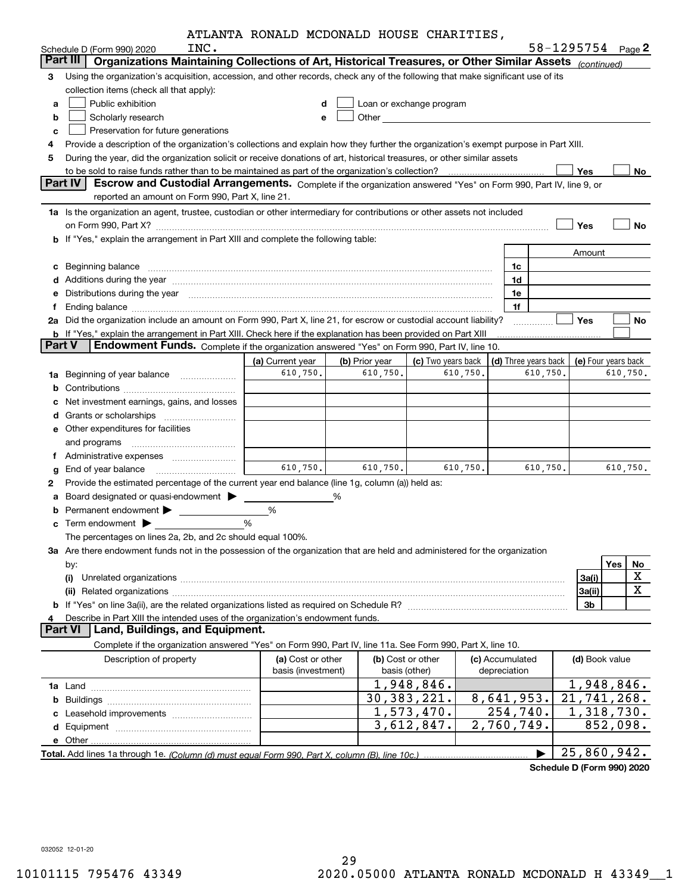|               | INC.                                                                                                                                                                                                                           | ATLANTA KONALD MCDONALD HOUSE CHARITIES, |                |                                                                                                                |                 |                      | 58-1295754 Page 2         |                     |  |  |
|---------------|--------------------------------------------------------------------------------------------------------------------------------------------------------------------------------------------------------------------------------|------------------------------------------|----------------|----------------------------------------------------------------------------------------------------------------|-----------------|----------------------|---------------------------|---------------------|--|--|
|               | Schedule D (Form 990) 2020<br>Part III   Organizations Maintaining Collections of Art, Historical Treasures, or Other Similar Assets (continued)                                                                               |                                          |                |                                                                                                                |                 |                      |                           |                     |  |  |
| З             | Using the organization's acquisition, accession, and other records, check any of the following that make significant use of its                                                                                                |                                          |                |                                                                                                                |                 |                      |                           |                     |  |  |
|               | collection items (check all that apply):                                                                                                                                                                                       |                                          |                |                                                                                                                |                 |                      |                           |                     |  |  |
| а             | Public exhibition                                                                                                                                                                                                              | d                                        |                | Loan or exchange program                                                                                       |                 |                      |                           |                     |  |  |
| b             | Scholarly research                                                                                                                                                                                                             | e                                        |                | Other than the contract of the contract of the contract of the contract of the contract of the contract of the |                 |                      |                           |                     |  |  |
| с             | Preservation for future generations                                                                                                                                                                                            |                                          |                |                                                                                                                |                 |                      |                           |                     |  |  |
| 4             | Provide a description of the organization's collections and explain how they further the organization's exempt purpose in Part XIII.                                                                                           |                                          |                |                                                                                                                |                 |                      |                           |                     |  |  |
| 5             | During the year, did the organization solicit or receive donations of art, historical treasures, or other similar assets                                                                                                       |                                          |                |                                                                                                                |                 |                      |                           |                     |  |  |
|               |                                                                                                                                                                                                                                |                                          |                |                                                                                                                |                 |                      | Yes                       | No                  |  |  |
|               | Part IV<br>Escrow and Custodial Arrangements. Complete if the organization answered "Yes" on Form 990, Part IV, line 9, or                                                                                                     |                                          |                |                                                                                                                |                 |                      |                           |                     |  |  |
|               | reported an amount on Form 990, Part X, line 21.                                                                                                                                                                               |                                          |                |                                                                                                                |                 |                      |                           |                     |  |  |
|               | 1a Is the organization an agent, trustee, custodian or other intermediary for contributions or other assets not included                                                                                                       |                                          |                |                                                                                                                |                 |                      |                           |                     |  |  |
|               |                                                                                                                                                                                                                                |                                          |                |                                                                                                                |                 |                      | Yes                       | <b>No</b>           |  |  |
|               | b If "Yes," explain the arrangement in Part XIII and complete the following table:                                                                                                                                             |                                          |                |                                                                                                                |                 |                      |                           |                     |  |  |
|               |                                                                                                                                                                                                                                |                                          |                |                                                                                                                |                 |                      | Amount                    |                     |  |  |
| с             | Beginning balance                                                                                                                                                                                                              |                                          |                |                                                                                                                |                 | 1c                   |                           |                     |  |  |
|               | Additions during the year manufactured and an account of the state of the state of the state of the state of the state of the state of the state of the state of the state of the state of the state of the state of the state |                                          |                |                                                                                                                |                 | 1d                   |                           |                     |  |  |
| е             | Distributions during the year manufactured and an account of the state of the state of the state of the state o                                                                                                                |                                          |                |                                                                                                                |                 | 1e                   |                           |                     |  |  |
| f.            | 2a Did the organization include an amount on Form 990, Part X, line 21, for escrow or custodial account liability?                                                                                                             |                                          |                |                                                                                                                |                 | 1f                   | Yes                       | No                  |  |  |
|               | <b>b</b> If "Yes," explain the arrangement in Part XIII. Check here if the explanation has been provided on Part XIII                                                                                                          |                                          |                |                                                                                                                |                 | .                    |                           |                     |  |  |
| <b>Part V</b> | Endowment Funds. Complete if the organization answered "Yes" on Form 990, Part IV, line 10.                                                                                                                                    |                                          |                |                                                                                                                |                 |                      |                           |                     |  |  |
|               |                                                                                                                                                                                                                                | (a) Current year                         | (b) Prior year | (c) Two years back                                                                                             |                 | (d) Three years back |                           | (e) Four years back |  |  |
|               | <b>1a</b> Beginning of year balance <i>manumumum</i>                                                                                                                                                                           | 610,750.                                 | 610,750.       | 610,750.                                                                                                       |                 | 610,750.             |                           | 610,750.            |  |  |
| b             |                                                                                                                                                                                                                                |                                          |                |                                                                                                                |                 |                      |                           |                     |  |  |
|               | Net investment earnings, gains, and losses                                                                                                                                                                                     |                                          |                |                                                                                                                |                 |                      |                           |                     |  |  |
| d             |                                                                                                                                                                                                                                |                                          |                |                                                                                                                |                 |                      |                           |                     |  |  |
|               | <b>e</b> Other expenditures for facilities                                                                                                                                                                                     |                                          |                |                                                                                                                |                 |                      |                           |                     |  |  |
|               | and programs                                                                                                                                                                                                                   |                                          |                |                                                                                                                |                 |                      |                           |                     |  |  |
|               | f Administrative expenses                                                                                                                                                                                                      |                                          |                |                                                                                                                |                 |                      |                           |                     |  |  |
| g             |                                                                                                                                                                                                                                | 610,750.                                 | 610,750.       | 610,750.                                                                                                       |                 | 610,750.             |                           | 610,750.            |  |  |
| 2             | Provide the estimated percentage of the current year end balance (line 1g, column (a)) held as:                                                                                                                                |                                          |                |                                                                                                                |                 |                      |                           |                     |  |  |
| а             |                                                                                                                                                                                                                                |                                          | %              |                                                                                                                |                 |                      |                           |                     |  |  |
|               | <b>b</b> Permanent endowment <b>D</b>                                                                                                                                                                                          | %                                        |                |                                                                                                                |                 |                      |                           |                     |  |  |
|               |                                                                                                                                                                                                                                | %                                        |                |                                                                                                                |                 |                      |                           |                     |  |  |
|               | The percentages on lines 2a, 2b, and 2c should equal 100%.                                                                                                                                                                     |                                          |                |                                                                                                                |                 |                      |                           |                     |  |  |
|               | 3a Are there endowment funds not in the possession of the organization that are held and administered for the organization                                                                                                     |                                          |                |                                                                                                                |                 |                      |                           |                     |  |  |
|               | by:                                                                                                                                                                                                                            |                                          |                |                                                                                                                |                 |                      |                           | Yes<br>No           |  |  |
|               |                                                                                                                                                                                                                                |                                          |                |                                                                                                                |                 |                      | 3a(i)                     | х                   |  |  |
|               |                                                                                                                                                                                                                                |                                          |                |                                                                                                                |                 |                      | 3a(ii)                    | X                   |  |  |
|               |                                                                                                                                                                                                                                |                                          |                |                                                                                                                |                 |                      | 3b                        |                     |  |  |
| 4             | Describe in Part XIII the intended uses of the organization's endowment funds.<br>Land, Buildings, and Equipment.<br><b>Part VI</b>                                                                                            |                                          |                |                                                                                                                |                 |                      |                           |                     |  |  |
|               | Complete if the organization answered "Yes" on Form 990, Part IV, line 11a. See Form 990, Part X, line 10.                                                                                                                     |                                          |                |                                                                                                                |                 |                      |                           |                     |  |  |
|               | Description of property                                                                                                                                                                                                        | (a) Cost or other                        |                | (b) Cost or other                                                                                              | (c) Accumulated |                      | (d) Book value            |                     |  |  |
|               |                                                                                                                                                                                                                                | basis (investment)                       |                | basis (other)                                                                                                  | depreciation    |                      |                           |                     |  |  |
|               |                                                                                                                                                                                                                                |                                          |                | 1,948,846.                                                                                                     |                 |                      |                           | 1,948,846.          |  |  |
| b             |                                                                                                                                                                                                                                |                                          |                | 30, 383, 221.                                                                                                  | 8,641,953.      |                      | $\overline{21,741,268}$ . |                     |  |  |
|               | Leasehold improvements                                                                                                                                                                                                         |                                          |                | 1,573,470.                                                                                                     |                 | 254,740.             |                           | 1,318,730.          |  |  |
|               |                                                                                                                                                                                                                                |                                          |                | 3,612,847.                                                                                                     | 2,760,749.      |                      |                           | 852,098.            |  |  |
|               |                                                                                                                                                                                                                                |                                          |                |                                                                                                                |                 |                      |                           |                     |  |  |
|               |                                                                                                                                                                                                                                |                                          |                |                                                                                                                |                 |                      | 25,860,942.               |                     |  |  |
|               |                                                                                                                                                                                                                                |                                          |                |                                                                                                                |                 |                      |                           |                     |  |  |

**Schedule D (Form 990) 2020**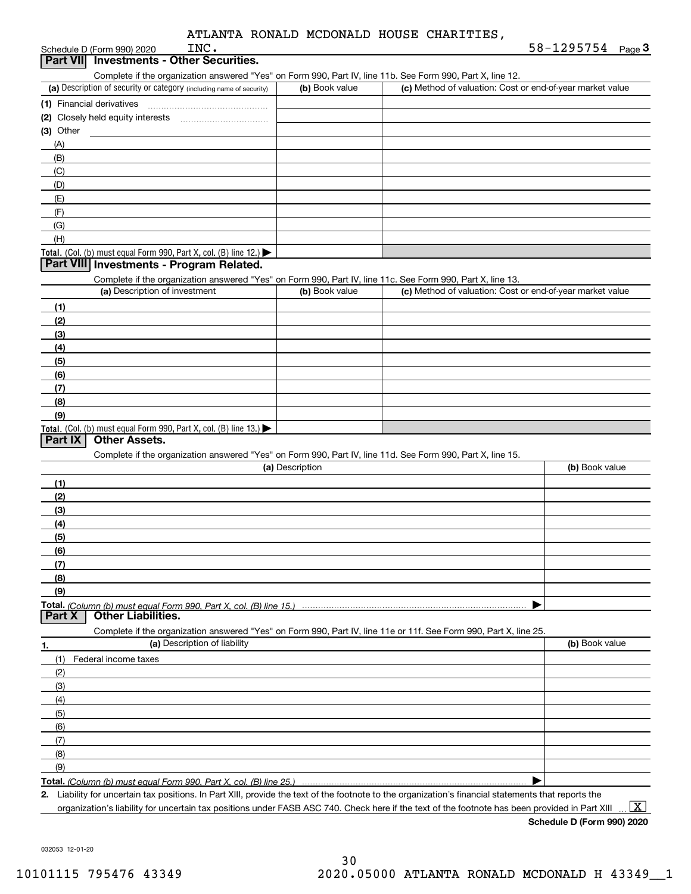|  |  |  |  | ATLANTA RONALD MCDONALD HOUSE CHARITIES. |
|--|--|--|--|------------------------------------------|
|--|--|--|--|------------------------------------------|

|             | INC.<br>Schedule D (Form 990) 2020                                                                                |                 |                                                           | 58-1295754 $_{Page}$ 3 |
|-------------|-------------------------------------------------------------------------------------------------------------------|-----------------|-----------------------------------------------------------|------------------------|
|             | Part VII Investments - Other Securities.                                                                          |                 |                                                           |                        |
|             | Complete if the organization answered "Yes" on Form 990, Part IV, line 11b. See Form 990, Part X, line 12.        |                 |                                                           |                        |
|             | (a) Description of security or category (including name of security)                                              | (b) Book value  | (c) Method of valuation: Cost or end-of-year market value |                        |
|             |                                                                                                                   |                 |                                                           |                        |
|             |                                                                                                                   |                 |                                                           |                        |
| $(3)$ Other |                                                                                                                   |                 |                                                           |                        |
| (A)         |                                                                                                                   |                 |                                                           |                        |
| (B)         |                                                                                                                   |                 |                                                           |                        |
| (C)         |                                                                                                                   |                 |                                                           |                        |
| (D)         |                                                                                                                   |                 |                                                           |                        |
| (E)         |                                                                                                                   |                 |                                                           |                        |
| (F)         |                                                                                                                   |                 |                                                           |                        |
| (G)         |                                                                                                                   |                 |                                                           |                        |
| (H)         |                                                                                                                   |                 |                                                           |                        |
|             | Total. (Col. (b) must equal Form 990, Part X, col. (B) line 12.)                                                  |                 |                                                           |                        |
|             | Part VIII Investments - Program Related.                                                                          |                 |                                                           |                        |
|             | Complete if the organization answered "Yes" on Form 990, Part IV, line 11c. See Form 990, Part X, line 13.        |                 |                                                           |                        |
|             | (a) Description of investment                                                                                     | (b) Book value  | (c) Method of valuation: Cost or end-of-year market value |                        |
| (1)         |                                                                                                                   |                 |                                                           |                        |
| (2)         |                                                                                                                   |                 |                                                           |                        |
| (3)         |                                                                                                                   |                 |                                                           |                        |
| (4)         |                                                                                                                   |                 |                                                           |                        |
| (5)         |                                                                                                                   |                 |                                                           |                        |
| (6)         |                                                                                                                   |                 |                                                           |                        |
| (7)         |                                                                                                                   |                 |                                                           |                        |
| (8)         |                                                                                                                   |                 |                                                           |                        |
| (9)         |                                                                                                                   |                 |                                                           |                        |
|             | Total. (Col. (b) must equal Form 990, Part X, col. (B) line 13.)                                                  |                 |                                                           |                        |
| Part IX     | <b>Other Assets.</b>                                                                                              |                 |                                                           |                        |
|             | Complete if the organization answered "Yes" on Form 990, Part IV, line 11d. See Form 990, Part X, line 15.        |                 |                                                           |                        |
|             |                                                                                                                   | (a) Description |                                                           | (b) Book value         |
| (1)         |                                                                                                                   |                 |                                                           |                        |
| (2)         |                                                                                                                   |                 |                                                           |                        |
| (3)         |                                                                                                                   |                 |                                                           |                        |
| (4)         |                                                                                                                   |                 |                                                           |                        |
| (5)         |                                                                                                                   |                 |                                                           |                        |
| (6)         |                                                                                                                   |                 |                                                           |                        |
| (7)         |                                                                                                                   |                 |                                                           |                        |
| (8)         |                                                                                                                   |                 |                                                           |                        |
| (9)         |                                                                                                                   |                 |                                                           |                        |
| Part X      |                                                                                                                   |                 |                                                           |                        |
|             | <b>Other Liabilities.</b>                                                                                         |                 |                                                           |                        |
|             | Complete if the organization answered "Yes" on Form 990, Part IV, line 11e or 11f. See Form 990, Part X, line 25. |                 |                                                           | (b) Book value         |
| 1.          | (a) Description of liability                                                                                      |                 |                                                           |                        |
| (1)         | Federal income taxes                                                                                              |                 |                                                           |                        |
| (2)         |                                                                                                                   |                 |                                                           |                        |
| (3)         |                                                                                                                   |                 |                                                           |                        |
| (4)         |                                                                                                                   |                 |                                                           |                        |
| (5)         |                                                                                                                   |                 |                                                           |                        |
| (6)         |                                                                                                                   |                 |                                                           |                        |
| (7)         |                                                                                                                   |                 |                                                           |                        |
| (8)         |                                                                                                                   |                 |                                                           |                        |
| (9)         |                                                                                                                   |                 |                                                           |                        |
|             | Total. (Column (b) must equal Form 990, Part X, col. (B) line 25.)                                                |                 |                                                           |                        |

**2.** Liability for uncertain tax positions. In Part XIII, provide the text of the footnote to the organization's financial statements that reports the organization's liability for uncertain tax positions under FASB ASC 740. Check here if the text of the footnote has been provided in Part XIII

**Schedule D (Form 990) 2020**  $\boxed{\text{X}}$ 

032053 12-01-20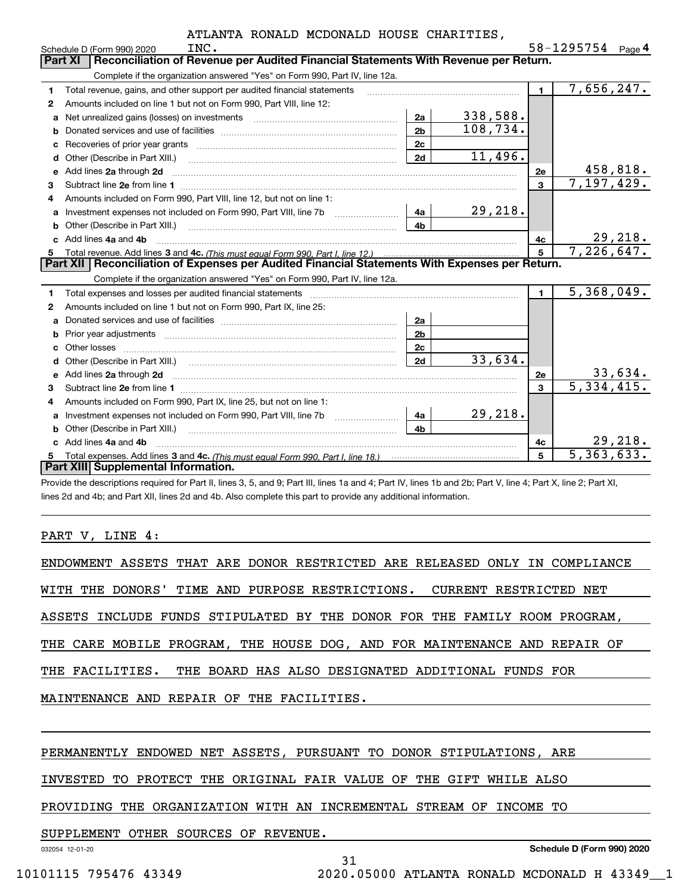|    | INC.<br>Schedule D (Form 990) 2020                                                                                                                                                                                                 |                |           |                | 58-1295754<br>Page $\mathbf 4$ |
|----|------------------------------------------------------------------------------------------------------------------------------------------------------------------------------------------------------------------------------------|----------------|-----------|----------------|--------------------------------|
|    | Reconciliation of Revenue per Audited Financial Statements With Revenue per Return.<br><b>Part XI</b>                                                                                                                              |                |           |                |                                |
|    | Complete if the organization answered "Yes" on Form 990, Part IV, line 12a.                                                                                                                                                        |                |           |                |                                |
| 1  | Total revenue, gains, and other support per audited financial statements                                                                                                                                                           |                |           | $\blacksquare$ | 7,656,247.                     |
| 2  | Amounts included on line 1 but not on Form 990, Part VIII, line 12:                                                                                                                                                                |                |           |                |                                |
| a  | Net unrealized gains (losses) on investments [11] matter contracts and the unrealized gains (losses) on investments                                                                                                                | 2a             | 338,588.  |                |                                |
| b  |                                                                                                                                                                                                                                    | 2 <sub>b</sub> | 108, 734. |                |                                |
| C  |                                                                                                                                                                                                                                    | 2c             |           |                |                                |
| d  | Other (Describe in Part XIII.)                                                                                                                                                                                                     | 2d             | 11,496.   |                |                                |
| е  | Add lines 2a through 2d                                                                                                                                                                                                            |                |           | 2e             | 458,818.                       |
| 3  |                                                                                                                                                                                                                                    |                |           | 3              | 7,197,429.                     |
| 4  | Amounts included on Form 990, Part VIII, line 12, but not on line 1:                                                                                                                                                               |                |           |                |                                |
| a  | Investment expenses not included on Form 990, Part VIII, line 7b                                                                                                                                                                   | 4a             | 29,218.   |                |                                |
| b  | Other (Describe in Part XIII.) <b>Construction Contract Construction</b> Construction Construction Construction Constr                                                                                                             | 4 <sub>b</sub> |           |                |                                |
|    | Add lines 4a and 4b                                                                                                                                                                                                                |                |           | 4c             | 29,218.                        |
| 5  |                                                                                                                                                                                                                                    |                |           | 5              | 7,226,647.                     |
|    |                                                                                                                                                                                                                                    |                |           |                |                                |
|    | Part XII Reconciliation of Expenses per Audited Financial Statements With Expenses per Return.                                                                                                                                     |                |           |                |                                |
|    | Complete if the organization answered "Yes" on Form 990, Part IV, line 12a.                                                                                                                                                        |                |           |                |                                |
| 1  |                                                                                                                                                                                                                                    |                |           | $\blacksquare$ | 5,368,049.                     |
| 2  | Amounts included on line 1 but not on Form 990, Part IX, line 25:                                                                                                                                                                  |                |           |                |                                |
| a  |                                                                                                                                                                                                                                    | 2a             |           |                |                                |
| b  |                                                                                                                                                                                                                                    | 2 <sub>b</sub> |           |                |                                |
| с  | Other losses                                                                                                                                                                                                                       | 2c             |           |                |                                |
|    |                                                                                                                                                                                                                                    | 2d             | 33,634.   |                |                                |
| е  |                                                                                                                                                                                                                                    |                |           | 2e             |                                |
| 3  | Add lines 2a through 2d <b>must be a constructed as the constant of the construction</b> and the state of the state of the state of the state of the state of the state of the state of the state of the state of the state of the |                |           | 3              | $\frac{33,634}{5,334,415}$     |
| 4  | Amounts included on Form 990, Part IX, line 25, but not on line 1:                                                                                                                                                                 |                |           |                |                                |
| a  | Investment expenses not included on Form 990, Part VIII, line 7b [1000000000000000000000000000000000                                                                                                                               | 4a             | 29,218.   |                |                                |
|    | Other (Describe in Part XIII.)                                                                                                                                                                                                     | 4 <sub>b</sub> |           |                |                                |
| c. | Add lines 4a and 4b                                                                                                                                                                                                                |                |           | 4с             | 29,218.                        |
|    | <b>Part XIII Supplemental Information.</b>                                                                                                                                                                                         |                |           | 5              | $\overline{5,363},633.$        |

Provide the descriptions required for Part II, lines 3, 5, and 9; Part III, lines 1a and 4; Part IV, lines 1b and 2b; Part V, line 4; Part X, line 2; Part XI, lines 2d and 4b; and Part XII, lines 2d and 4b. Also complete this part to provide any additional information.

#### PART V, LINE 4:

| ENDOWMENT ASSETS THAT ARE DONOR RESTRICTED ARE RELEASED ONLY IN COMPLIANCE |
|----------------------------------------------------------------------------|
| WITH THE DONORS' TIME AND PURPOSE RESTRICTIONS. CURRENT RESTRICTED NET     |
| ASSETS INCLUDE FUNDS STIPULATED BY THE DONOR FOR THE FAMILY ROOM PROGRAM,  |
| THE CARE MOBILE PROGRAM, THE HOUSE DOG, AND FOR MAINTENANCE AND REPAIR OF  |
| THE FACILITIES. THE BOARD HAS ALSO DESIGNATED ADDITIONAL FUNDS FOR         |
| MAINTENANCE AND REPAIR OF THE FACILITIES.                                  |
|                                                                            |

31

#### PERMANENTLY ENDOWED NET ASSETS, PURSUANT TO DONOR STIPULATIONS, ARE

INVESTED TO PROTECT THE ORIGINAL FAIR VALUE OF THE GIFT WHILE ALSO

PROVIDING THE ORGANIZATION WITH AN INCREMENTAL STREAM OF INCOME TO

SUPPLEMENT OTHER SOURCES OF REVENUE.

032054 12-01-20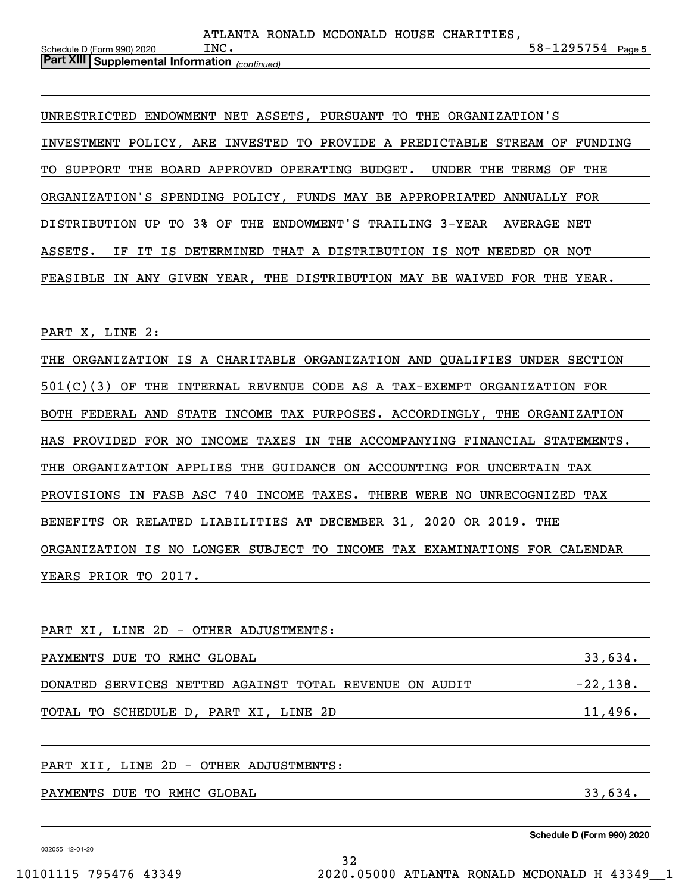| Schedule D (Form 990) 2020                            | INC. |  |  | $58 - 1295754$ Page 5 |  |
|-------------------------------------------------------|------|--|--|-----------------------|--|
| <b>Part XIII Supplemental Information</b> (continued) |      |  |  |                       |  |

UNRESTRICTED ENDOWMENT NET ASSETS, PURSUANT TO THE ORGANIZATION'S INVESTMENT POLICY, ARE INVESTED TO PROVIDE A PREDICTABLE STREAM OF FUNDING TO SUPPORT THE BOARD APPROVED OPERATING BUDGET. UNDER THE TERMS OF THE ORGANIZATION'S SPENDING POLICY, FUNDS MAY BE APPROPRIATED ANNUALLY FOR DISTRIBUTION UP TO 3% OF THE ENDOWMENT'S TRAILING 3-YEAR AVERAGE NET ASSETS. IF IT IS DETERMINED THAT A DISTRIBUTION IS NOT NEEDED OR NOT FEASIBLE IN ANY GIVEN YEAR, THE DISTRIBUTION MAY BE WAIVED FOR THE YEAR.

PART X, LINE 2:

THE ORGANIZATION IS A CHARITABLE ORGANIZATION AND QUALIFIES UNDER SECTION 501(C)(3) OF THE INTERNAL REVENUE CODE AS A TAX-EXEMPT ORGANIZATION FOR BOTH FEDERAL AND STATE INCOME TAX PURPOSES. ACCORDINGLY, THE ORGANIZATION HAS PROVIDED FOR NO INCOME TAXES IN THE ACCOMPANYING FINANCIAL STATEMENTS. THE ORGANIZATION APPLIES THE GUIDANCE ON ACCOUNTING FOR UNCERTAIN TAX PROVISIONS IN FASB ASC 740 INCOME TAXES. THERE WERE NO UNRECOGNIZED TAX BENEFITS OR RELATED LIABILITIES AT DECEMBER 31, 2020 OR 2019. THE ORGANIZATION IS NO LONGER SUBJECT TO INCOME TAX EXAMINATIONS FOR CALENDAR YEARS PRIOR TO 2017.

PART XI, LINE 2D - OTHER ADJUSTMENTS: PAYMENTS DUE TO RMHC GLOBAL **All and the Search Contract Contract Contract Contract Contract Contract Contract Contract Contract Contract Contract Contract Contract Contract Contract Contract Contract Contract Contract Con** DONATED SERVICES NETTED AGAINST TOTAL REVENUE ON AUDIT  $-22,138$ . TOTAL TO SCHEDULE D, PART XI, LINE 2D 11,496.

32

#### PART XII, LINE 2D - OTHER ADJUSTMENTS:

PAYMENTS DUE TO RMHC GLOBAL 33,634.

032055 12-01-20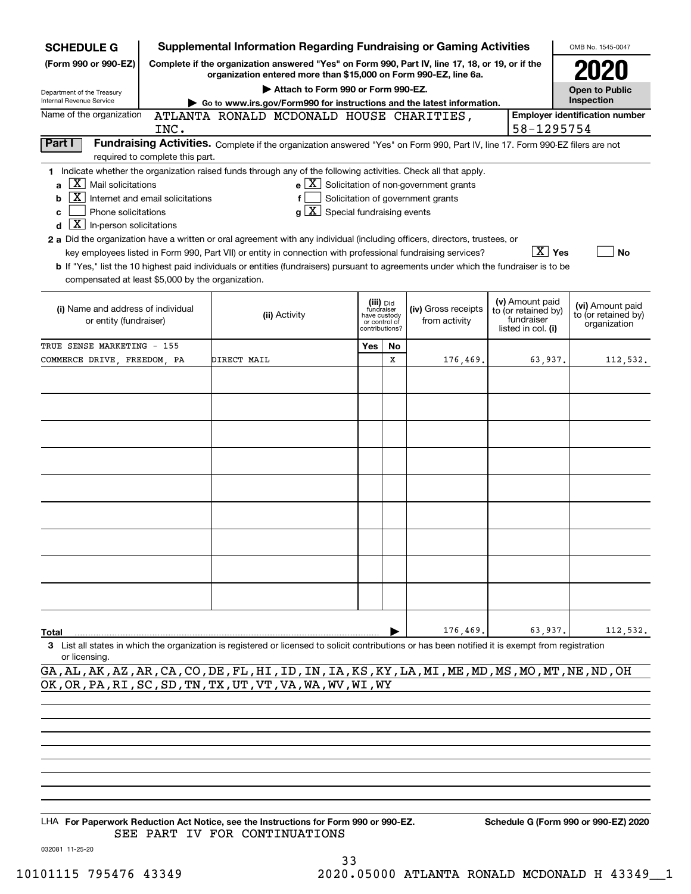| <b>SCHEDULE G</b>                                 |                                  | <b>Supplemental Information Regarding Fundraising or Gaming Activities</b>                                                                                          |     |                               |                                                              |                                        | OMB No. 1545-0047                     |
|---------------------------------------------------|----------------------------------|---------------------------------------------------------------------------------------------------------------------------------------------------------------------|-----|-------------------------------|--------------------------------------------------------------|----------------------------------------|---------------------------------------|
| (Form 990 or 990-EZ)                              |                                  | Complete if the organization answered "Yes" on Form 990, Part IV, line 17, 18, or 19, or if the<br>organization entered more than \$15,000 on Form 990-EZ, line 6a. |     |                               |                                                              |                                        |                                       |
| Department of the Treasury                        |                                  | Attach to Form 990 or Form 990-EZ.                                                                                                                                  |     |                               |                                                              |                                        | <b>Open to Public</b>                 |
| Internal Revenue Service                          |                                  | Go to www.irs.gov/Form990 for instructions and the latest information.                                                                                              |     |                               |                                                              |                                        | Inspection                            |
| Name of the organization                          |                                  | ATLANTA RONALD MCDONALD HOUSE CHARITIES,                                                                                                                            |     |                               |                                                              |                                        | <b>Employer identification number</b> |
|                                                   | INC.                             |                                                                                                                                                                     |     |                               |                                                              | 58-1295754                             |                                       |
| Part I                                            | required to complete this part.  | Fundraising Activities. Complete if the organization answered "Yes" on Form 990, Part IV, line 17. Form 990-EZ filers are not                                       |     |                               |                                                              |                                        |                                       |
|                                                   |                                  | 1 Indicate whether the organization raised funds through any of the following activities. Check all that apply.                                                     |     |                               |                                                              |                                        |                                       |
| $X$ Mail solicitations<br>a                       |                                  |                                                                                                                                                                     |     |                               | $e$ $\boxed{\text{X}}$ Solicitation of non-government grants |                                        |                                       |
| X  <br>b                                          | Internet and email solicitations |                                                                                                                                                                     |     |                               | Solicitation of government grants                            |                                        |                                       |
| Phone solicitations<br>c                          |                                  | $g\left[\overline{X}\right]$ Special fundraising events                                                                                                             |     |                               |                                                              |                                        |                                       |
| $\boxed{\textbf{X}}$ In-person solicitations<br>d |                                  |                                                                                                                                                                     |     |                               |                                                              |                                        |                                       |
|                                                   |                                  | 2 a Did the organization have a written or oral agreement with any individual (including officers, directors, trustees, or                                          |     |                               |                                                              |                                        |                                       |
|                                                   |                                  | key employees listed in Form 990, Part VII) or entity in connection with professional fundraising services?                                                         |     |                               |                                                              | $\boxed{\text{X}}$ Yes                 | No                                    |
|                                                   |                                  | b If "Yes," list the 10 highest paid individuals or entities (fundraisers) pursuant to agreements under which the fundraiser is to be                               |     |                               |                                                              |                                        |                                       |
| compensated at least \$5,000 by the organization. |                                  |                                                                                                                                                                     |     |                               |                                                              |                                        |                                       |
|                                                   |                                  |                                                                                                                                                                     |     |                               |                                                              |                                        |                                       |
| (i) Name and address of individual                |                                  |                                                                                                                                                                     |     | (iii) Did<br>fundraiser       | (iv) Gross receipts                                          | (v) Amount paid<br>to (or retained by) | (vi) Amount paid                      |
| or entity (fundraiser)                            |                                  | (ii) Activity                                                                                                                                                       |     | have custody<br>or control of | from activity                                                | fundraiser                             | to (or retained by)<br>organization   |
|                                                   |                                  |                                                                                                                                                                     |     | contributions?                |                                                              | listed in col. (i)                     |                                       |
| TRUE SENSE MARKETING - 155                        |                                  |                                                                                                                                                                     | Yes | No                            |                                                              |                                        |                                       |
| COMMERCE DRIVE, FREEDOM, PA                       |                                  | DIRECT MAIL                                                                                                                                                         |     | X                             | 176,469.                                                     | 63.937.                                | 112,532.                              |
|                                                   |                                  |                                                                                                                                                                     |     |                               |                                                              |                                        |                                       |
|                                                   |                                  |                                                                                                                                                                     |     |                               |                                                              |                                        |                                       |
|                                                   |                                  |                                                                                                                                                                     |     |                               |                                                              |                                        |                                       |
|                                                   |                                  |                                                                                                                                                                     |     |                               |                                                              |                                        |                                       |
|                                                   |                                  |                                                                                                                                                                     |     |                               |                                                              |                                        |                                       |
|                                                   |                                  |                                                                                                                                                                     |     |                               |                                                              |                                        |                                       |
|                                                   |                                  |                                                                                                                                                                     |     |                               |                                                              |                                        |                                       |
|                                                   |                                  |                                                                                                                                                                     |     |                               |                                                              |                                        |                                       |
|                                                   |                                  |                                                                                                                                                                     |     |                               |                                                              |                                        |                                       |
|                                                   |                                  |                                                                                                                                                                     |     |                               |                                                              |                                        |                                       |
|                                                   |                                  |                                                                                                                                                                     |     |                               |                                                              |                                        |                                       |
|                                                   |                                  |                                                                                                                                                                     |     |                               |                                                              |                                        |                                       |
|                                                   |                                  |                                                                                                                                                                     |     |                               |                                                              |                                        |                                       |
|                                                   |                                  |                                                                                                                                                                     |     |                               |                                                              |                                        |                                       |
|                                                   |                                  |                                                                                                                                                                     |     |                               |                                                              |                                        |                                       |
|                                                   |                                  |                                                                                                                                                                     |     |                               |                                                              |                                        |                                       |
|                                                   |                                  |                                                                                                                                                                     |     |                               |                                                              |                                        |                                       |
|                                                   |                                  |                                                                                                                                                                     |     |                               |                                                              |                                        |                                       |
| Total                                             |                                  |                                                                                                                                                                     |     |                               | 176,469.                                                     | 63,937.                                | 112,532.                              |
|                                                   |                                  | 3 List all states in which the organization is registered or licensed to solicit contributions or has been notified it is exempt from registration                  |     |                               |                                                              |                                        |                                       |
| or licensing.                                     |                                  |                                                                                                                                                                     |     |                               |                                                              |                                        |                                       |

GA,AL,AK,AZ,AR,CA,CO,DE,FL,HI,ID,IN,IA,KS,KY,LA,MI,ME,MD,MS,MO,MT,NE,ND,OH OK,OR,PA,RI,SC,SD,TN,TX,UT,VT,VA,WA,WV,WI,WY

LHA For Paperwork Reduction Act Notice, see the Instructions for Form 990 or 990-EZ. Schedule G (Form 990 or 990-EZ) 2020 SEE PART IV FOR CONTINUATIONS

032081 11-25-20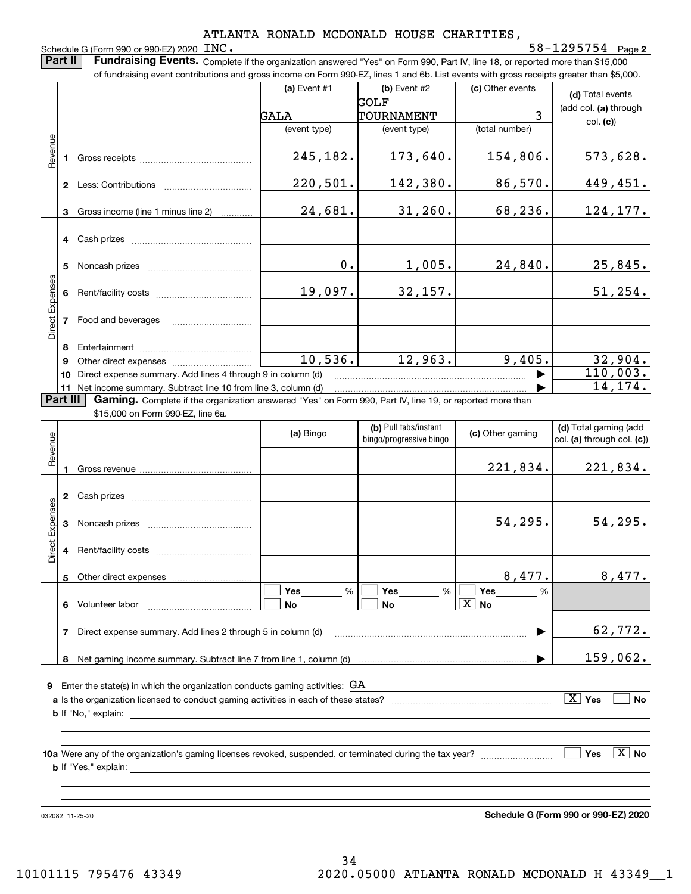ATLANTA RONALD MCDONALD HOUSE CHARITIES, Schedule G (Form 990 or 990-EZ) 2020 INC. **2**INC. 58-1295754 **Part II** | Fundraising Events. Complete if the organization answered "Yes" on Form 990, Part IV, line 18, or reported more than \$15,000 of fundraising event contributions and gross income on Form 990-EZ, lines 1 and 6b. List events with gross receipts greater than \$5,000. **(a)** Event #1  $\vert$  **(b)** Event #2 (c) Other events **(d)**  Total events GOLF (add col. **(a)** through GALA TOURNAMENT 3 col. **(c)**) (event type) (event type) (total number) Revenue Revenue 245,182. 173,640. 154,806. 573,628. Gross receipts **1**220,501. 142,380. 86,570. 449,451. **2** Less: Contributions ................................ 24,681. Gross income (line 1 minus line 2) 31,260. 68,236. 124,177. **3**. . . . . . . . . . . . **4** Cash prizes \_\_\_\_\_\_\_\_\_\_\_\_\_\_\_\_\_\_\_\_\_\_\_\_\_\_\_\_\_\_\_\_ 0. 1,005. 24,840. 25,845. **5** Noncash prizes \_\_\_\_\_\_\_\_\_\_\_\_\_\_\_\_\_\_\_\_\_\_\_\_\_\_\_\_ Direct Expenses Direct Expense: 19,097. 32,157. 51,254. **6**Rent/facility costs ~~~~~~~~~~~~ Food and beverages **78**Entertainment <sub>……………………………………</sub> 10,536. 12,963. 9,405. 32,904. Other direct expenses ~~~~~~~~~~ **9**110,003.  $\blacktriangleright$ **10** Direct expense summary. Add lines 4 through 9 in column (d) 14,174. …… ▶ **11** Net income summary. Subtract line 10 from line 3, column (d) **Part III | Gaming.** Complete if the organization answered "Yes" on Form 990, Part IV, line 19, or reported more than \$15,000 on Form 990-EZ, line 6a. **(b)**  Pull tabs/instant **(d)**  Total gaming (add **(a)**  Revenue Bingo **Contract of Contract Contract Contract Contract Contract Contract Contract Contract Contract Contract Contract Contract Contract Contract Contract Contract Contract Contract Contract Contract Contract Contract Contr** Revenue bingo/progressive bingo col. **(a)** through col. **(c)**) 221,834. 221,834. **1**Gross revenue **2** Cash prizes \_\_\_\_\_\_\_\_\_\_\_\_\_\_\_\_\_\_\_\_\_\_\_\_\_\_\_\_\_\_\_\_ Direct Expenses Direct Expenses 54,295. 54,295. **3**Noncash prizes **4**Rent/facility costs ~~~~~~~~~~~~8,477. 8,477. **5**Other direct expenses  $\boxed{\Box}$  Yes \_\_\_\_\_\_\_ %  $\boxed{\Box}$  Yes \_\_\_\_\_\_\_ %  $\boxed{\Box}$  $\mathcal{L}^{\text{max}}$ %Yes  $\%$   $\Box$  Yes **Yes Yes Yes**  $\mathcal{L}^{\text{max}}$ **No No No** X **6** Volunteer labor  $\ldots$   $\ldots$   $\ldots$   $\ldots$   $\ldots$   $\ldots$   $\ldots$   $\ldots$ Direct expense summary. Add lines 2 through 5 in column (d) 62,772. **7**~~~~~~~~~~~~~~~~~~~~~~~~ | Net gaming income summary. Subtract line 7 from line 1, column (d) 159,062. **8**…… ▶

**9**Enter the state(s) in which the organization conducts gaming activities: GA

| a Is the organization licensed to conduct gaming activities in each of these states? | Yes | Nc |
|--------------------------------------------------------------------------------------|-----|----|
| ` explain.<br>b It "No."                                                             |     |    |
|                                                                                      |     |    |

**10a**Were any of the organization's gaming licenses revoked, suspended, or terminated during the tax year? **b** If "Yes," explain: **Yes** es  $|\,\texttt{X}\,|$  No

032082 11-25-20

**Schedule G (Form 990 or 990-EZ) 2020**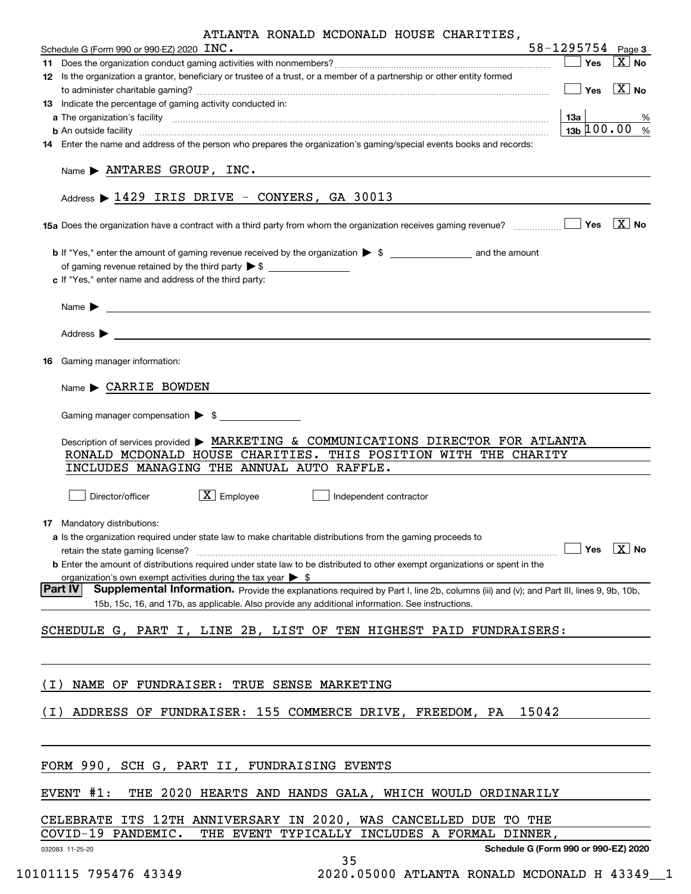| Schedule G (Form 990 or 990-EZ) 2020 INC.<br>12 Is the organization a grantor, beneficiary or trustee of a trust, or a member of a partnership or other entity formed                    |                                                                                                                                                                                                                                                                |
|------------------------------------------------------------------------------------------------------------------------------------------------------------------------------------------|----------------------------------------------------------------------------------------------------------------------------------------------------------------------------------------------------------------------------------------------------------------|
|                                                                                                                                                                                          | $58 - 1295754$ Page 3<br>$\boxed{\text{X}}$ No<br>│ Yes                                                                                                                                                                                                        |
|                                                                                                                                                                                          |                                                                                                                                                                                                                                                                |
|                                                                                                                                                                                          | $\boxed{\phantom{1}}$ Yes $\boxed{\text{X}}$ No                                                                                                                                                                                                                |
| 13 Indicate the percentage of gaming activity conducted in:                                                                                                                              |                                                                                                                                                                                                                                                                |
|                                                                                                                                                                                          | a The organization's facility encourance entropy and the contract of the contract of the contract of the contract of the contract of the contract of the contract of the contract of the contract of the contract of the contr<br>13a  <br>%                   |
|                                                                                                                                                                                          | $13b \, 100.00$ %<br><b>b</b> An outside facility <b>contained and the contract of the contract of the contract of the contract of the contract of the contract of the contract of the contract of the contract of the contract of the contract of the con</b> |
| 14 Enter the name and address of the person who prepares the organization's gaming/special events books and records:                                                                     | Name > ANTARES GROUP, INC.                                                                                                                                                                                                                                     |
| Address > 1429 IRIS DRIVE - CONYERS, GA 30013                                                                                                                                            |                                                                                                                                                                                                                                                                |
|                                                                                                                                                                                          |                                                                                                                                                                                                                                                                |
|                                                                                                                                                                                          | <b>b</b> If "Yes," enter the amount of gaming revenue received by the organization $\triangleright$ \$                                                                                                                                                         |
|                                                                                                                                                                                          |                                                                                                                                                                                                                                                                |
| c If "Yes," enter name and address of the third party:                                                                                                                                   |                                                                                                                                                                                                                                                                |
|                                                                                                                                                                                          |                                                                                                                                                                                                                                                                |
| Name $\blacktriangleright$ $\lrcorner$                                                                                                                                                   |                                                                                                                                                                                                                                                                |
|                                                                                                                                                                                          |                                                                                                                                                                                                                                                                |
| Address $\blacktriangleright$                                                                                                                                                            | and the control of the control of the control of the control of the control of the control of the control of the                                                                                                                                               |
|                                                                                                                                                                                          |                                                                                                                                                                                                                                                                |
| Gaming manager information:<br>16                                                                                                                                                        |                                                                                                                                                                                                                                                                |
|                                                                                                                                                                                          |                                                                                                                                                                                                                                                                |
| Name CARRIE BOWDEN                                                                                                                                                                       |                                                                                                                                                                                                                                                                |
|                                                                                                                                                                                          |                                                                                                                                                                                                                                                                |
| Gaming manager compensation > \$                                                                                                                                                         |                                                                                                                                                                                                                                                                |
|                                                                                                                                                                                          | Description of services provided > MARKETING & COMMUNICATIONS DIRECTOR FOR ATLANTA                                                                                                                                                                             |
|                                                                                                                                                                                          | RONALD MCDONALD HOUSE CHARITIES. THIS POSITION WITH THE CHARITY                                                                                                                                                                                                |
| INCLUDES MANAGING THE ANNUAL AUTO RAFFLE.                                                                                                                                                |                                                                                                                                                                                                                                                                |
|                                                                                                                                                                                          |                                                                                                                                                                                                                                                                |
| $\boxed{\text{X}}$ Employee<br>Director/officer                                                                                                                                          | Independent contractor                                                                                                                                                                                                                                         |
|                                                                                                                                                                                          |                                                                                                                                                                                                                                                                |
| 17 Mandatory distributions:                                                                                                                                                              |                                                                                                                                                                                                                                                                |
| a Is the organization required under state law to make charitable distributions from the gaming proceeds to                                                                              |                                                                                                                                                                                                                                                                |
| retain the state gaming license?                                                                                                                                                         | Yes $\boxed{\text{X}}$ No                                                                                                                                                                                                                                      |
|                                                                                                                                                                                          | <b>b</b> Enter the amount of distributions required under state law to be distributed to other exempt organizations or spent in the                                                                                                                            |
| organization's own exempt activities during the tax year $\triangleright$ \$                                                                                                             |                                                                                                                                                                                                                                                                |
| ∣Part IVI                                                                                                                                                                                | Supplemental Information. Provide the explanations required by Part I, line 2b, columns (iii) and (v); and Part III, lines 9, 9b, 10b,                                                                                                                         |
| 15b, 15c, 16, and 17b, as applicable. Also provide any additional information. See instructions.                                                                                         |                                                                                                                                                                                                                                                                |
|                                                                                                                                                                                          |                                                                                                                                                                                                                                                                |
|                                                                                                                                                                                          |                                                                                                                                                                                                                                                                |
|                                                                                                                                                                                          |                                                                                                                                                                                                                                                                |
|                                                                                                                                                                                          |                                                                                                                                                                                                                                                                |
| NAME OF FUNDRAISER: TRUE SENSE MARKETING                                                                                                                                                 |                                                                                                                                                                                                                                                                |
|                                                                                                                                                                                          |                                                                                                                                                                                                                                                                |
|                                                                                                                                                                                          | ADDRESS OF FUNDRAISER: 155 COMMERCE DRIVE, FREEDOM, PA 15042                                                                                                                                                                                                   |
|                                                                                                                                                                                          |                                                                                                                                                                                                                                                                |
|                                                                                                                                                                                          |                                                                                                                                                                                                                                                                |
|                                                                                                                                                                                          |                                                                                                                                                                                                                                                                |
|                                                                                                                                                                                          |                                                                                                                                                                                                                                                                |
|                                                                                                                                                                                          |                                                                                                                                                                                                                                                                |
|                                                                                                                                                                                          | THE 2020 HEARTS AND HANDS GALA, WHICH WOULD ORDINARILY                                                                                                                                                                                                         |
|                                                                                                                                                                                          |                                                                                                                                                                                                                                                                |
|                                                                                                                                                                                          | CELEBRATE ITS 12TH ANNIVERSARY IN 2020, WAS CANCELLED DUE TO THE                                                                                                                                                                                               |
|                                                                                                                                                                                          | THE EVENT TYPICALLY INCLUDES A FORMAL DINNER,                                                                                                                                                                                                                  |
| SCHEDULE G, PART I, LINE 2B, LIST OF TEN HIGHEST PAID FUNDRAISERS:<br>( I )<br>(I)<br>FORM 990, SCH G, PART II, FUNDRAISING EVENTS<br>EVENT #1:<br>COVID-19 PANDEMIC.<br>032083 11-25-20 | Schedule G (Form 990 or 990-EZ) 2020<br>35                                                                                                                                                                                                                     |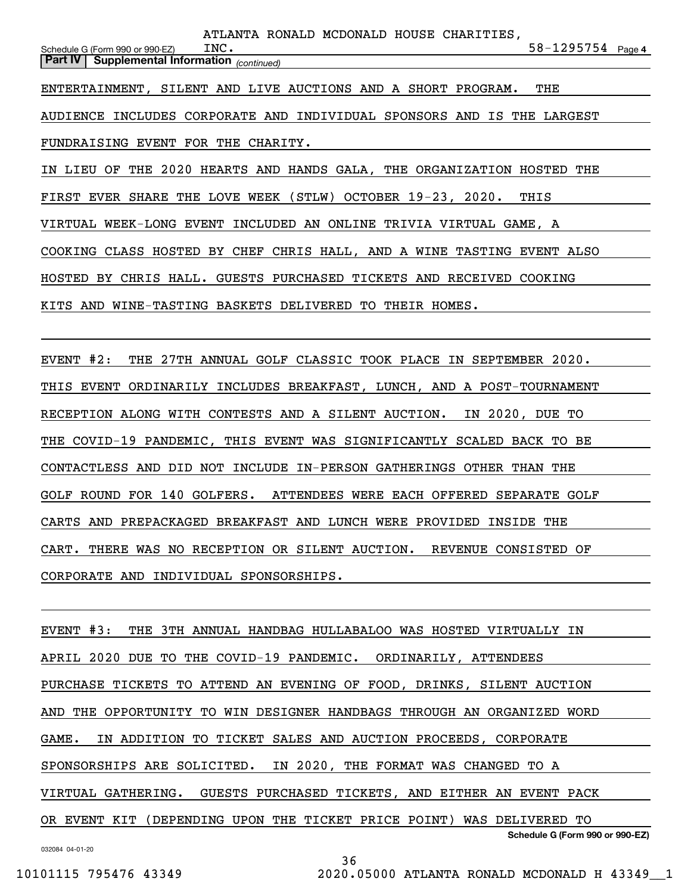**4**58-1295754 *(continued)* **Part IV Supplemental Information**  Schedule G (Form 990 or 990-EZ) AUDIENCE INCLUDES CORPORATE AND INDIVIDUAL SPONSORS AND IS THE LARGEST FUNDRAISING EVENT FOR THE CHARITY. IN LIEU OF THE 2020 HEARTS AND HANDS GALA, THE ORGANIZATION HOSTED THE FIRST EVER SHARE THE LOVE WEEK (STLW) OCTOBER 19-23, 2020. THIS VIRTUAL WEEK-LONG EVENT INCLUDED AN ONLINE TRIVIA VIRTUAL GAME, A COOKING CLASS HOSTED BY CHEF CHRIS HALL, AND A WINE TASTING EVENT ALSO HOSTED BY CHRIS HALL. GUESTS PURCHASED TICKETS AND RECEIVED COOKING KITS AND WINE-TASTING BASKETS DELIVERED TO THEIR HOMES. INC. ENTERTAINMENT, SILENT AND LIVE AUCTIONS AND A SHORT PROGRAM. THE ATLANTA RONALD MCDONALD HOUSE CHARITIES,

EVENT #2: THE 27TH ANNUAL GOLF CLASSIC TOOK PLACE IN SEPTEMBER 2020. THIS EVENT ORDINARILY INCLUDES BREAKFAST, LUNCH, AND A POST-TOURNAMENT RECEPTION ALONG WITH CONTESTS AND A SILENT AUCTION. IN 2020, DUE TO THE COVID-19 PANDEMIC, THIS EVENT WAS SIGNIFICANTLY SCALED BACK TO BE CONTACTLESS AND DID NOT INCLUDE IN-PERSON GATHERINGS OTHER THAN THE GOLF ROUND FOR 140 GOLFERS. ATTENDEES WERE EACH OFFERED SEPARATE GOLF CARTS AND PREPACKAGED BREAKFAST AND LUNCH WERE PROVIDED INSIDE THE CART. THERE WAS NO RECEPTION OR SILENT AUCTION. REVENUE CONSISTED OF CORPORATE AND INDIVIDUAL SPONSORSHIPS.

**Schedule G (Form 990 or 990-EZ)** EVENT #3: THE 3TH ANNUAL HANDBAG HULLABALOO WAS HOSTED VIRTUALLY IN APRIL 2020 DUE TO THE COVID-19 PANDEMIC. ORDINARILY, ATTENDEES PURCHASE TICKETS TO ATTEND AN EVENING OF FOOD, DRINKS, SILENT AUCTION AND THE OPPORTUNITY TO WIN DESIGNER HANDBAGS THROUGH AN ORGANIZED WORD GAME. IN ADDITION TO TICKET SALES AND AUCTION PROCEEDS, CORPORATE SPONSORSHIPS ARE SOLICITED. IN 2020, THE FORMAT WAS CHANGED TO A VIRTUAL GATHERING. GUESTS PURCHASED TICKETS, AND EITHER AN EVENT PACK OR EVENT KIT (DEPENDING UPON THE TICKET PRICE POINT) WAS DELIVERED TO

032084 04-01-20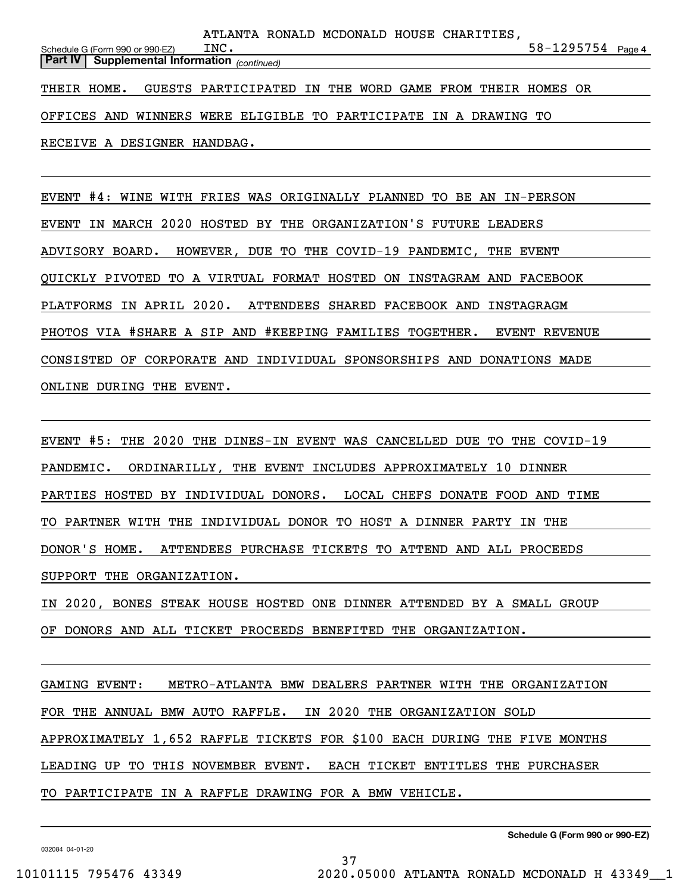|                                 |                                                                      |      | ATLANTA RONALD MCDONALD HOUSE CHARITIES, |  |  |                       |  |
|---------------------------------|----------------------------------------------------------------------|------|------------------------------------------|--|--|-----------------------|--|
| Schedule G (Form 990 or 990-EZ) |                                                                      | INC. |                                          |  |  | $58 - 1295754$ Page 4 |  |
|                                 | <b>Part IV   Supplemental Information</b> (continued)                |      |                                          |  |  |                       |  |
|                                 |                                                                      |      |                                          |  |  |                       |  |
|                                 | THEIR HOME. GUESTS PARTICIPATED IN THE WORD GAME FROM THEIR HOMES OR |      |                                          |  |  |                       |  |
|                                 |                                                                      |      |                                          |  |  |                       |  |
|                                 | OFFICES AND WINNERS WERE ELIGIBLE TO PARTICIPATE IN A DRAWING TO     |      |                                          |  |  |                       |  |
|                                 |                                                                      |      |                                          |  |  |                       |  |
|                                 | RECEIVE A DESIGNER HANDBAG.                                          |      |                                          |  |  |                       |  |

EVENT #4: WINE WITH FRIES WAS ORIGINALLY PLANNED TO BE AN IN-PERSON EVENT IN MARCH 2020 HOSTED BY THE ORGANIZATION'S FUTURE LEADERS ADVISORY BOARD. HOWEVER, DUE TO THE COVID-19 PANDEMIC, THE EVENT QUICKLY PIVOTED TO A VIRTUAL FORMAT HOSTED ON INSTAGRAM AND FACEBOOK PLATFORMS IN APRIL 2020. ATTENDEES SHARED FACEBOOK AND INSTAGRAGM PHOTOS VIA #SHARE A SIP AND #KEEPING FAMILIES TOGETHER. EVENT REVENUE CONSISTED OF CORPORATE AND INDIVIDUAL SPONSORSHIPS AND DONATIONS MADE ONLINE DURING THE EVENT.

EVENT #5: THE 2020 THE DINES-IN EVENT WAS CANCELLED DUE TO THE COVID-19 PANDEMIC. ORDINARILLY, THE EVENT INCLUDES APPROXIMATELY 10 DINNER PARTIES HOSTED BY INDIVIDUAL DONORS. LOCAL CHEFS DONATE FOOD AND TIME TO PARTNER WITH THE INDIVIDUAL DONOR TO HOST A DINNER PARTY IN THE DONOR'S HOME. ATTENDEES PURCHASE TICKETS TO ATTEND AND ALL PROCEEDS SUPPORT THE ORGANIZATION.

IN 2020, BONES STEAK HOUSE HOSTED ONE DINNER ATTENDED BY A SMALL GROUP OF DONORS AND ALL TICKET PROCEEDS BENEFITED THE ORGANIZATION.

GAMING EVENT: METRO-ATLANTA BMW DEALERS PARTNER WITH THE ORGANIZATION FOR THE ANNUAL BMW AUTO RAFFLE. IN 2020 THE ORGANIZATION SOLD APPROXIMATELY 1,652 RAFFLE TICKETS FOR \$100 EACH DURING THE FIVE MONTHS LEADING UP TO THIS NOVEMBER EVENT. EACH TICKET ENTITLES THE PURCHASER TO PARTICIPATE IN A RAFFLE DRAWING FOR A BMW VEHICLE.

37

**Schedule G (Form 990 or 990-EZ)**

032084 04-01-20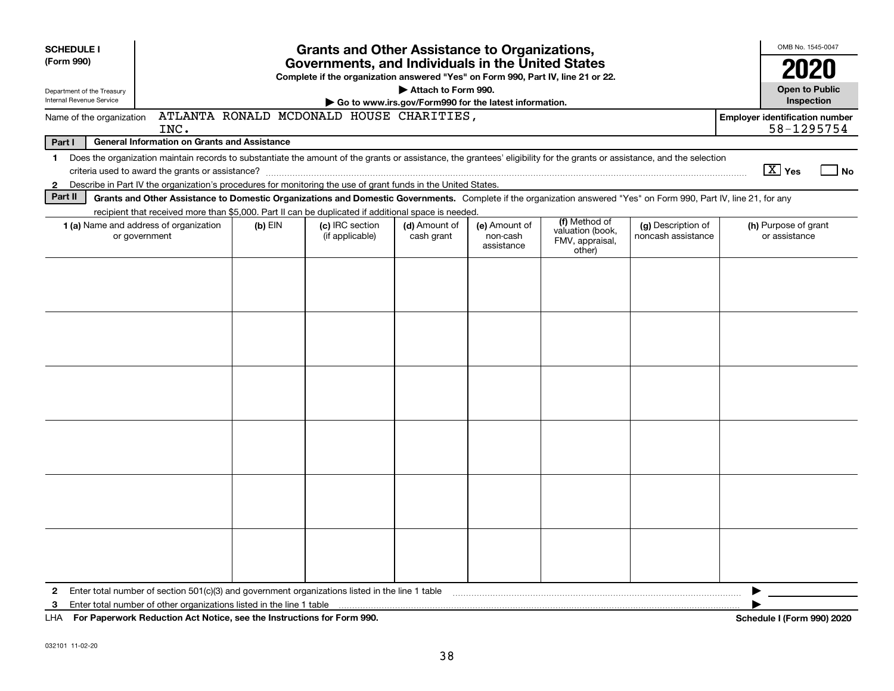| <b>SCHEDULE I</b>                                      |                                                                                                                                                                                                                                                                           |           | <b>Grants and Other Assistance to Organizations,</b>                                                                                  |                                                                              |                                         |                                                                |                                          |                                       | OMB No. 1545-0047                     |  |
|--------------------------------------------------------|---------------------------------------------------------------------------------------------------------------------------------------------------------------------------------------------------------------------------------------------------------------------------|-----------|---------------------------------------------------------------------------------------------------------------------------------------|------------------------------------------------------------------------------|-----------------------------------------|----------------------------------------------------------------|------------------------------------------|---------------------------------------|---------------------------------------|--|
| (Form 990)                                             |                                                                                                                                                                                                                                                                           |           | Governments, and Individuals in the United States<br>Complete if the organization answered "Yes" on Form 990, Part IV, line 21 or 22. |                                                                              |                                         |                                                                |                                          |                                       | 2020                                  |  |
| Department of the Treasury<br>Internal Revenue Service |                                                                                                                                                                                                                                                                           |           |                                                                                                                                       | Attach to Form 990.<br>Go to www.irs.gov/Form990 for the latest information. |                                         |                                                                |                                          |                                       | <b>Open to Public</b><br>Inspection   |  |
| Name of the organization                               | INC.                                                                                                                                                                                                                                                                      |           | ATLANTA RONALD MCDONALD HOUSE CHARITIES,                                                                                              |                                                                              |                                         |                                                                |                                          | <b>Employer identification number</b> | 58-1295754                            |  |
| Part I                                                 | <b>General Information on Grants and Assistance</b>                                                                                                                                                                                                                       |           |                                                                                                                                       |                                                                              |                                         |                                                                |                                          |                                       |                                       |  |
|                                                        |                                                                                                                                                                                                                                                                           |           |                                                                                                                                       |                                                                              |                                         |                                                                |                                          |                                       |                                       |  |
|                                                        | 1 Does the organization maintain records to substantiate the amount of the grants or assistance, the grantees' eligibility for the grants or assistance, and the selection<br>criteria used to award the grants or assistance?                                            |           |                                                                                                                                       |                                                                              |                                         |                                                                |                                          | $\boxed{\text{X}}$ Yes                | No                                    |  |
| $\mathbf{2}$                                           | Describe in Part IV the organization's procedures for monitoring the use of grant funds in the United States.                                                                                                                                                             |           |                                                                                                                                       |                                                                              |                                         |                                                                |                                          |                                       |                                       |  |
| Part II                                                | Grants and Other Assistance to Domestic Organizations and Domestic Governments. Complete if the organization answered "Yes" on Form 990, Part IV, line 21, for any<br>recipient that received more than \$5,000. Part II can be duplicated if additional space is needed. |           |                                                                                                                                       |                                                                              |                                         |                                                                |                                          |                                       |                                       |  |
|                                                        | 1 (a) Name and address of organization<br>or government                                                                                                                                                                                                                   | $(b)$ EIN | (c) IRC section<br>(if applicable)                                                                                                    | (d) Amount of<br>cash grant                                                  | (e) Amount of<br>non-cash<br>assistance | (f) Method of<br>valuation (book,<br>FMV, appraisal,<br>other) | (g) Description of<br>noncash assistance |                                       | (h) Purpose of grant<br>or assistance |  |
|                                                        |                                                                                                                                                                                                                                                                           |           |                                                                                                                                       |                                                                              |                                         |                                                                |                                          |                                       |                                       |  |
|                                                        |                                                                                                                                                                                                                                                                           |           |                                                                                                                                       |                                                                              |                                         |                                                                |                                          |                                       |                                       |  |
|                                                        |                                                                                                                                                                                                                                                                           |           |                                                                                                                                       |                                                                              |                                         |                                                                |                                          |                                       |                                       |  |
|                                                        |                                                                                                                                                                                                                                                                           |           |                                                                                                                                       |                                                                              |                                         |                                                                |                                          |                                       |                                       |  |
|                                                        |                                                                                                                                                                                                                                                                           |           |                                                                                                                                       |                                                                              |                                         |                                                                |                                          |                                       |                                       |  |
|                                                        |                                                                                                                                                                                                                                                                           |           |                                                                                                                                       |                                                                              |                                         |                                                                |                                          |                                       |                                       |  |
|                                                        |                                                                                                                                                                                                                                                                           |           |                                                                                                                                       |                                                                              |                                         |                                                                |                                          |                                       |                                       |  |
|                                                        |                                                                                                                                                                                                                                                                           |           |                                                                                                                                       |                                                                              |                                         |                                                                |                                          |                                       |                                       |  |
|                                                        |                                                                                                                                                                                                                                                                           |           |                                                                                                                                       |                                                                              |                                         |                                                                |                                          |                                       |                                       |  |
|                                                        |                                                                                                                                                                                                                                                                           |           |                                                                                                                                       |                                                                              |                                         |                                                                |                                          |                                       |                                       |  |
|                                                        |                                                                                                                                                                                                                                                                           |           |                                                                                                                                       |                                                                              |                                         |                                                                |                                          |                                       |                                       |  |
|                                                        |                                                                                                                                                                                                                                                                           |           |                                                                                                                                       |                                                                              |                                         |                                                                |                                          |                                       |                                       |  |
|                                                        |                                                                                                                                                                                                                                                                           |           |                                                                                                                                       |                                                                              |                                         |                                                                |                                          |                                       |                                       |  |
|                                                        |                                                                                                                                                                                                                                                                           |           |                                                                                                                                       |                                                                              |                                         |                                                                |                                          |                                       |                                       |  |
| $\mathbf{2}$                                           | Enter total number of section $501(c)(3)$ and government organizations listed in the line 1 table                                                                                                                                                                         |           |                                                                                                                                       |                                                                              |                                         |                                                                |                                          |                                       |                                       |  |
| 3                                                      | Enter total number of other organizations listed in the line 1 table                                                                                                                                                                                                      |           |                                                                                                                                       |                                                                              |                                         |                                                                |                                          |                                       |                                       |  |
|                                                        | LHA For Paperwork Reduction Act Notice, see the Instructions for Form 990.                                                                                                                                                                                                |           |                                                                                                                                       |                                                                              |                                         |                                                                |                                          |                                       | <b>Schedule I (Form 990) 2020</b>     |  |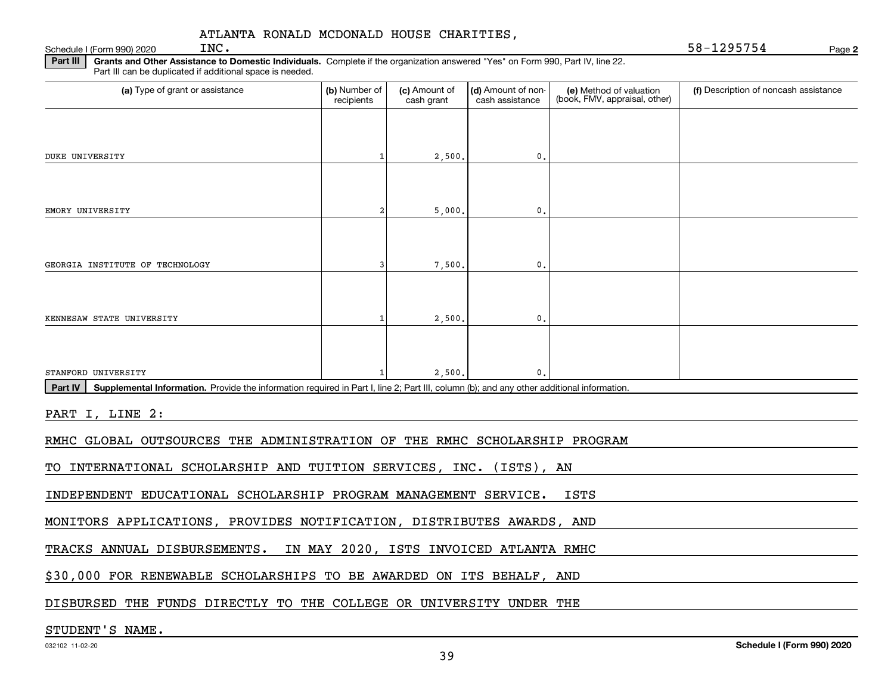#### Schedule I (Form 990) 2020  $\text{INC.}$ ATLANTA RONALD MCDONALD HOUSE CHARITIES,

**2**INC. 58-1295754

**Part III | Grants and Other Assistance to Domestic Individuals. Complete if the organization answered "Yes" on Form 990, Part IV, line 22.** Part III can be duplicated if additional space is needed.

| (a) Type of grant or assistance                                                                                                                      | (b) Number of<br>recipients | (c) Amount of<br>cash grant | (d) Amount of non-<br>cash assistance | (e) Method of valuation<br>(book, FMV, appraisal, other) | (f) Description of noncash assistance |
|------------------------------------------------------------------------------------------------------------------------------------------------------|-----------------------------|-----------------------------|---------------------------------------|----------------------------------------------------------|---------------------------------------|
|                                                                                                                                                      |                             |                             |                                       |                                                          |                                       |
| <b>DUKE UNIVERSITY</b>                                                                                                                               |                             | 2,500.                      | 0.                                    |                                                          |                                       |
|                                                                                                                                                      |                             |                             |                                       |                                                          |                                       |
| EMORY UNIVERSITY                                                                                                                                     | $\overline{2}$              | 5,000.                      | 0.                                    |                                                          |                                       |
|                                                                                                                                                      |                             |                             |                                       |                                                          |                                       |
| GEORGIA INSTITUTE OF TECHNOLOGY                                                                                                                      | 3                           | 7,500.                      | 0.                                    |                                                          |                                       |
|                                                                                                                                                      |                             |                             |                                       |                                                          |                                       |
| KENNESAW STATE UNIVERSITY                                                                                                                            |                             | 2,500.                      | 0.                                    |                                                          |                                       |
|                                                                                                                                                      |                             |                             |                                       |                                                          |                                       |
| STANFORD UNIVERSITY                                                                                                                                  |                             | 2,500.                      | $\mathbf{0}$ .                        |                                                          |                                       |
| Supplemental Information. Provide the information required in Part I, line 2; Part III, column (b); and any other additional information.<br>Part IV |                             |                             |                                       |                                                          |                                       |
| PART I, LINE 2:                                                                                                                                      |                             |                             |                                       |                                                          |                                       |
| RMHC GLOBAL OUTSOURCES THE ADMINISTRATION OF THE RMHC SCHOLARSHIP PROGRAM                                                                            |                             |                             |                                       |                                                          |                                       |
| TO INTERNATIONAL SCHOLARSHIP AND TUITION SERVICES, INC. (ISTS), AN                                                                                   |                             |                             |                                       |                                                          |                                       |
| INDEPENDENT EDUCATIONAL SCHOLARSHIP PROGRAM MANAGEMENT SERVICE.                                                                                      |                             |                             |                                       | <b>ISTS</b>                                              |                                       |
| MONITORS APPLICATIONS, PROVIDES NOTIFICATION, DISTRIBUTES AWARDS, AND                                                                                |                             |                             |                                       |                                                          |                                       |
| TRACKS ANNUAL DISBURSEMENTS. IN MAY 2020, ISTS INVOICED ATLANTA RMHC                                                                                 |                             |                             |                                       |                                                          |                                       |
| \$30,000 FOR RENEWABLE SCHOLARSHIPS TO BE AWARDED ON ITS BEHALF, AND                                                                                 |                             |                             |                                       |                                                          |                                       |
| DISBURSED THE FUNDS DIRECTLY TO THE COLLEGE OR UNIVERSITY UNDER THE                                                                                  |                             |                             |                                       |                                                          |                                       |
| ____ ___ __ . _ . __                                                                                                                                 |                             |                             |                                       |                                                          |                                       |

#### STUDENT'S NAME.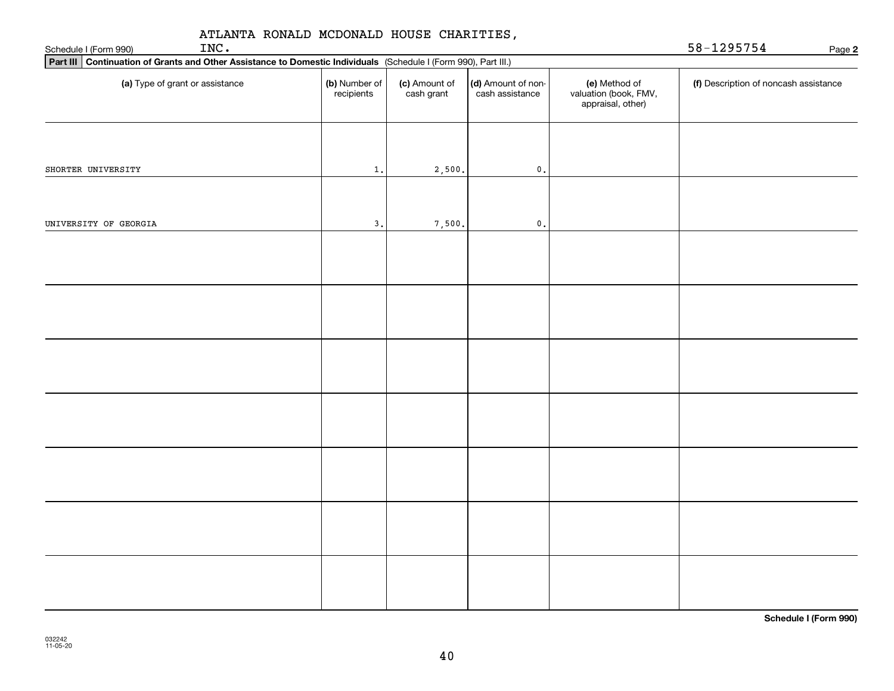| ATLANTA RONALD MCDONALD HOUSE CHARITIES,<br>INC.<br>Schedule I (Form 990)                                       |                             | 58-1295754<br>Page 2        |                                       |                                                             |                                       |
|-----------------------------------------------------------------------------------------------------------------|-----------------------------|-----------------------------|---------------------------------------|-------------------------------------------------------------|---------------------------------------|
| Part III Continuation of Grants and Other Assistance to Domestic Individuals (Schedule I (Form 990), Part III.) |                             |                             |                                       |                                                             |                                       |
| (a) Type of grant or assistance                                                                                 | (b) Number of<br>recipients | (c) Amount of<br>cash grant | (d) Amount of non-<br>cash assistance | (e) Method of<br>valuation (book, FMV,<br>appraisal, other) | (f) Description of noncash assistance |
|                                                                                                                 |                             |                             |                                       |                                                             |                                       |
| SHORTER UNIVERSITY                                                                                              | $1$ .                       | 2,500.                      | $\mathfrak o$ .                       |                                                             |                                       |
| UNIVERSITY OF GEORGIA                                                                                           | 3.                          | 7,500.                      | $\mathbf 0$ .                         |                                                             |                                       |
|                                                                                                                 |                             |                             |                                       |                                                             |                                       |
|                                                                                                                 |                             |                             |                                       |                                                             |                                       |
|                                                                                                                 |                             |                             |                                       |                                                             |                                       |
|                                                                                                                 |                             |                             |                                       |                                                             |                                       |
|                                                                                                                 |                             |                             |                                       |                                                             |                                       |
|                                                                                                                 |                             |                             |                                       |                                                             |                                       |
|                                                                                                                 |                             |                             |                                       |                                                             |                                       |

**Schedule I (Form 990)**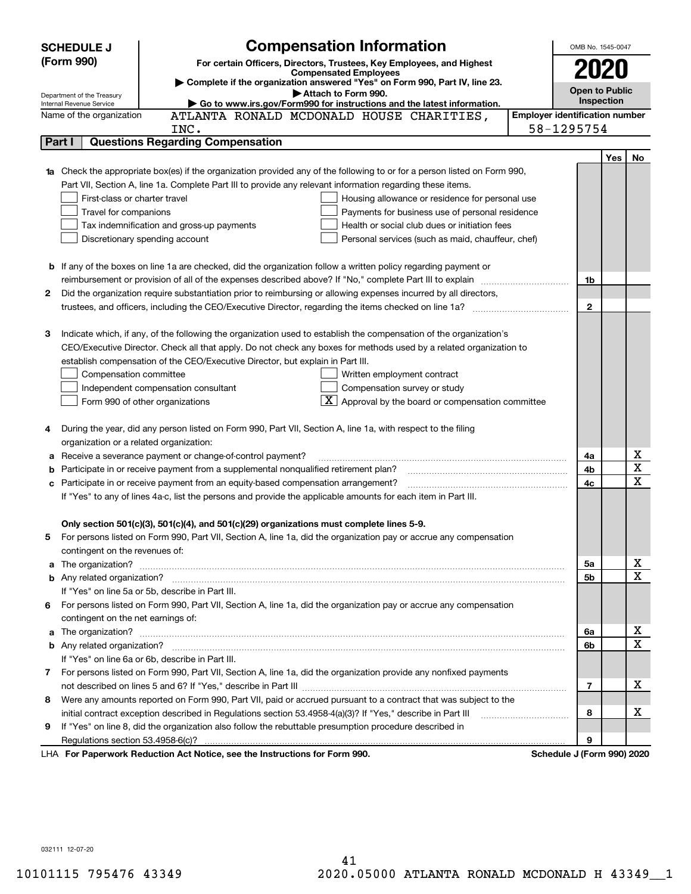|   | <b>Compensation Information</b><br><b>SCHEDULE J</b>                                                                                                                                                                                 |                                       | OMB No. 1545-0047     |     |             |
|---|--------------------------------------------------------------------------------------------------------------------------------------------------------------------------------------------------------------------------------------|---------------------------------------|-----------------------|-----|-------------|
|   | (Form 990)<br>For certain Officers, Directors, Trustees, Key Employees, and Highest                                                                                                                                                  |                                       |                       |     |             |
|   | <b>Compensated Employees</b>                                                                                                                                                                                                         |                                       | 2020                  |     |             |
|   | Complete if the organization answered "Yes" on Form 990, Part IV, line 23.<br>Attach to Form 990.                                                                                                                                    |                                       | <b>Open to Public</b> |     |             |
|   | Department of the Treasury<br>Go to www.irs.gov/Form990 for instructions and the latest information.<br>Internal Revenue Service                                                                                                     |                                       | Inspection            |     |             |
|   | ATLANTA RONALD MCDONALD HOUSE CHARITIES,<br>Name of the organization                                                                                                                                                                 | <b>Employer identification number</b> |                       |     |             |
|   | INC.                                                                                                                                                                                                                                 | 58-1295754                            |                       |     |             |
|   | <b>Questions Regarding Compensation</b><br>Part I                                                                                                                                                                                    |                                       |                       |     |             |
|   |                                                                                                                                                                                                                                      |                                       |                       | Yes | No          |
|   | Check the appropriate box(es) if the organization provided any of the following to or for a person listed on Form 990,                                                                                                               |                                       |                       |     |             |
|   | Part VII, Section A, line 1a. Complete Part III to provide any relevant information regarding these items.                                                                                                                           |                                       |                       |     |             |
|   | First-class or charter travel<br>Housing allowance or residence for personal use                                                                                                                                                     |                                       |                       |     |             |
|   | Travel for companions<br>Payments for business use of personal residence                                                                                                                                                             |                                       |                       |     |             |
|   | Tax indemnification and gross-up payments<br>Health or social club dues or initiation fees                                                                                                                                           |                                       |                       |     |             |
|   | Discretionary spending account<br>Personal services (such as maid, chauffeur, chef)                                                                                                                                                  |                                       |                       |     |             |
|   |                                                                                                                                                                                                                                      |                                       |                       |     |             |
|   | <b>b</b> If any of the boxes on line 1a are checked, did the organization follow a written policy regarding payment or                                                                                                               |                                       |                       |     |             |
|   | reimbursement or provision of all of the expenses described above? If "No," complete Part III to explain                                                                                                                             |                                       | 1b                    |     |             |
| 2 | Did the organization require substantiation prior to reimbursing or allowing expenses incurred by all directors,                                                                                                                     |                                       |                       |     |             |
|   | trustees, and officers, including the CEO/Executive Director, regarding the items checked on line 1a?                                                                                                                                |                                       | $\mathbf{2}$          |     |             |
|   |                                                                                                                                                                                                                                      |                                       |                       |     |             |
| 3 | Indicate which, if any, of the following the organization used to establish the compensation of the organization's                                                                                                                   |                                       |                       |     |             |
|   | CEO/Executive Director. Check all that apply. Do not check any boxes for methods used by a related organization to                                                                                                                   |                                       |                       |     |             |
|   | establish compensation of the CEO/Executive Director, but explain in Part III.                                                                                                                                                       |                                       |                       |     |             |
|   | Compensation committee<br>Written employment contract                                                                                                                                                                                |                                       |                       |     |             |
|   | Compensation survey or study<br>Independent compensation consultant                                                                                                                                                                  |                                       |                       |     |             |
|   | $\boxed{\textbf{X}}$ Approval by the board or compensation committee<br>Form 990 of other organizations                                                                                                                              |                                       |                       |     |             |
|   |                                                                                                                                                                                                                                      |                                       |                       |     |             |
| 4 | During the year, did any person listed on Form 990, Part VII, Section A, line 1a, with respect to the filing                                                                                                                         |                                       |                       |     |             |
|   | organization or a related organization:                                                                                                                                                                                              |                                       |                       |     |             |
| а | Receive a severance payment or change-of-control payment?                                                                                                                                                                            |                                       | 4a                    |     | х           |
| b | Participate in or receive payment from a supplemental nonqualified retirement plan?                                                                                                                                                  |                                       | 4b                    |     | $\mathbf X$ |
|   | c Participate in or receive payment from an equity-based compensation arrangement?                                                                                                                                                   |                                       | 4c                    |     | X           |
|   | If "Yes" to any of lines 4a-c, list the persons and provide the applicable amounts for each item in Part III.                                                                                                                        |                                       |                       |     |             |
|   |                                                                                                                                                                                                                                      |                                       |                       |     |             |
|   | Only section 501(c)(3), 501(c)(4), and 501(c)(29) organizations must complete lines 5-9.                                                                                                                                             |                                       |                       |     |             |
|   | For persons listed on Form 990, Part VII, Section A, line 1a, did the organization pay or accrue any compensation                                                                                                                    |                                       |                       |     |             |
|   | contingent on the revenues of:                                                                                                                                                                                                       |                                       |                       |     |             |
| a | The organization? <b>With the contract of the contract of the contract of the contract of the contract of the contract of the contract of the contract of the contract of the contract of the contract of the contract of the co</b> |                                       | 5a                    |     | х           |
|   |                                                                                                                                                                                                                                      |                                       | 5b                    |     | X           |
|   | If "Yes" on line 5a or 5b, describe in Part III.                                                                                                                                                                                     |                                       |                       |     |             |
|   | 6 For persons listed on Form 990, Part VII, Section A, line 1a, did the organization pay or accrue any compensation                                                                                                                  |                                       |                       |     |             |
|   | contingent on the net earnings of:                                                                                                                                                                                                   |                                       |                       |     |             |
| a |                                                                                                                                                                                                                                      |                                       | 6a                    |     | х           |
|   |                                                                                                                                                                                                                                      |                                       | 6b                    |     | х           |
|   | If "Yes" on line 6a or 6b, describe in Part III.                                                                                                                                                                                     |                                       |                       |     |             |
|   | 7 For persons listed on Form 990, Part VII, Section A, line 1a, did the organization provide any nonfixed payments                                                                                                                   |                                       |                       |     |             |
|   |                                                                                                                                                                                                                                      |                                       | 7                     |     | x           |
|   | 8 Were any amounts reported on Form 990, Part VII, paid or accrued pursuant to a contract that was subject to the                                                                                                                    |                                       |                       |     |             |
|   | initial contract exception described in Regulations section 53.4958-4(a)(3)? If "Yes," describe in Part III                                                                                                                          |                                       | 8                     |     | х           |
| 9 | If "Yes" on line 8, did the organization also follow the rebuttable presumption procedure described in                                                                                                                               |                                       |                       |     |             |
|   | Regulations section 53.4958-6(c)?                                                                                                                                                                                                    |                                       | 9                     |     |             |
|   | LHA For Paperwork Reduction Act Notice, see the Instructions for Form 990.                                                                                                                                                           | Schedule J (Form 990) 2020            |                       |     |             |

032111 12-07-20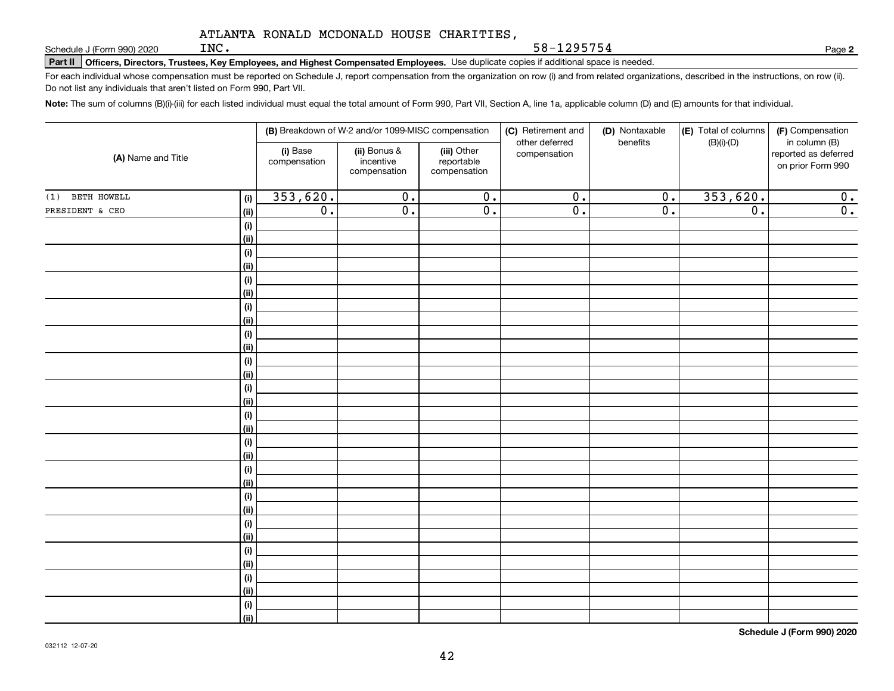**Part II Officers, Directors, Trustees, Key Employees, and Highest Compensated Employees.**  Schedule J (Form 990) 2020 Page Use duplicate copies if additional space is needed.

For each individual whose compensation must be reported on Schedule J, report compensation from the organization on row (i) and from related organizations, described in the instructions, on row (ii). Do not list any individuals that aren't listed on Form 990, Part VII.

58-1295754

**Note:**  The sum of columns (B)(i)-(iii) for each listed individual must equal the total amount of Form 990, Part VII, Section A, line 1a, applicable column (D) and (E) amounts for that individual.

| (A) Name and Title |                              |                          | (B) Breakdown of W-2 and/or 1099-MISC compensation |                                           | (C) Retirement and<br>other deferred | (D) Nontaxable<br>benefits | (E) Total of columns | (F) Compensation                                           |
|--------------------|------------------------------|--------------------------|----------------------------------------------------|-------------------------------------------|--------------------------------------|----------------------------|----------------------|------------------------------------------------------------|
|                    |                              | (i) Base<br>compensation | (ii) Bonus &<br>incentive<br>compensation          | (iii) Other<br>reportable<br>compensation | compensation                         |                            | $(B)(i)-(D)$         | in column (B)<br>reported as deferred<br>on prior Form 990 |
| BETH HOWELL<br>(1) | (i)                          | 353,620.                 | $\overline{0}$ .                                   | $\overline{0}$ .                          | $\overline{0}$ .                     | $\mathbf 0$ .              | 353,620.             | 0.                                                         |
| PRESIDENT & CEO    | <u>(ii)</u>                  | $\overline{0}$ .         | $\overline{0}$ .                                   | $\overline{0}$ .                          | $\overline{0}$ .                     | $\overline{0}$ .           | $\overline{0}$ .     | 0.                                                         |
|                    | $\qquad \qquad \textbf{(i)}$ |                          |                                                    |                                           |                                      |                            |                      |                                                            |
|                    | <u>(ii)</u>                  |                          |                                                    |                                           |                                      |                            |                      |                                                            |
|                    | (i)                          |                          |                                                    |                                           |                                      |                            |                      |                                                            |
|                    | <u>(ii)</u>                  |                          |                                                    |                                           |                                      |                            |                      |                                                            |
|                    | (i)                          |                          |                                                    |                                           |                                      |                            |                      |                                                            |
|                    | <u>(ii)</u>                  |                          |                                                    |                                           |                                      |                            |                      |                                                            |
|                    | (i)                          |                          |                                                    |                                           |                                      |                            |                      |                                                            |
|                    | <u>(ii)</u>                  |                          |                                                    |                                           |                                      |                            |                      |                                                            |
|                    | (i)                          |                          |                                                    |                                           |                                      |                            |                      |                                                            |
|                    | <u>(ii)</u>                  |                          |                                                    |                                           |                                      |                            |                      |                                                            |
|                    | (i)                          |                          |                                                    |                                           |                                      |                            |                      |                                                            |
|                    | <u>(ii)</u>                  |                          |                                                    |                                           |                                      |                            |                      |                                                            |
|                    | (i)<br><u>(ii)</u>           |                          |                                                    |                                           |                                      |                            |                      |                                                            |
|                    | (i)                          |                          |                                                    |                                           |                                      |                            |                      |                                                            |
|                    | <u>(ii)</u>                  |                          |                                                    |                                           |                                      |                            |                      |                                                            |
|                    | (i)                          |                          |                                                    |                                           |                                      |                            |                      |                                                            |
|                    | <u>(ii)</u>                  |                          |                                                    |                                           |                                      |                            |                      |                                                            |
|                    | (i)                          |                          |                                                    |                                           |                                      |                            |                      |                                                            |
|                    | <u>(ii)</u>                  |                          |                                                    |                                           |                                      |                            |                      |                                                            |
|                    | (i)                          |                          |                                                    |                                           |                                      |                            |                      |                                                            |
|                    | <u>(ii)</u>                  |                          |                                                    |                                           |                                      |                            |                      |                                                            |
|                    | (i)                          |                          |                                                    |                                           |                                      |                            |                      |                                                            |
|                    | <u>(ii)</u>                  |                          |                                                    |                                           |                                      |                            |                      |                                                            |
|                    | (i)                          |                          |                                                    |                                           |                                      |                            |                      |                                                            |
|                    | <u>(ii)</u>                  |                          |                                                    |                                           |                                      |                            |                      |                                                            |
|                    | (i)                          |                          |                                                    |                                           |                                      |                            |                      |                                                            |
|                    | <u>(ii)</u>                  |                          |                                                    |                                           |                                      |                            |                      |                                                            |
|                    | (i)                          |                          |                                                    |                                           |                                      |                            |                      |                                                            |
|                    | $\vert$ (ii)                 |                          |                                                    |                                           |                                      |                            |                      |                                                            |

**Schedule J (Form 990) 2020**

**2**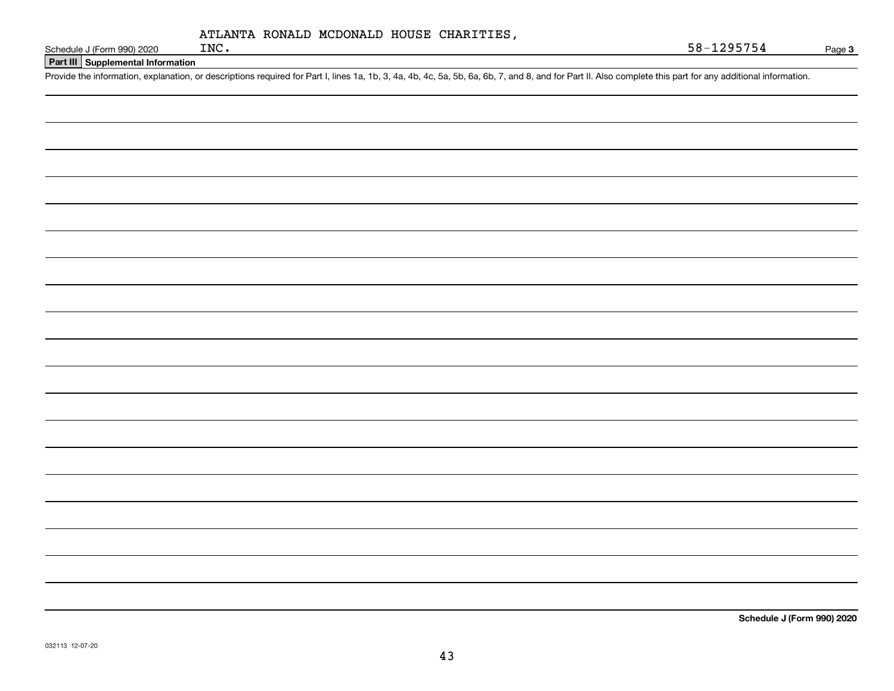| ATLANTA RONALD MCDONALD HOUSE CHARITIES, |  |  |  |
|------------------------------------------|--|--|--|
|------------------------------------------|--|--|--|

**Part III Supplemental Information**

Schedule J (Form 990) 2020 INC.<br>Part III Supplemental Information<br>Provide the information, explanation, or descriptions required for Part I, lines 1a, 1b, 3, 4a, 4b, 4c, 5a, 5b, 6a, 6b, 7, and 8, and for Part II. Also comp

**Schedule J (Form 990) 2020**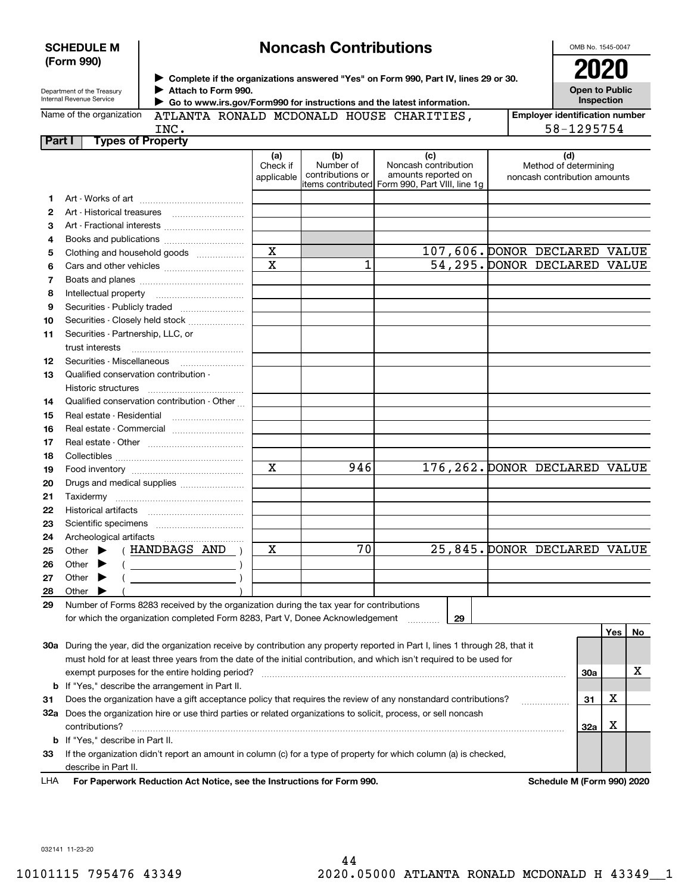| <b>SCHEDULE M</b> |  |
|-------------------|--|
| (Form 990)        |  |

# **Noncash Contributions**

OMB No. 1545-0047

| Department of the Treasury |
|----------------------------|
| Internal Devenue Convice   |

**Complete if the organizations answered "Yes" on Form 990, Part IV, lines 29 or 30. Attach to Form 990.**  $\triangleright$  Complete if the organizations answered "Yes" on Form 990, Part IV, lines 29 or 30.  $2020$  $\blacktriangleright$ 

**Open to Public Inspection**

| Internal Revenue Service<br>Go to www.irs.gov/Form990 for instructions and the latest information. |      |  |                                          |  |                                                         | <b>Inspection</b>                     |            |  |  |
|----------------------------------------------------------------------------------------------------|------|--|------------------------------------------|--|---------------------------------------------------------|---------------------------------------|------------|--|--|
| Name of the organization                                                                           |      |  | ATLANTA RONALD MCDONALD HOUSE CHARITIES. |  |                                                         | <b>Employer identification number</b> |            |  |  |
|                                                                                                    | INC. |  |                                          |  |                                                         |                                       | 58-1295754 |  |  |
| Part I<br>Types of Property                                                                        |      |  |                                          |  |                                                         |                                       |            |  |  |
|                                                                                                    |      |  | (b)<br>(a)<br>Allence before the first   |  | (C)<br>All a series with the construction of the series |                                       | (d)        |  |  |

|    |                                                                                                                                                                                                                                                                                                                                                                                                                                                                                                                                                                                                                   | Check if<br>applicable  | Number of<br>contributions or | Noncash contribution<br>amounts reported on    | Method of determining<br>noncash contribution amounts |     |         |         |
|----|-------------------------------------------------------------------------------------------------------------------------------------------------------------------------------------------------------------------------------------------------------------------------------------------------------------------------------------------------------------------------------------------------------------------------------------------------------------------------------------------------------------------------------------------------------------------------------------------------------------------|-------------------------|-------------------------------|------------------------------------------------|-------------------------------------------------------|-----|---------|---------|
|    |                                                                                                                                                                                                                                                                                                                                                                                                                                                                                                                                                                                                                   |                         |                               | items contributed Form 990, Part VIII, line 1g |                                                       |     |         |         |
| 1  |                                                                                                                                                                                                                                                                                                                                                                                                                                                                                                                                                                                                                   |                         |                               |                                                |                                                       |     |         |         |
| 2  |                                                                                                                                                                                                                                                                                                                                                                                                                                                                                                                                                                                                                   |                         |                               |                                                |                                                       |     |         |         |
| з  |                                                                                                                                                                                                                                                                                                                                                                                                                                                                                                                                                                                                                   |                         |                               |                                                |                                                       |     |         |         |
| 4  |                                                                                                                                                                                                                                                                                                                                                                                                                                                                                                                                                                                                                   |                         |                               |                                                |                                                       |     |         |         |
| 5  | Clothing and household goods                                                                                                                                                                                                                                                                                                                                                                                                                                                                                                                                                                                      | $\mathbf X$             |                               |                                                | 107,606. DONOR DECLARED VALUE                         |     |         |         |
| 6  |                                                                                                                                                                                                                                                                                                                                                                                                                                                                                                                                                                                                                   | $\overline{\mathbf{x}}$ | 1                             |                                                | 54,295. DONOR DECLARED VALUE                          |     |         |         |
| 7  |                                                                                                                                                                                                                                                                                                                                                                                                                                                                                                                                                                                                                   |                         |                               |                                                |                                                       |     |         |         |
| 8  |                                                                                                                                                                                                                                                                                                                                                                                                                                                                                                                                                                                                                   |                         |                               |                                                |                                                       |     |         |         |
| 9  | Securities - Publicly traded                                                                                                                                                                                                                                                                                                                                                                                                                                                                                                                                                                                      |                         |                               |                                                |                                                       |     |         |         |
| 10 | Securities - Closely held stock                                                                                                                                                                                                                                                                                                                                                                                                                                                                                                                                                                                   |                         |                               |                                                |                                                       |     |         |         |
| 11 | Securities - Partnership, LLC, or                                                                                                                                                                                                                                                                                                                                                                                                                                                                                                                                                                                 |                         |                               |                                                |                                                       |     |         |         |
|    | trust interests                                                                                                                                                                                                                                                                                                                                                                                                                                                                                                                                                                                                   |                         |                               |                                                |                                                       |     |         |         |
| 12 |                                                                                                                                                                                                                                                                                                                                                                                                                                                                                                                                                                                                                   |                         |                               |                                                |                                                       |     |         |         |
| 13 | Qualified conservation contribution -                                                                                                                                                                                                                                                                                                                                                                                                                                                                                                                                                                             |                         |                               |                                                |                                                       |     |         |         |
|    | Historic structures                                                                                                                                                                                                                                                                                                                                                                                                                                                                                                                                                                                               |                         |                               |                                                |                                                       |     |         |         |
| 14 | Qualified conservation contribution - Other                                                                                                                                                                                                                                                                                                                                                                                                                                                                                                                                                                       |                         |                               |                                                |                                                       |     |         |         |
| 15 | Real estate - Residential                                                                                                                                                                                                                                                                                                                                                                                                                                                                                                                                                                                         |                         |                               |                                                |                                                       |     |         |         |
| 16 | Real estate - Commercial                                                                                                                                                                                                                                                                                                                                                                                                                                                                                                                                                                                          |                         |                               |                                                |                                                       |     |         |         |
| 17 |                                                                                                                                                                                                                                                                                                                                                                                                                                                                                                                                                                                                                   |                         |                               |                                                |                                                       |     |         |         |
| 18 |                                                                                                                                                                                                                                                                                                                                                                                                                                                                                                                                                                                                                   |                         |                               |                                                |                                                       |     |         |         |
| 19 |                                                                                                                                                                                                                                                                                                                                                                                                                                                                                                                                                                                                                   | $\mathbf X$             | 946                           |                                                | 176, 262. DONOR DECLARED VALUE                        |     |         |         |
| 20 | Drugs and medical supplies                                                                                                                                                                                                                                                                                                                                                                                                                                                                                                                                                                                        |                         |                               |                                                |                                                       |     |         |         |
| 21 |                                                                                                                                                                                                                                                                                                                                                                                                                                                                                                                                                                                                                   |                         |                               |                                                |                                                       |     |         |         |
| 22 |                                                                                                                                                                                                                                                                                                                                                                                                                                                                                                                                                                                                                   |                         |                               |                                                |                                                       |     |         |         |
| 23 |                                                                                                                                                                                                                                                                                                                                                                                                                                                                                                                                                                                                                   |                         |                               |                                                |                                                       |     |         |         |
| 24 |                                                                                                                                                                                                                                                                                                                                                                                                                                                                                                                                                                                                                   |                         |                               |                                                |                                                       |     |         |         |
| 25 | Other $\blacktriangleright$ (HANDBAGS AND)                                                                                                                                                                                                                                                                                                                                                                                                                                                                                                                                                                        | $\mathbf X$             | $\overline{70}$               |                                                | 25,845. DONOR DECLARED VALUE                          |     |         |         |
| 26 | $\left(\begin{array}{ccc} \begin{array}{ccc} \end{array} & \begin{array}{ccc} \end{array} & \begin{array}{ccc} \end{array} & \begin{array}{ccc} \end{array} & \begin{array}{ccc} \end{array} & \begin{array}{ccc} \end{array} & \begin{array}{ccc} \end{array} & \begin{array}{ccc} \end{array} & \begin{array}{ccc} \end{array} & \begin{array}{ccc} \end{array} & \begin{array}{ccc} \end{array} & \begin{array}{ccc} \end{array} & \begin{array}{ccc} \end{array} & \begin{array}{ccc} \end{array} & \begin{array}{ccc} \end{array} & \begin{array}{ccc} \end{array} & \begin{$<br>Other $\blacktriangleright$ |                         |                               |                                                |                                                       |     |         |         |
| 27 | $($ $)$<br>Other $\blacktriangleright$                                                                                                                                                                                                                                                                                                                                                                                                                                                                                                                                                                            |                         |                               |                                                |                                                       |     |         |         |
| 28 | Other $\blacktriangleright$                                                                                                                                                                                                                                                                                                                                                                                                                                                                                                                                                                                       |                         |                               |                                                |                                                       |     |         |         |
| 29 | Number of Forms 8283 received by the organization during the tax year for contributions                                                                                                                                                                                                                                                                                                                                                                                                                                                                                                                           |                         |                               |                                                |                                                       |     |         |         |
|    | for which the organization completed Form 8283, Part V, Donee Acknowledgement                                                                                                                                                                                                                                                                                                                                                                                                                                                                                                                                     |                         |                               | 29<br>.                                        |                                                       |     |         |         |
|    |                                                                                                                                                                                                                                                                                                                                                                                                                                                                                                                                                                                                                   |                         |                               |                                                |                                                       |     | Yes $ $ | $N_{0}$ |
|    | 30a During the year, did the organization receive by contribution any property reported in Part I, lines 1 through 28, that it                                                                                                                                                                                                                                                                                                                                                                                                                                                                                    |                         |                               |                                                |                                                       |     |         |         |
|    | must hold for at least three years from the date of the initial contribution, and which isn't required to be used for                                                                                                                                                                                                                                                                                                                                                                                                                                                                                             |                         |                               |                                                |                                                       |     |         |         |
|    |                                                                                                                                                                                                                                                                                                                                                                                                                                                                                                                                                                                                                   |                         |                               |                                                |                                                       | 30a |         | х       |
|    | <b>b</b> If "Yes," describe the arrangement in Part II.                                                                                                                                                                                                                                                                                                                                                                                                                                                                                                                                                           |                         |                               |                                                |                                                       |     |         |         |
| 31 | Does the organization have a gift acceptance policy that requires the review of any nonstandard contributions?                                                                                                                                                                                                                                                                                                                                                                                                                                                                                                    |                         |                               |                                                |                                                       | 31  | X       |         |
|    | 32a Does the organization hire or use third parties or related organizations to solicit, process, or sell noncash                                                                                                                                                                                                                                                                                                                                                                                                                                                                                                 |                         |                               |                                                |                                                       |     |         |         |
|    | contributions?                                                                                                                                                                                                                                                                                                                                                                                                                                                                                                                                                                                                    |                         |                               |                                                |                                                       | 32a | X       |         |
|    | b If "Yes," describe in Part II.                                                                                                                                                                                                                                                                                                                                                                                                                                                                                                                                                                                  |                         |                               |                                                |                                                       |     |         |         |

**33**If the organization didn't report an amount in column (c) for a type of property for which column (a) is checked, describe in Part II.

**For Paperwork Reduction Act Notice, see the Instructions for Form 990. Schedule M (Form 990) 2020** LHA

032141 11-23-20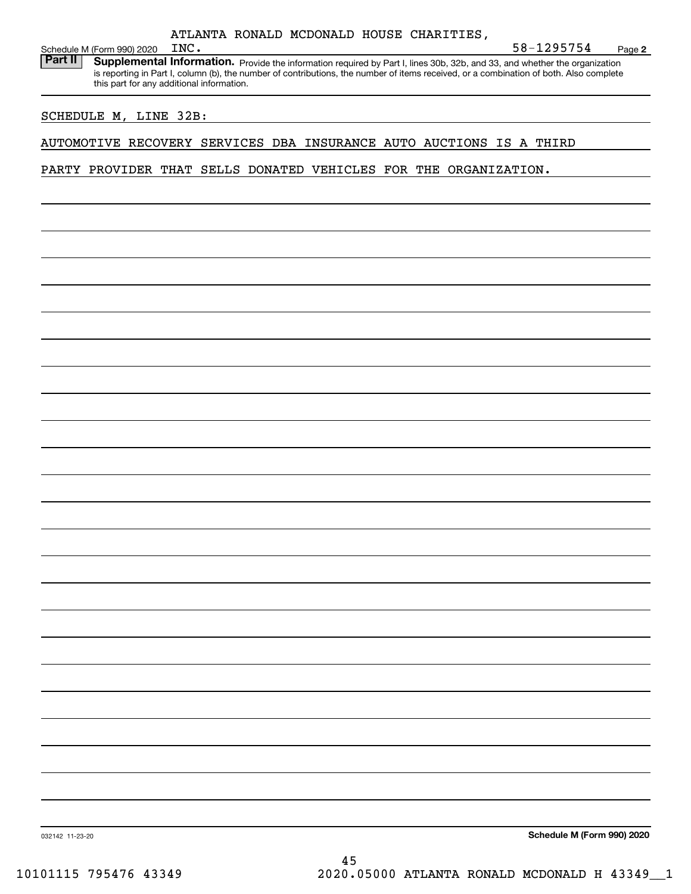| ATLANTA RONALD MCDONALD HOUSE CHARITIES. |  |
|------------------------------------------|--|
|                                          |  |

Schedule M (Form 990) 2020 INC.<br>**Part II** Supplemental Inform Part II | Supplemental Information. Provide the information required by Part I, lines 30b, 32b, and 33, and whether the organization is reporting in Part I, column (b), the number of contributions, the number of items received, or a combination of both. Also complete this part for any additional information.

#### SCHEDULE M, LINE 32B:

#### AUTOMOTIVE RECOVERY SERVICES DBA INSURANCE AUTO AUCTIONS IS A THIRD

PARTY PROVIDER THAT SELLS DONATED VEHICLES FOR THE ORGANIZATION.

**Schedule M (Form 990) 2020**

**2**

INC. 58-1295754

032142 11-23-20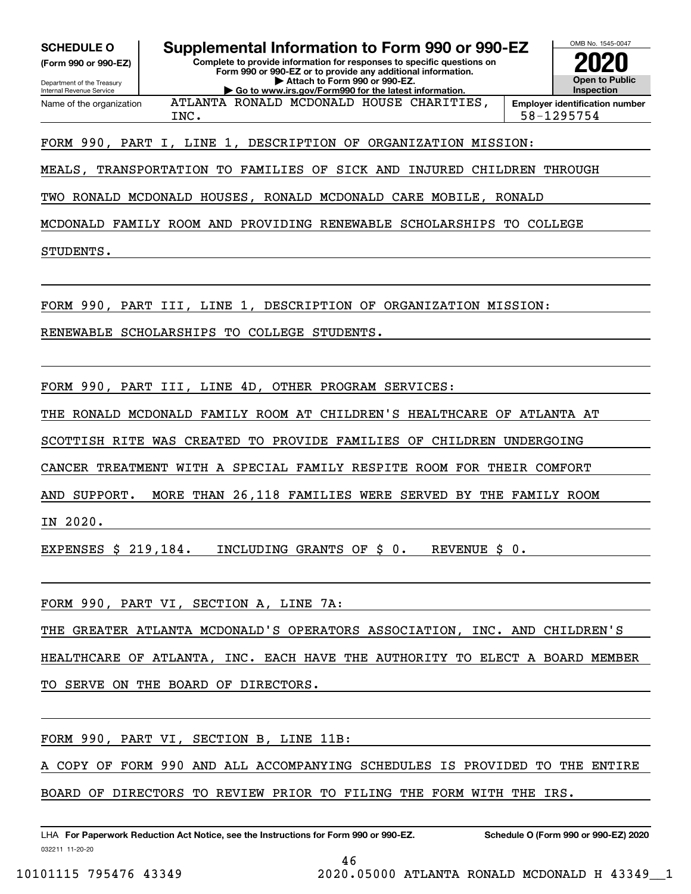**(Form 990 or 990-EZ)**

Department of the Treasury Internal Revenue Service Name of the organization

**SCHEDULE O Supplemental Information to Form 990 or 990-EZ**

**Complete to provide information for responses to specific questions on Form 990 or 990-EZ or to provide any additional information. | Attach to Form 990 or 990-EZ. | Go to www.irs.gov/Form990 for the latest information.**

ATLANTA RONALD MCDONALD HOUSE CHARITIES,



INC. 58-1295754

#### FORM 990, PART I, LINE 1, DESCRIPTION OF ORGANIZATION MISSION:

MEALS, TRANSPORTATION TO FAMILIES OF SICK AND INJURED CHILDREN THROUGH

TWO RONALD MCDONALD HOUSES, RONALD MCDONALD CARE MOBILE, RONALD

MCDONALD FAMILY ROOM AND PROVIDING RENEWABLE SCHOLARSHIPS TO COLLEGE

STUDENTS.

FORM 990, PART III, LINE 1, DESCRIPTION OF ORGANIZATION MISSION:

RENEWABLE SCHOLARSHIPS TO COLLEGE STUDENTS.

FORM 990, PART III, LINE 4D, OTHER PROGRAM SERVICES:

THE RONALD MCDONALD FAMILY ROOM AT CHILDREN'S HEALTHCARE OF ATLANTA AT

SCOTTISH RITE WAS CREATED TO PROVIDE FAMILIES OF CHILDREN UNDERGOING

CANCER TREATMENT WITH A SPECIAL FAMILY RESPITE ROOM FOR THEIR COMFORT

AND SUPPORT. MORE THAN 26,118 FAMILIES WERE SERVED BY THE FAMILY ROOM

IN 2020.

EXPENSES \$ 219,184. INCLUDING GRANTS OF \$ 0. REVENUE \$ 0.

FORM 990, PART VI, SECTION A, LINE 7A:

THE GREATER ATLANTA MCDONALD'S OPERATORS ASSOCIATION, INC. AND CHILDREN'S

HEALTHCARE OF ATLANTA, INC. EACH HAVE THE AUTHORITY TO ELECT A BOARD MEMBER

TO SERVE ON THE BOARD OF DIRECTORS.

FORM 990, PART VI, SECTION B, LINE 11B:

COPY OF FORM 990 AND ALL ACCOMPANYING SCHEDULES IS PROVIDED TO THE ENTIRE

BOARD OF DIRECTORS TO REVIEW PRIOR TO FILING THE FORM WITH THE IRS.

032211 11-20-20 LHA For Paperwork Reduction Act Notice, see the Instructions for Form 990 or 990-EZ. Schedule O (Form 990 or 990-EZ) 2020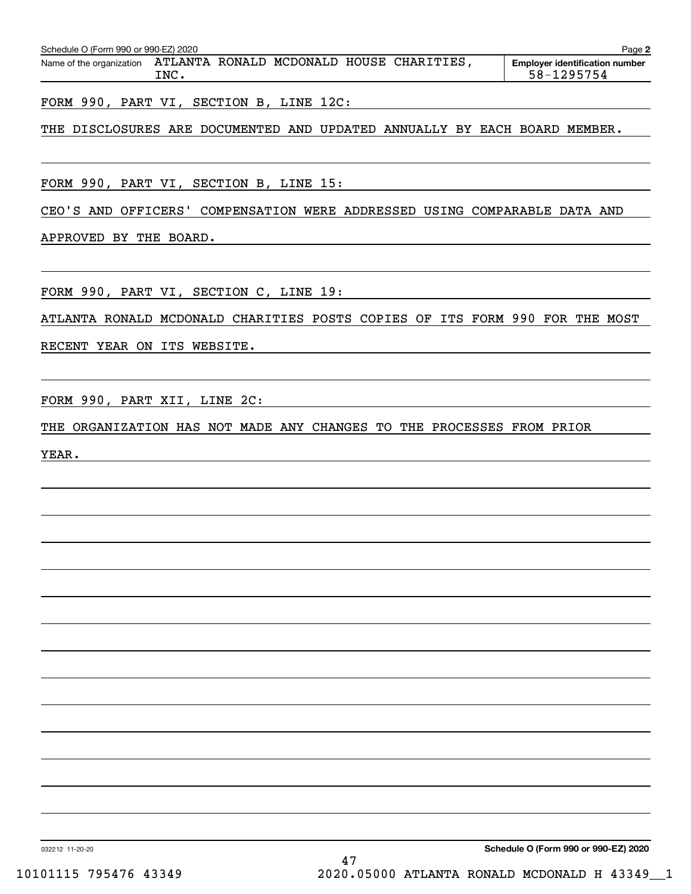| Schedule O (Form 990 or 990-EZ) 2020<br>Page 2 |      |  |  |  |                                          |                                       |
|------------------------------------------------|------|--|--|--|------------------------------------------|---------------------------------------|
| Name of the organization                       |      |  |  |  | ATLANTA RONALD MCDONALD HOUSE CHARITIES, | <b>Employer identification number</b> |
|                                                | TNC. |  |  |  |                                          | 58-1295754                            |

FORM 990, PART VI, SECTION B, LINE 12C:

### THE DISCLOSURES ARE DOCUMENTED AND UPDATED ANNUALLY BY EACH BOARD MEMBER.

FORM 990, PART VI, SECTION B, LINE 15:

CEO'S AND OFFICERS' COMPENSATION WERE ADDRESSED USING COMPARABLE DATA AND

APPROVED BY THE BOARD.

FORM 990, PART VI, SECTION C, LINE 19:

ATLANTA RONALD MCDONALD CHARITIES POSTS COPIES OF ITS FORM 990 FOR THE MOST

RECENT YEAR ON ITS WEBSITE.

FORM 990, PART XII, LINE 2C:

THE ORGANIZATION HAS NOT MADE ANY CHANGES TO THE PROCESSES FROM PRIOR

YEAR.

**Schedule O (Form 990 or 990-EZ) 2020**